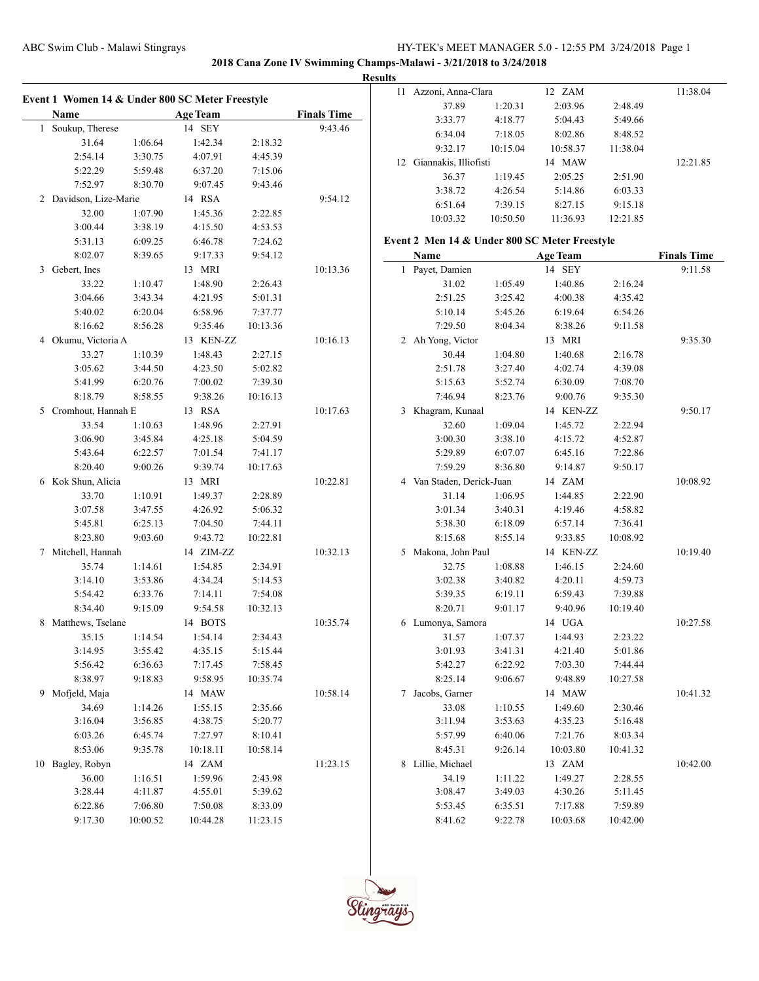**2018 Cana Zone IV Swimming Champs-Malawi - 3/21/2018 to 3/24/2018**

**Results**

| Event 1 Women 14 & Under 800 SC Meter Freestyle |          |                 |          |                    | 11 Azzoni, Anna-Clara                         |          | 12 ZAM          |          | 11:38.04           |
|-------------------------------------------------|----------|-----------------|----------|--------------------|-----------------------------------------------|----------|-----------------|----------|--------------------|
|                                                 |          |                 |          |                    | 37.89                                         | 1:20.31  | 2:03.96         | 2:48.49  |                    |
| Name                                            |          | <b>Age Team</b> |          | <b>Finals Time</b> | 3:33.77                                       | 4:18.77  | 5:04.43         | 5:49.66  |                    |
| 1 Soukup, Therese                               |          | 14 SEY          |          | 9:43.46            | 6:34.04                                       | 7:18.05  | 8:02.86         | 8:48.52  |                    |
| 31.64                                           | 1:06.64  | 1:42.34         | 2:18.32  |                    | 9:32.17                                       | 10:15.04 | 10:58.37        | 11:38.04 |                    |
| 2:54.14                                         | 3:30.75  | 4:07.91         | 4:45.39  |                    | 12 Giannakis, Illiofisti                      |          | 14 MAW          |          | 12:21.85           |
| 5:22.29                                         | 5:59.48  | 6:37.20         | 7:15.06  |                    | 36.37                                         | 1:19.45  | 2:05.25         | 2:51.90  |                    |
| 7:52.97                                         | 8:30.70  | 9:07.45         | 9:43.46  |                    | 3:38.72                                       | 4:26.54  | 5:14.86         | 6:03.33  |                    |
| 2 Davidson, Lize-Marie                          |          | 14 RSA          |          | 9:54.12            | 6:51.64                                       | 7:39.15  | 8:27.15         | 9:15.18  |                    |
| 32.00                                           | 1:07.90  | 1:45.36         | 2:22.85  |                    | 10:03.32                                      | 10:50.50 | 11:36.93        | 12:21.85 |                    |
| 3:00.44                                         | 3:38.19  | 4:15.50         | 4:53.53  |                    |                                               |          |                 |          |                    |
| 5:31.13                                         | 6:09.25  | 6:46.78         | 7:24.62  |                    | Event 2 Men 14 & Under 800 SC Meter Freestyle |          |                 |          |                    |
| 8:02.07                                         | 8:39.65  | 9:17.33         | 9:54.12  |                    | Name                                          |          | <b>Age Team</b> |          | <b>Finals Time</b> |
| 3 Gebert, Ines                                  |          | 13 MRI          |          | 10:13.36           | 1 Payet, Damien                               |          | 14 SEY          |          | 9:11.58            |
| 33.22                                           | 1:10.47  | 1:48.90         | 2:26.43  |                    | 31.02                                         | 1:05.49  | 1:40.86         | 2:16.24  |                    |
| 3:04.66                                         | 3:43.34  | 4:21.95         | 5:01.31  |                    | 2:51.25                                       | 3:25.42  | 4:00.38         | 4:35.42  |                    |
| 5:40.02                                         | 6:20.04  | 6:58.96         | 7:37.77  |                    | 5:10.14                                       | 5:45.26  | 6:19.64         | 6:54.26  |                    |
| 8:16.62                                         | 8:56.28  | 9:35.46         | 10:13.36 |                    | 7:29.50                                       | 8:04.34  | 8:38.26         | 9:11.58  |                    |
| 4 Okumu, Victoria A                             |          | 13 KEN-ZZ       |          | 10:16.13           | 2 Ah Yong, Victor                             |          | 13 MRI          |          | 9:35.30            |
| 33.27                                           | 1:10.39  | 1:48.43         | 2:27.15  |                    | 30.44                                         | 1:04.80  | 1:40.68         | 2:16.78  |                    |
| 3:05.62                                         | 3:44.50  | 4:23.50         | 5:02.82  |                    | 2:51.78                                       | 3:27.40  | 4:02.74         | 4:39.08  |                    |
| 5:41.99                                         | 6:20.76  | 7:00.02         | 7:39.30  |                    | 5:15.63                                       | 5:52.74  | 6:30.09         | 7:08.70  |                    |
| 8:18.79                                         | 8:58.55  | 9:38.26         | 10:16.13 |                    | 7:46.94                                       | 8:23.76  | 9:00.76         | 9:35.30  |                    |
| 5 Cromhout, Hannah E                            |          | 13 RSA          |          | 10:17.63           | 3 Khagram, Kunaal                             |          | 14 KEN-ZZ       |          | 9:50.17            |
| 33.54                                           | 1:10.63  | 1:48.96         | 2:27.91  |                    | 32.60                                         | 1:09.04  | 1:45.72         | 2:22.94  |                    |
| 3:06.90                                         | 3:45.84  | 4:25.18         | 5:04.59  |                    | 3:00.30                                       | 3:38.10  | 4:15.72         | 4:52.87  |                    |
| 5:43.64                                         | 6:22.57  | 7:01.54         | 7:41.17  |                    | 5:29.89                                       | 6:07.07  | 6:45.16         | 7:22.86  |                    |
| 8:20.40                                         | 9:00.26  | 9:39.74         | 10:17.63 |                    | 7:59.29                                       | 8:36.80  | 9:14.87         | 9:50.17  |                    |
| 6 Kok Shun, Alicia                              |          | 13 MRI          |          | 10:22.81           | 4 Van Staden, Derick-Juan                     |          | 14 ZAM          |          | 10:08.92           |
| 33.70                                           | 1:10.91  | 1:49.37         | 2:28.89  |                    | 31.14                                         | 1:06.95  | 1:44.85         | 2:22.90  |                    |
| 3:07.58                                         | 3:47.55  | 4:26.92         | 5:06.32  |                    | 3:01.34                                       | 3:40.31  | 4:19.46         | 4:58.82  |                    |
| 5:45.81                                         | 6:25.13  | 7:04.50         | 7:44.11  |                    | 5:38.30                                       | 6:18.09  | 6:57.14         | 7:36.41  |                    |
| 8:23.80                                         | 9:03.60  | 9:43.72         | 10:22.81 |                    | 8:15.68                                       | 8:55.14  | 9:33.85         | 10:08.92 |                    |
| 7 Mitchell, Hannah                              |          | 14 ZIM-ZZ       |          | 10:32.13           | 5 Makona, John Paul                           |          | 14 KEN-ZZ       |          | 10:19.40           |
| 35.74                                           | 1:14.61  | 1:54.85         | 2:34.91  |                    | 32.75                                         | 1:08.88  | 1:46.15         | 2:24.60  |                    |
| 3:14.10                                         | 3:53.86  | 4:34.24         | 5:14.53  |                    | 3:02.38                                       | 3:40.82  | 4:20.11         | 4:59.73  |                    |
| 5:54.42                                         | 6:33.76  | 7:14.11         | 7:54.08  |                    | 5:39.35                                       | 6:19.11  | 6:59.43         | 7:39.88  |                    |
| 8:34.40                                         | 9:15.09  | 9:54.58         | 10:32.13 |                    | 8:20.71                                       | 9:01.17  | 9:40.96         | 10:19.40 |                    |
| 8 Matthews, Tselane                             |          | 14 BOTS         |          | 10:35.74           | 6 Lumonya, Samora                             |          | 14 UGA          |          | 10:27.58           |
| 35.15                                           | 1:14.54  | 1:54.14         | 2:34.43  |                    | 31.57                                         | 1:07.37  | 1:44.93         | 2:23.22  |                    |
| 3:14.95                                         | 3:55.42  | 4:35.15         | 5:15.44  |                    | 3:01.93                                       | 3:41.31  | 4:21.40         | 5:01.86  |                    |
| 5:56.42                                         | 6:36.63  | 7:17.45         | 7:58.45  |                    | 5:42.27                                       | 6:22.92  | 7:03.30         | 7:44.44  |                    |
| 8:38.97                                         | 9:18.83  | 9:58.95         | 10:35.74 |                    | 8:25.14                                       | 9:06.67  | 9:48.89         | 10:27.58 |                    |
| 9 Mofjeld, Maja                                 |          | 14 MAW          |          | 10:58.14           | 7 Jacobs, Garner                              |          | 14 MAW          |          | 10:41.32           |
| 34.69                                           | 1:14.26  | 1:55.15         | 2:35.66  |                    | 33.08                                         | 1:10.55  | 1:49.60         | 2:30.46  |                    |
| 3:16.04                                         | 3:56.85  | 4:38.75         | 5:20.77  |                    | 3:11.94                                       | 3:53.63  | 4:35.23         | 5:16.48  |                    |
| 6:03.26                                         | 6:45.74  | 7:27.97         | 8:10.41  |                    | 5:57.99                                       | 6:40.06  | 7:21.76         | 8:03.34  |                    |
| 8:53.06                                         | 9:35.78  | 10:18.11        | 10:58.14 |                    | 8:45.31                                       | 9:26.14  | 10:03.80        | 10:41.32 |                    |
| 10 Bagley, Robyn                                |          | 14 ZAM          |          | 11:23.15           | 8 Lillie, Michael                             |          | 13 ZAM          |          | 10:42.00           |
| 36.00                                           | 1:16.51  | 1:59.96         | 2:43.98  |                    | 34.19                                         | 1:11.22  | 1:49.27         | 2:28.55  |                    |
| 3:28.44                                         | 4:11.87  | 4:55.01         | 5:39.62  |                    | 3:08.47                                       | 3:49.03  | 4:30.26         | 5:11.45  |                    |
| 6:22.86                                         | 7:06.80  | 7:50.08         | 8:33.09  |                    | 5:53.45                                       | 6:35.51  | 7:17.88         | 7:59.89  |                    |
| 9:17.30                                         | 10:00.52 | 10:44.28        | 11:23.15 |                    | 8:41.62                                       | 9:22.78  | 10:03.68        | 10:42.00 |                    |
|                                                 |          |                 |          |                    |                                               |          |                 |          |                    |

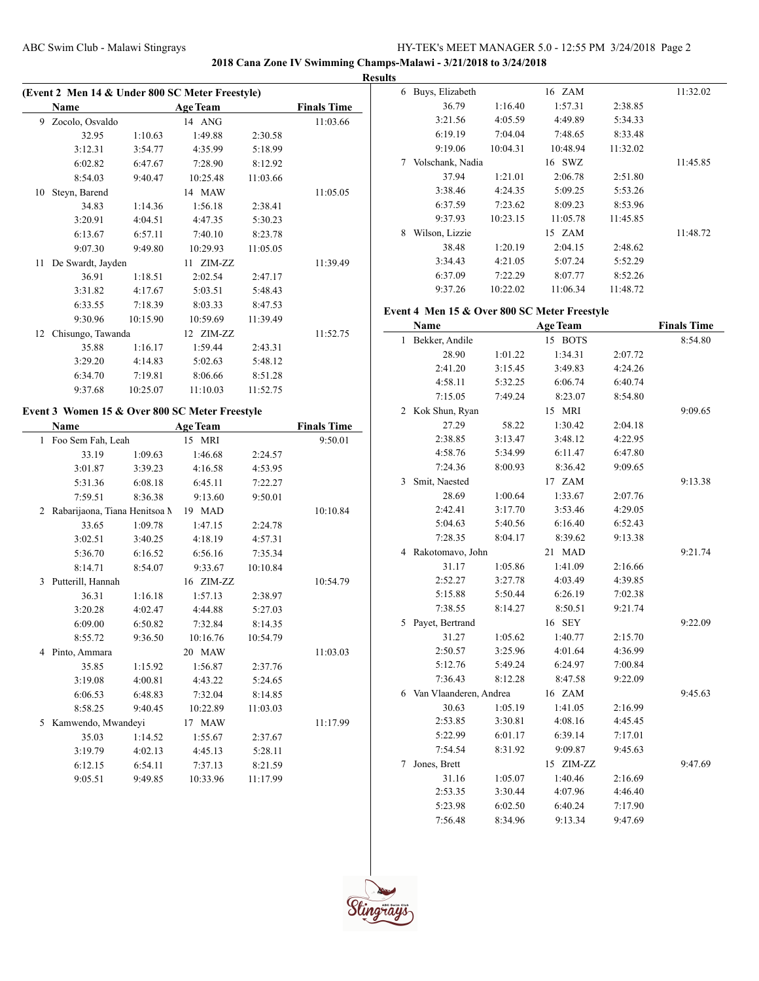**2018 Cana Zone IV Swimming Champs-Malawi - 3/21/2018 to 3/24/2018**

 $\frac{1}{2}$ 

|    | Name              |          | <b>Age Team</b> |          | <b>Finals Time</b> |
|----|-------------------|----------|-----------------|----------|--------------------|
| 9  | Zocolo, Osvaldo   |          | 14 ANG          |          | 11:03.66           |
|    | 32.95             | 1:10.63  | 1:49.88         | 2:30.58  |                    |
|    | 3:12.31           | 3:54.77  | 4:35.99         | 5:18.99  |                    |
|    | 6:02.82           | 6:47.67  | 7:28.90         | 8:12.92  |                    |
|    | 8:54.03           | 9:40.47  | 10:25.48        | 11:03.66 |                    |
| 10 | Steyn, Barend     |          | 14 MAW          |          | 11:05.05           |
|    | 34.83             | 1:14.36  | 1:56.18         | 2:38.41  |                    |
|    | 3:20.91           | 4:04.51  | 4:47.35         | 5:30.23  |                    |
|    | 6:13.67           | 6:57.11  | 7:40.10         | 8:23.78  |                    |
|    | 9:07.30           | 9:49.80  | 10:29.93        | 11:05.05 |                    |
| 11 | De Swardt, Jayden |          | 11 ZIM-ZZ       |          | 11:39.49           |
|    | 36.91             | 1:18.51  | 2:02.54         | 2:47.17  |                    |
|    | 3:31.82           | 4:17.67  | 5:03.51         | 5:48.43  |                    |
|    | 6:33.55           | 7:18.39  | 8:03.33         | 8:47.53  |                    |
|    | 9:30.96           | 10:15.90 | 10:59.69        | 11:39.49 |                    |
| 12 | Chisungo, Tawanda |          | 12 ZIM-ZZ       |          | 11:52.75           |
|    | 35.88             | 1:16.17  | 1:59.44         | 2:43.31  |                    |
|    | 3:29.20           | 4:14.83  | 5:02.63         | 5:48.12  |                    |
|    | 6:34.70           | 7:19.81  | 8:06.66         | 8:51.28  |                    |
|    | 9:37.68           | 10:25.07 | 11:10.03        | 11:52.75 |                    |

# **Event 3 Women 15 & Over 800 SC Meter Freestyle**

|              | Name                          |         | <b>Age Team</b> |          | <b>Finals Time</b> |
|--------------|-------------------------------|---------|-----------------|----------|--------------------|
| $\mathbf{1}$ | Foo Sem Fah, Leah             |         | 15 MRI          |          | 9:50.01            |
|              | 33.19                         | 1:09.63 | 1:46.68         | 2:24.57  |                    |
|              | 3:01.87                       | 3:39.23 | 4:16.58         | 4:53.95  |                    |
|              | 5:31.36                       | 6:08.18 | 6:45.11         | 7:22.27  |                    |
|              | 7:59.51                       | 8:36.38 | 9:13.60         | 9:50.01  |                    |
| 2            | Rabarijaona, Tiana Henitsoa M |         | 19 MAD          |          | 10:10.84           |
|              | 33.65                         | 1:09.78 | 1:47.15         | 2:24.78  |                    |
|              | 3:02.51                       | 3:40.25 | 4:18.19         | 4:57.31  |                    |
|              | 5:36.70                       | 6:16.52 | 6:56.16         | 7:35.34  |                    |
|              | 8:14.71                       | 8:54.07 | 9:33.67         | 10:10.84 |                    |
| 3            | Putterill, Hannah             |         | 16 ZIM-ZZ       |          | 10:54.79           |
|              | 36.31                         | 1:16.18 | 1:57.13         | 2:38.97  |                    |
|              | 3:20.28                       | 4:02.47 | 4:44.88         | 5:27.03  |                    |
|              | 6:09.00                       | 6:50.82 | 7:32.84         | 8:14.35  |                    |
|              | 8:55.72                       | 9:36.50 | 10:16.76        | 10:54.79 |                    |
| 4            | Pinto, Ammara                 |         | 20 MAW          |          | 11:03.03           |
|              | 35.85                         | 1:15.92 | 1:56.87         | 2:37.76  |                    |
|              | 3:19.08                       | 4:00.81 | 4:43.22         | 5:24.65  |                    |
|              | 6:06.53                       | 6:48.83 | 7:32.04         | 8:14.85  |                    |
|              | 8:58.25                       | 9:40.45 | 10:22.89        | 11:03.03 |                    |
| 5            | Kamwendo, Mwandeyi            |         | 17 MAW          |          | 11:17.99           |
|              | 35.03                         | 1:14.52 | 1:55.67         | 2:37.67  |                    |
|              | 3:19.79                       | 4:02.13 | 4:45.13         | 5:28.11  |                    |
|              | 6:12.15                       | 6:54.11 | 7:37.13         | 8:21.59  |                    |
|              | 9:05.51                       | 9:49.85 | 10:33.96        | 11:17.99 |                    |

| <b>Results</b> |                  |          |          |          |          |
|----------------|------------------|----------|----------|----------|----------|
| 6              | Buys, Elizabeth  |          | 16 ZAM   |          | 11:32.02 |
|                | 36.79            | 1:16.40  | 1:57.31  | 2:38.85  |          |
|                | 3:21.56          | 4:05.59  | 4:49.89  | 5:34.33  |          |
|                | 6:19.19          | 7:04.04  | 7:48.65  | 8:33.48  |          |
|                | 9:19.06          | 10:04.31 | 10:48.94 | 11:32.02 |          |
| 7              | Volschank, Nadia |          | 16 SWZ   |          | 11:45.85 |
|                | 37.94            | 1:21.01  | 2:06.78  | 2:51.80  |          |
|                | 3:38.46          | 4:24.35  | 5:09.25  | 5:53.26  |          |
|                | 6:37.59          | 7:23.62  | 8:09.23  | 8:53.96  |          |
|                | 9:37.93          | 10:23.15 | 11:05.78 | 11:45.85 |          |
| 8              | Wilson, Lizzie   |          | 15 ZAM   |          | 11:48.72 |
|                | 38.48            | 1:20.19  | 2:04.15  | 2:48.62  |          |
|                | 3:34.43          | 4:21.05  | 5:07.24  | 5:52.29  |          |
|                | 6:37.09          | 7:22.29  | 8:07.77  | 8:52.26  |          |
|                | 9:37.26          | 10:22.02 | 11:06.34 | 11:48.72 |          |

# **Event 4 Men 15 & Over 800 SC Meter Freestyle**

|   | <b>Name</b>            |         | <b>Age Team</b>  |         | <b>Finals Time</b> |
|---|------------------------|---------|------------------|---------|--------------------|
| 1 | Bekker, Andile         |         | 15 BOTS          |         | 8:54.80            |
|   | 28.90                  | 1:01.22 | 1:34.31          | 2:07.72 |                    |
|   | 2:41.20                | 3:15.45 | 3:49.83          | 4:24.26 |                    |
|   | 4:58.11                | 5:32.25 | 6:06.74          | 6:40.74 |                    |
|   | 7:15.05                | 7:49.24 | 8:23.07          | 8:54.80 |                    |
| 2 | Kok Shun, Ryan         |         | 15 MRI           |         | 9:09.65            |
|   | 27.29                  | 58.22   | 1:30.42          | 2:04.18 |                    |
|   | 2:38.85                | 3:13.47 | 3:48.12          | 4:22.95 |                    |
|   | 4:58.76                | 5:34.99 | 6:11.47          | 6:47.80 |                    |
|   | 7:24.36                | 8:00.93 | 8:36.42          | 9:09.65 |                    |
| 3 | Smit, Naested          |         | 17 ZAM           |         | 9:13.38            |
|   | 28.69                  | 1:00.64 | 1:33.67          | 2:07.76 |                    |
|   | 2:42.41                | 3:17.70 | 3:53.46          | 4:29.05 |                    |
|   | 5:04.63                | 5:40.56 | 6:16.40          | 6:52.43 |                    |
|   | 7:28.35                | 8:04.17 | 8:39.62          | 9:13.38 |                    |
| 4 | Rakotomavo, John       |         | <b>MAD</b><br>21 |         | 9:21.74            |
|   | 31.17                  | 1:05.86 | 1:41.09          | 2:16.66 |                    |
|   | 2:52.27                | 3:27.78 | 4:03.49          | 4:39.85 |                    |
|   | 5:15.88                | 5:50.44 | 6:26.19          | 7:02.38 |                    |
|   | 7:38.55                | 8:14.27 | 8:50.51          | 9:21.74 |                    |
| 5 | Payet, Bertrand        |         | 16 SEY           |         | 9:22.09            |
|   | 31.27                  | 1:05.62 | 1:40.77          | 2:15.70 |                    |
|   | 2:50.57                | 3:25.96 | 4:01.64          | 4:36.99 |                    |
|   | 5:12.76                | 5:49.24 | 6:24.97          | 7:00.84 |                    |
|   | 7:36.43                | 8:12.28 | 8:47.58          | 9:22.09 |                    |
| 6 | Van Vlaanderen, Andrea |         | 16 ZAM           |         | 9:45.63            |
|   | 30.63                  | 1:05.19 | 1:41.05          | 2:16.99 |                    |
|   | 2:53.85                | 3:30.81 | 4:08.16          | 4:45.45 |                    |
|   | 5:22.99                | 6:01.17 | 6:39.14          | 7:17.01 |                    |
|   | 7:54.54                | 8:31.92 | 9:09.87          | 9:45.63 |                    |
| 7 | Jones, Brett           |         | 15 ZIM-ZZ        |         | 9:47.69            |
|   | 31.16                  | 1:05.07 | 1:40.46          | 2:16.69 |                    |
|   | 2:53.35                | 3:30.44 | 4:07.96          | 4:46.40 |                    |
|   | 5:23.98                | 6:02.50 | 6:40.24          | 7:17.90 |                    |
|   | 7:56.48                | 8:34.96 | 9:13.34          | 9:47.69 |                    |

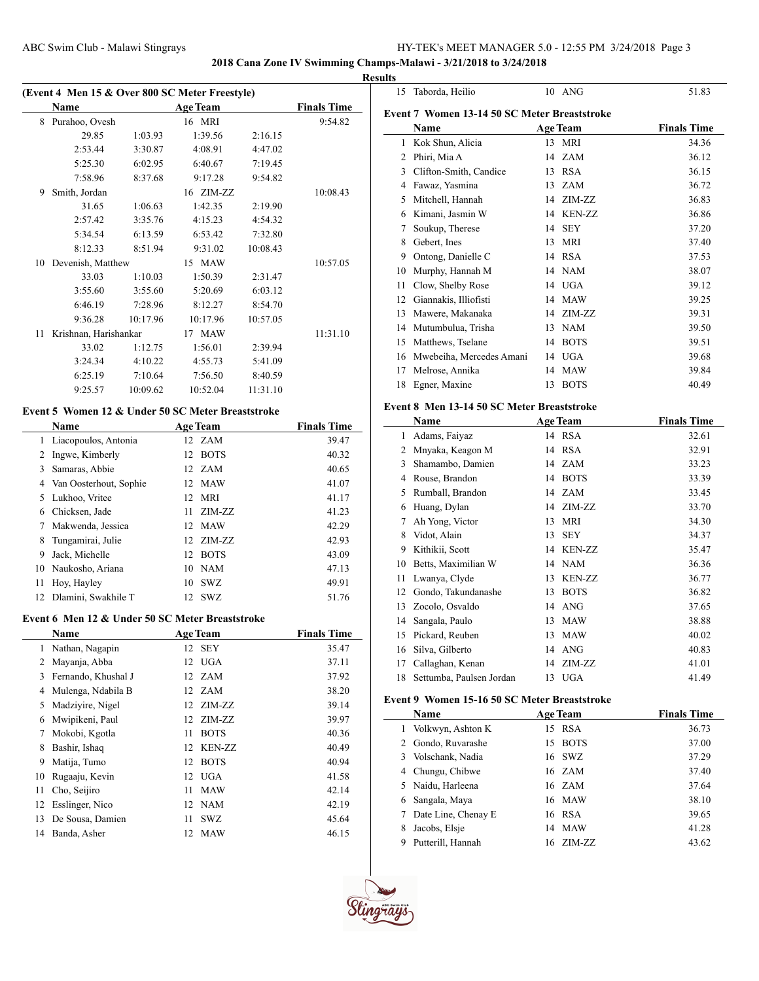# **2018 Cana Zone IV Swimming Champs-Malawi - 3/21/2018 to 3/24/2018**

|    |                                                |          |                 |          |                    | <b>Results</b> |
|----|------------------------------------------------|----------|-----------------|----------|--------------------|----------------|
|    | (Event 4 Men 15 & Over 800 SC Meter Freestyle) |          |                 |          |                    |                |
|    | <b>Name</b>                                    |          | <b>Age Team</b> |          | <b>Finals Time</b> | Ev             |
|    | 8 Purahoo, Ovesh                               |          | 16 MRI          |          | 9:54.82            |                |
|    | 29.85                                          | 1:03.93  | 1:39.56         | 2:16.15  |                    |                |
|    | 2:53.44                                        | 3:30.87  | 4:08.91         | 4:47.02  |                    |                |
|    | 5:25.30                                        | 6:02.95  | 6:40.67         | 7:19.45  |                    |                |
|    | 7:58.96                                        | 8:37.68  | 9:17.28         | 9:54.82  |                    |                |
| 9  | Smith, Jordan                                  |          | 16 ZIM-ZZ       |          | 10:08.43           |                |
|    | 31.65                                          | 1:06.63  | 1:42.35         | 2:19.90  |                    |                |
|    | 2:57.42                                        | 3:35.76  | 4:15.23         | 4:54.32  |                    |                |
|    | 5:34.54                                        | 6:13.59  | 6:53.42         | 7:32.80  |                    |                |
|    | 8:12.33                                        | 8:51.94  | 9:31.02         | 10:08.43 |                    |                |
| 10 | Devenish, Matthew                              |          | 15 MAW          |          | 10:57.05           |                |
|    | 33.03                                          | 1:10.03  | 1:50.39         | 2:31.47  |                    |                |
|    | 3:55.60                                        | 3:55.60  | 5:20.69         | 6:03.12  |                    |                |
|    | 6:46.19                                        | 7:28.96  | 8:12.27         | 8:54.70  |                    |                |
|    | 9:36.28                                        | 10:17.96 | 10:17.96        | 10:57.05 |                    |                |
| 11 | Krishnan, Harishankar                          |          | 17 MAW          |          | 11:31.10           |                |
|    | 33.02                                          | 1:12.75  | 1:56.01         | 2:39.94  |                    |                |
|    | 3:24.34                                        | 4:10.22  | 4:55.73         | 5:41.09  |                    |                |
|    | 6:25.19                                        | 7:10.64  | 7:56.50         | 8:40.59  |                    |                |
|    | 9:25.57                                        | 10:09.62 | 10:52.04        | 11:31.10 |                    |                |

### **Event 5 Women 12 & Under 50 SC Meter Breaststroke**

|    | <b>Name</b>            | <b>Age Team</b> |             | <b>Finals Time</b> |
|----|------------------------|-----------------|-------------|--------------------|
| 1  | Liacopoulos, Antonia   | 12 ZAM          |             | 39.47              |
| 2  | Ingwe, Kimberly        | 12              | <b>BOTS</b> | 40.32              |
| 3  | Samaras, Abbie         | 12 ZAM          |             | 40.65              |
| 4  | Van Oosterhout, Sophie | 12 MAW          |             | 41.07              |
| 5. | Lukhoo, Vritee         | 12 MRI          |             | 41.17              |
| 6  | Chicksen, Jade         | 11              | ZIM-ZZ      | 41.23              |
| 7  | Makwenda, Jessica      | 12 MAW          |             | 42.29              |
| 8  | Tungamirai, Julie      |                 | 12 ZIM-ZZ   | 42.93              |
| 9  | Jack, Michelle         | 12 BOTS         |             | 43.09              |
| 10 | Naukosho, Ariana       | 10              | NAM         | 47.13              |
| 11 | Hoy, Hayley            | 10              | <b>SWZ</b>  | 49.91              |
| 12 | Dlamini, Swakhile T    | 12              | <b>SWZ</b>  | 51.76              |

#### **Event 6 Men 12 & Under 50 SC Meter Breaststroke**

|    | Name                |    | <b>Age Team</b> | <b>Finals Time</b> |
|----|---------------------|----|-----------------|--------------------|
| 1. | Nathan, Nagapin     |    | 12 SEY          | 35.47              |
| 2  | Mayanja, Abba       |    | 12 UGA          | 37.11              |
| 3  | Fernando, Khushal J |    | 12 ZAM          | 37.92              |
| 4  | Mulenga, Ndabila B  |    | 12 ZAM          | 38.20              |
| 5  | Madziyire, Nigel    |    | 12 ZIM-ZZ       | 39.14              |
| 6  | Mwipikeni, Paul     |    | 12 ZIM-ZZ       | 39.97              |
| 7  | Mokobi, Kgotla      | 11 | <b>BOTS</b>     | 40.36              |
| 8  | Bashir, Ishaq       | 12 | KEN-ZZ          | 40.49              |
| 9  | Matija, Tumo        | 12 | <b>BOTS</b>     | 40.94              |
| 10 | Rugaaju, Kevin      |    | 12 UGA          | 41.58              |
| 11 | Cho, Seijiro        | 11 | <b>MAW</b>      | 42.14              |
| 12 | Esslinger, Nico     |    | 12 NAM          | 42.19              |
| 13 | De Sousa, Damien    | 11 | SWZ             | 45.64              |
| 14 | Banda, Asher        | 12 | MAW             | 46.15              |

| 15 | Taborda, Heilio                              | 10<br>ANG           | 51.83              |
|----|----------------------------------------------|---------------------|--------------------|
|    | Event 7 Women 13-14 50 SC Meter Breaststroke |                     |                    |
|    | Name                                         | <b>Age Team</b>     | <b>Finals Time</b> |
| 1  | Kok Shun, Alicia                             | <b>MRI</b><br>13    | 34.36              |
| 2  | Phiri, Mia A                                 | <b>ZAM</b><br>14    | 36.12              |
| 3  | Clifton-Smith, Candice                       | <b>RSA</b><br>13    | 36.15              |
| 4  | Fawaz, Yasmina                               | ZAM<br>13           | 36.72              |
| 5  | Mitchell, Hannah                             | ZIM-ZZ<br>14        | 36.83              |
| 6  | Kimani, Jasmin W                             | <b>KEN-ZZ</b><br>14 | 36.86              |
| 7  | Soukup, Therese                              | <b>SEY</b><br>14    | 37.20              |
| 8  | Gebert, Ines                                 | <b>MRI</b><br>13    | 37.40              |
| 9  | Ontong, Danielle C                           | <b>RSA</b><br>14    | 37.53              |
| 10 | Murphy, Hannah M                             | <b>NAM</b><br>14    | 38.07              |
| 11 | Clow, Shelby Rose                            | <b>UGA</b><br>14    | 39.12              |
| 12 | Giannakis, Illiofisti                        | <b>MAW</b><br>14    | 39.25              |
| 13 | Mawere, Makanaka                             | ZIM-ZZ<br>14        | 39.31              |
| 14 | Mutumbulua, Trisha                           | <b>NAM</b><br>13    | 39.50              |
| 15 | Matthews, Tselane                            | <b>BOTS</b><br>14   | 39.51              |
| 16 | Mwebeiha, Mercedes Amani                     | <b>UGA</b><br>14    | 39.68              |
| 17 | Melrose, Annika                              | <b>MAW</b><br>14    | 39.84              |
| 18 | Egner, Maxine                                | <b>BOTS</b><br>13   | 40.49              |
|    |                                              |                     |                    |

## **Event 8 Men 13-14 50 SC Meter Breaststroke**

|    | Name                     |    | <b>Age Team</b> | <b>Finals Time</b> |
|----|--------------------------|----|-----------------|--------------------|
| 1  | Adams, Faiyaz            |    | 14 RSA          | 32.61              |
| 2  | Mnyaka, Keagon M         | 14 | <b>RSA</b>      | 32.91              |
| 3  | Shamambo, Damien         | 14 | <b>ZAM</b>      | 33.23              |
| 4  | Rouse, Brandon           | 14 | <b>BOTS</b>     | 33.39              |
| 5  | Rumball, Brandon         | 14 | ZAM             | 33.45              |
| 6  | Huang, Dylan             | 14 | ZIM-ZZ          | 33.70              |
| 7  | Ah Yong, Victor          | 13 | <b>MRI</b>      | 34.30              |
| 8  | Vidot, Alain             | 13 | <b>SEY</b>      | 34.37              |
| 9  | Kithikii, Scott          | 14 | <b>KEN-ZZ</b>   | 35.47              |
| 10 | Betts, Maximilian W      | 14 | <b>NAM</b>      | 36.36              |
| 11 | Lwanya, Clyde            | 13 | <b>KEN-ZZ</b>   | 36.77              |
| 12 | Gondo, Takundanashe      | 13 | <b>BOTS</b>     | 36.82              |
| 13 | Zocolo, Osvaldo          | 14 | <b>ANG</b>      | 37.65              |
| 14 | Sangala, Paulo           | 13 | <b>MAW</b>      | 38.88              |
| 15 | Pickard, Reuben          | 13 | <b>MAW</b>      | 40.02              |
| 16 | Silva, Gilberto          | 14 | <b>ANG</b>      | 40.83              |
| 17 | Callaghan, Kenan         | 14 | ZIM-ZZ          | 41.01              |
| 18 | Settumba, Paulsen Jordan |    | 13 UGA          | 41.49              |

### **Event 9 Women 15-16 50 SC Meter Breaststroke**

| <b>Name</b>            | <b>Age Team</b>  | <b>Finals Time</b> |
|------------------------|------------------|--------------------|
| Volkwyn, Ashton K      | 15 RSA           | 36.73              |
| Gondo, Ruvarashe       | 15 BOTS          | 37.00              |
| Volschank, Nadia<br>3. | 16 SWZ           | 37.29              |
| Chungu, Chibwe<br>4    | 16 ZAM           | 37.40              |
| Naidu, Harleena        | 16 ZAM           | 37.64              |
| Sangala, Maya<br>6.    | 16 MAW           | 38.10              |
| Date Line, Chenay E    | 16 RSA           | 39.65              |
| Jacobs, Elsie          | <b>MAW</b><br>14 | 41.28              |
| Putterill, Hannah<br>9 | 16 ZIM-ZZ        | 43.62              |



 $\overline{a}$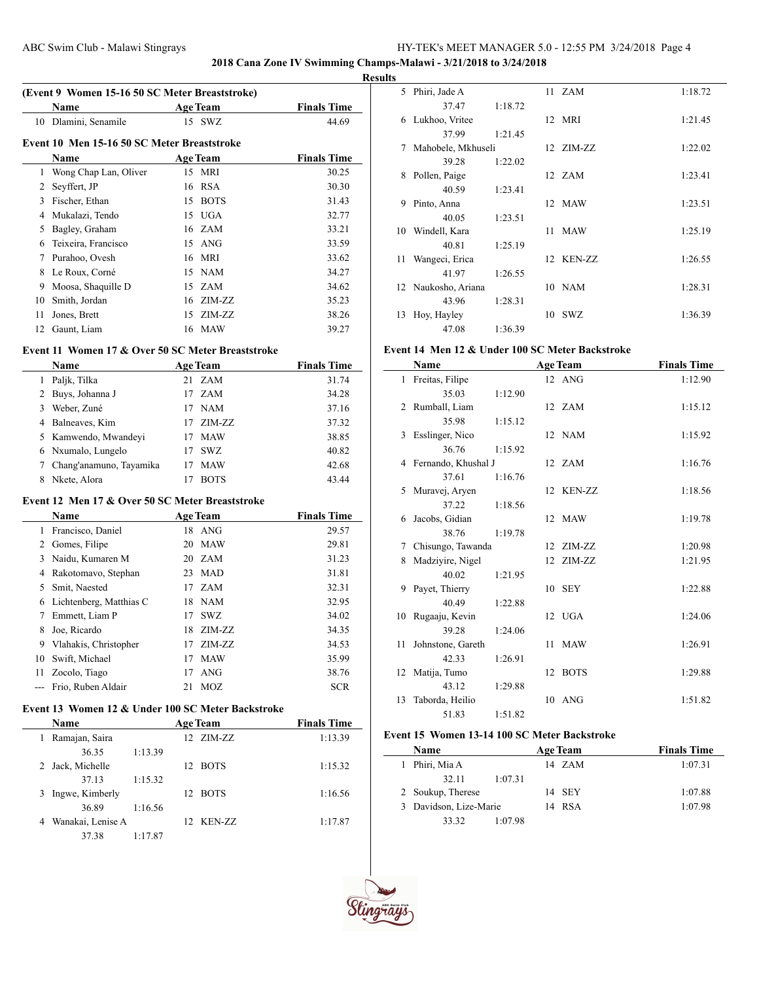**2018 Cana Zone IV Swimming Champs-Malawi - 3/21/2018 to 3/24/2018**

#### **Results**

| (Event 9 Women 15-16 50 SC Meter Breaststroke) |                                             |                   |                    |  |  |  |  |
|------------------------------------------------|---------------------------------------------|-------------------|--------------------|--|--|--|--|
|                                                | Name                                        | <b>Age Team</b>   | <b>Finals Time</b> |  |  |  |  |
| 10                                             | Dlamini, Senamile                           | 15 SWZ            | 44.69              |  |  |  |  |
|                                                | Event 10 Men 15-16 50 SC Meter Breaststroke |                   |                    |  |  |  |  |
|                                                | Name                                        | <b>Age Team</b>   | <b>Finals Time</b> |  |  |  |  |
| 1                                              | Wong Chap Lan, Oliver                       | 15 MRI            | 30.25              |  |  |  |  |
| 2                                              | Seyffert, JP                                | 16 RSA            | 30.30              |  |  |  |  |
| 3                                              | Fischer, Ethan                              | <b>BOTS</b><br>15 | 31.43              |  |  |  |  |
| 4                                              | Mukalazi, Tendo                             | <b>UGA</b><br>15  | 32.77              |  |  |  |  |
| 5                                              | Bagley, Graham                              | 16 ZAM            | 33.21              |  |  |  |  |
| 6                                              | Teixeira, Francisco                         | 15 ANG            | 33.59              |  |  |  |  |
| 7                                              | Purahoo, Ovesh                              | MRI<br>16         | 33.62              |  |  |  |  |
| 8                                              | Le Roux, Corné                              | 15 NAM            | 34.27              |  |  |  |  |
| 9                                              | Moosa, Shaquille D                          | 15 ZAM            | 34.62              |  |  |  |  |
| 10                                             | Smith, Jordan                               | ZIM-ZZ<br>16      | 35.23              |  |  |  |  |
| 11                                             | Jones, Brett                                | ZIM-ZZ<br>15      | 38.26              |  |  |  |  |
| 12                                             | Gaunt, Liam                                 | MAW<br>16         | 39.27              |  |  |  |  |
|                                                |                                             |                   |                    |  |  |  |  |

### **Event 11 Women 17 & Over 50 SC Meter Breaststroke**

|   | <b>Name</b>             | <b>Age Team</b>  | <b>Finals Time</b> |
|---|-------------------------|------------------|--------------------|
|   | Paljk, Tilka            | ZAM<br>21        | 31.74              |
|   | 2 Buys, Johanna J       | ZAM<br>17        | 34.28              |
| 3 | Weber, Zuné             | <b>NAM</b><br>17 | 37.16              |
| 4 | Balneaves, Kim          | ZIM-ZZ<br>17     | 37.32              |
|   | 5 Kamwendo, Mwandeyi    | <b>MAW</b><br>17 | 38.85              |
|   | 6 Nxumalo, Lungelo      | <b>SWZ</b><br>17 | 40.82              |
|   | Chang'anamuno, Tayamika | <b>MAW</b><br>17 | 42.68              |
| 8 | Nkete, Alora            | <b>BOTS</b>      | 43.44              |

### **Event 12 Men 17 & Over 50 SC Meter Breaststroke**

|    | <b>Name</b>             |     | <b>Age Team</b> | <b>Finals Time</b> |
|----|-------------------------|-----|-----------------|--------------------|
| 1  | Francisco, Daniel       | 18  | ANG             | 29.57              |
| 2  | Gomes, Filipe           | 20  | <b>MAW</b>      | 29.81              |
| 3  | Naidu, Kumaren M        |     | 20 ZAM          | 31.23              |
| 4  | Rakotomavo, Stephan     | 23  | <b>MAD</b>      | 31.81              |
| 5  | Smit, Naested           | 17  | ZAM             | 32.31              |
| 6  | Lichtenberg, Matthias C |     | 18 NAM          | 32.95              |
| 7  | Emmett, Liam P          | 17  | SWZ             | 34.02              |
| 8  | Joe, Ricardo            | 18. | ZIM-ZZ          | 34.35              |
| 9  | Vlahakis, Christopher   | 17  | ZIM-ZZ          | 34.53              |
| 10 | Swift, Michael          | 17  | <b>MAW</b>      | 35.99              |
| 11 | Zocolo, Tiago           | 17  | ANG             | 38.76              |
|    | Frio, Ruben Aldair      | 21  | MOZ.            | <b>SCR</b>         |

# **Event 13 Women 12 & Under 100 SC Meter Backstroke**

| <b>Name</b>            | <b>Age Team</b> |     |           | <b>Finals Time</b> |
|------------------------|-----------------|-----|-----------|--------------------|
| Ramajan, Saira<br>1    |                 |     | 12 ZIM-ZZ | 1:13.39            |
| 36.35                  | 1:13.39         |     |           |                    |
| 2 Jack, Michelle       |                 |     | 12 BOTS   | 1:15.32            |
| 37.13                  | 1:15.32         |     |           |                    |
| Ingwe, Kimberly<br>3   |                 |     | 12 BOTS   | 1:16.56            |
| 36.89                  | 1:16.56         |     |           |                    |
| Wanakai, Lenise A<br>4 |                 | 12. | KEN-ZZ    | 1:17.87            |
| 37.38                  | 1:17.87         |     |           |                    |

| 5  | Phiri, Jade A       |         |    | 11 ZAM     | 1:18.72 |
|----|---------------------|---------|----|------------|---------|
|    | 37.47               | 1:18.72 |    |            |         |
| 6  | Lukhoo, Vritee      |         |    | 12 MRI     | 1:21.45 |
|    | 37.99               | 1:21.45 |    |            |         |
| 7  | Mahobele, Mkhuseli  |         |    | 12 ZIM-ZZ  | 1:22.02 |
|    | 39.28               | 1:22.02 |    |            |         |
| 8  | Pollen, Paige       |         |    | 12 ZAM     | 1:23.41 |
|    | 40.59               | 1:23.41 |    |            |         |
| 9  | Pinto, Anna         |         |    | 12 MAW     | 1:23.51 |
|    | 40.05               | 1:23.51 |    |            |         |
| 10 | Windell, Kara       |         | 11 | <b>MAW</b> | 1:25.19 |
|    | 40.81               | 1:25.19 |    |            |         |
| 11 | Wangeci, Erica      |         |    | 12 KEN-ZZ  | 1:26.55 |
|    | 41.97               | 1:26.55 |    |            |         |
|    | 12 Naukosho, Ariana |         |    | $10$ NAM   | 1:28.31 |
|    | 43.96               | 1:28.31 |    |            |         |
| 13 | Hoy, Hayley         |         | 10 | <b>SWZ</b> | 1:36.39 |
|    | 47.08               | 1:36.39 |    |            |         |

### **Event 14 Men 12 & Under 100 SC Meter Backstroke**

|                | Name                |         |                  | <b>Age Team</b> | <b>Finals Time</b> |
|----------------|---------------------|---------|------------------|-----------------|--------------------|
| 1              | Freitas, Filipe     |         |                  | 12 ANG          | 1:12.90            |
|                | 35.03               | 1:12.90 |                  |                 |                    |
| $\mathfrak{D}$ | Rumball, Liam       |         |                  | 12 ZAM          | 1:15.12            |
|                | 35.98               | 1:15.12 |                  |                 |                    |
| 3              | Esslinger, Nico     |         |                  | 12 NAM          | 1:15.92            |
|                | 36.76               | 1:15.92 |                  |                 |                    |
| 4              | Fernando, Khushal J |         |                  | 12 ZAM          | 1:16.76            |
|                | 37.61               | 1:16.76 |                  |                 |                    |
| 5              | Muravej, Aryen      |         |                  | 12 KEN-ZZ       | 1:18.56            |
|                | 37.22               | 1:18.56 |                  |                 |                    |
| 6              | Jacobs, Gidian      |         |                  | 12 MAW          | 1:19.78            |
|                | 38.76               | 1:19.78 |                  |                 |                    |
| 7              | Chisungo, Tawanda   |         |                  | 12 ZIM-ZZ       | 1:20.98            |
| 8              | Madziyire, Nigel    |         | 12 <sup>12</sup> | ZIM-ZZ          | 1:21.95            |
|                | 40.02               | 1:21.95 |                  |                 |                    |
| 9              | Payet, Thierry      |         |                  | 10 SEY          | 1:22.88            |
|                | 40.49               | 1:22.88 |                  |                 |                    |
| 10             | Rugaaju, Kevin      |         |                  | 12 UGA          | 1:24.06            |
|                | 39.28               | 1:24.06 |                  |                 |                    |
| 11             | Johnstone, Gareth   |         | 11 -             | <b>MAW</b>      | 1:26.91            |
|                | 42.33               | 1:26.91 |                  |                 |                    |
| 12             | Matija, Tumo        |         |                  | 12 BOTS         | 1:29.88            |
|                | 43.12               | 1:29.88 |                  |                 |                    |
| 13             | Taborda, Heilio     |         |                  | $10$ ANG        | 1:51.82            |
|                | 51.83               | 1:51.82 |                  |                 |                    |

## **Event 15 Women 13-14 100 SC Meter Backstroke**

| Name                   |         | <b>Age Team</b> | <b>Finals Time</b> |
|------------------------|---------|-----------------|--------------------|
| 1 Phiri, Mia A         |         | 14 ZAM          | 1:07.31            |
| 32.11                  | 1:07.31 |                 |                    |
| 2 Soukup, Therese      |         | 14 SEY          | 1:07.88            |
| 3 Davidson, Lize-Marie |         | 14 RSA          | 1:07.98            |
| 33.32                  | 1:07.98 |                 |                    |

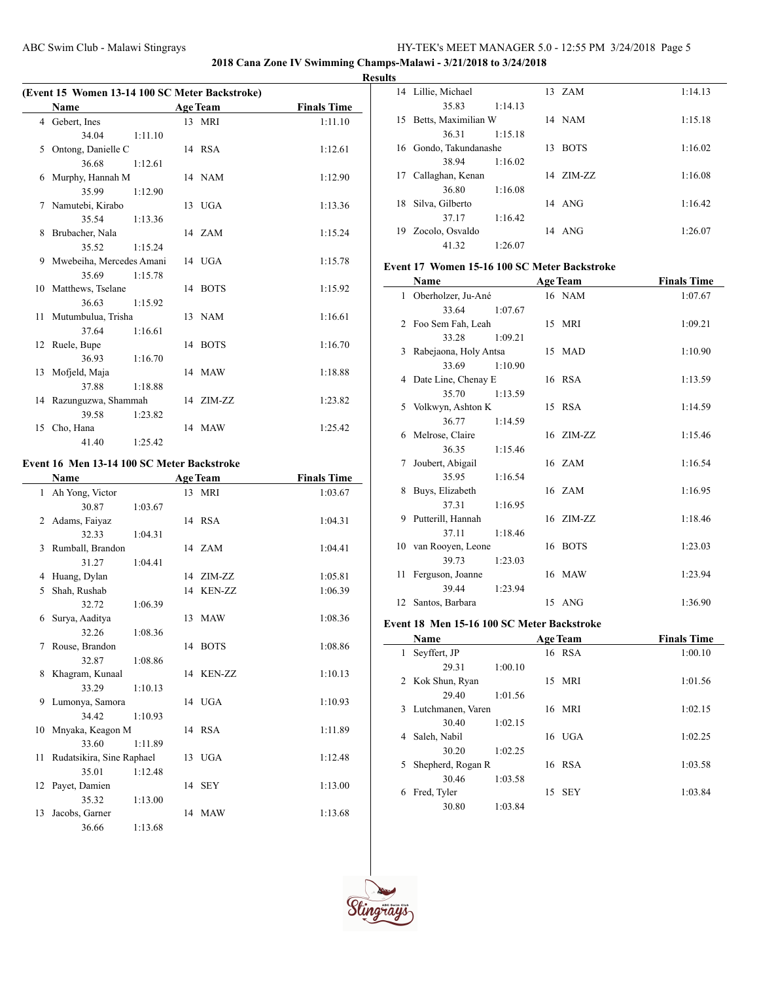**2018 Cana Zone IV Swimming Champs-Malawi - 3/21/2018 to 3/24/2018**

**Results**

| (Event 15 Women 13-14 100 SC Meter Backstroke) |                          |         |  |                 |                    |  |
|------------------------------------------------|--------------------------|---------|--|-----------------|--------------------|--|
|                                                | <b>Name</b>              |         |  | <b>Age Team</b> | <b>Finals Time</b> |  |
|                                                | 4 Gebert, Ines           |         |  | 13 MRI          | 1:11.10            |  |
|                                                | 34.04                    | 1:11.10 |  |                 |                    |  |
| 5                                              | Ontong, Danielle C       |         |  | 14 RSA          | 1:12.61            |  |
|                                                | 36.68                    | 1:12.61 |  |                 |                    |  |
| 6                                              | Murphy, Hannah M         |         |  | 14 NAM          | 1:12.90            |  |
|                                                | 35.99                    | 1:12.90 |  |                 |                    |  |
|                                                | 7 Namutebi, Kirabo       |         |  | 13 UGA          | 1:13.36            |  |
|                                                | 35.54                    | 1:13.36 |  |                 |                    |  |
| 8                                              | Brubacher, Nala          |         |  | 14 ZAM          | 1:15.24            |  |
|                                                | 35.52                    | 1:15.24 |  |                 |                    |  |
| 9                                              | Mwebeiha, Mercedes Amani |         |  | 14 UGA          | 1:15.78            |  |
|                                                | 35.69                    | 1:15.78 |  |                 |                    |  |
|                                                | 10 Matthews, Tselane     |         |  | 14 BOTS         | 1:15.92            |  |
|                                                | 36.63                    | 1:15.92 |  |                 |                    |  |
|                                                | 11 Mutumbulua, Trisha    |         |  | 13 NAM          | 1:16.61            |  |
|                                                | 37.64                    | 1:16.61 |  |                 |                    |  |
|                                                | 12 Ruele, Bupe           |         |  | 14 BOTS         | 1:16.70            |  |
|                                                | 36.93                    | 1:16.70 |  |                 |                    |  |
|                                                | 13 Mofjeld, Maja         |         |  | 14 MAW          | 1:18.88            |  |
|                                                | 37.88                    | 1:18.88 |  |                 |                    |  |
|                                                | 14 Razunguzwa, Shammah   |         |  | 14 ZIM-ZZ       | 1:23.82            |  |
|                                                | 39.58                    | 1:23.82 |  |                 |                    |  |
|                                                | 15 Cho, Hana             |         |  | 14 MAW          | 1:25.42            |  |
|                                                | 41.40                    | 1:25.42 |  |                 |                    |  |

## **Event 16 Men 13-14 100 SC Meter Backstroke**

|    | Name                      |         | <b>Age Team</b> | <b>Finals Time</b> |
|----|---------------------------|---------|-----------------|--------------------|
|    | 1 Ah Yong, Victor         |         | 13 MRI          | 1:03.67            |
|    | 30.87                     | 1:03.67 |                 |                    |
| 2  | Adams, Faiyaz             |         | 14 RSA          | 1:04.31            |
|    | 32.33                     | 1:04.31 |                 |                    |
| 3  | Rumball, Brandon          |         | 14 ZAM          | 1:04.41            |
|    | 31.27                     | 1:04.41 |                 |                    |
| 4  | Huang, Dylan              |         | 14 ZIM-ZZ       | 1:05.81            |
| 5. | Shah, Rushab              |         | 14 KEN-ZZ       | 1:06.39            |
|    | 32.72                     | 1:06.39 |                 |                    |
| 6  | Surya, Aaditya            |         | 13 MAW          | 1:08.36            |
|    | 32.26                     | 1:08.36 |                 |                    |
| 7  | Rouse, Brandon            |         | 14 BOTS         | 1:08.86            |
|    | 32.87                     | 1:08.86 |                 |                    |
|    | 8 Khagram, Kunaal         |         | 14 KEN-ZZ       | 1:10.13            |
|    | 33.29                     | 1:10.13 |                 |                    |
|    | 9 Lumonya, Samora         |         | 14 UGA          | 1:10.93            |
|    | 34.42                     | 1:10.93 |                 |                    |
|    | 10 Mnyaka, Keagon M       |         | 14 RSA          | 1:11.89            |
|    | 33.60                     | 1:11.89 |                 |                    |
| 11 | Rudatsikira, Sine Raphael |         | 13 UGA          | 1:12.48            |
|    | 35.01                     | 1:12.48 |                 |                    |
|    | 12 Payet, Damien          |         | 14 SEY          | 1:13.00            |
|    | 35.32                     | 1:13.00 |                 |                    |
| 13 | Jacobs, Garner            |         | 14 MAW          | 1:13.68            |
|    | 36.66                     | 1:13.68 |                 |                    |

|    | 14 Lillie, Michael  |         |    | $13 \text{ ZAM}$ | 1:14.13 |
|----|---------------------|---------|----|------------------|---------|
|    | 35.83               | 1:14.13 |    |                  |         |
| 15 | Betts, Maximilian W |         |    | 14 NAM           | 1:15.18 |
|    | 36.31               | 1:15.18 |    |                  |         |
| 16 | Gondo, Takundanashe |         | 13 | <b>BOTS</b>      | 1:16.02 |
|    | 38.94               | 1:16.02 |    |                  |         |
| 17 | Callaghan, Kenan    |         |    | 14 ZIM-ZZ        | 1:16.08 |
|    | 36.80               | 1:16.08 |    |                  |         |
| 18 | Silva, Gilberto     |         |    | $14$ ANG         | 1:16.42 |
|    | 37.17               | 1:16.42 |    |                  |         |
| 19 | Zocolo, Osvaldo     |         |    | 14 ANG           | 1:26.07 |
|    | 41.32               | 1:26.07 |    |                  |         |

# **Event 17 Women 15-16 100 SC Meter Backstroke**

| Name         |                         | <b>Age Team</b> | <b>Finals Time</b> |  |
|--------------|-------------------------|-----------------|--------------------|--|
| $\mathbf{1}$ | Oberholzer, Ju-Ané      | 16 NAM          | 1:07.67            |  |
|              | 33.64<br>1:07.67        |                 |                    |  |
|              | 2 Foo Sem Fah, Leah     | 15 MRI          | 1:09.21            |  |
|              | 1:09.21<br>33.28        |                 |                    |  |
|              | 3 Rabejaona, Holy Antsa | 15 MAD          | 1:10.90            |  |
|              | 33.69<br>1:10.90        |                 |                    |  |
|              | 4 Date Line, Chenay E   | 16 RSA          | 1:13.59            |  |
|              | 35.70<br>1:13.59        |                 |                    |  |
| 5            | Volkwyn, Ashton K       | 15 RSA          | 1:14.59            |  |
|              | 36.77<br>1:14.59        |                 |                    |  |
| 6            | Melrose, Claire         | 16 ZIM-ZZ       | 1:15.46            |  |
|              | 36.35<br>1:15.46        |                 |                    |  |
| 7            | Joubert, Abigail        | 16 ZAM          | 1:16.54            |  |
|              | 35.95<br>1:16.54        |                 |                    |  |
| 8            | Buys, Elizabeth         | 16 ZAM          | 1:16.95            |  |
|              | 37.31<br>1:16.95        |                 |                    |  |
|              | 9 Putterill, Hannah     | 16 ZIM-ZZ       | 1:18.46            |  |
|              | 37.11<br>1:18.46        |                 |                    |  |
|              | 10 van Rooyen, Leone    | 16 BOTS         | 1:23.03            |  |
|              | 1:23.03<br>39.73        |                 |                    |  |
|              | 11 Ferguson, Joanne     | 16 MAW          | 1:23.94            |  |
|              | 39.44<br>1:23.94        |                 |                    |  |
|              | 12 Santos, Barbara      | 15 ANG          | 1:36.90            |  |

### **Event 18 Men 15-16 100 SC Meter Backstroke**

| <b>Name</b>             |         |    | <b>Age Team</b> | <b>Finals Time</b> |
|-------------------------|---------|----|-----------------|--------------------|
| Seyffert, JP<br>1       |         |    | 16 RSA          | 1:00.10            |
| 29.31                   | 1:00.10 |    |                 |                    |
| 2 Kok Shun, Ryan        |         | 15 | <b>MRI</b>      | 1:01.56            |
| 29.40                   | 1:01.56 |    |                 |                    |
| 3 Lutchmanen, Varen     |         |    | 16 MRI          | 1:02.15            |
| 30.40                   | 1:02.15 |    |                 |                    |
| Saleh, Nabil<br>4       |         |    | $16$ UGA        | 1:02.25            |
| 30.20                   | 1:02.25 |    |                 |                    |
| Shepherd, Rogan R<br>5. |         |    | 16 RSA          | 1:03.58            |
| 30.46                   | 1:03.58 |    |                 |                    |
| Fred, Tyler<br>6        |         | 15 | - SEY           | 1:03.84            |
| 30.80                   | 1:03.84 |    |                 |                    |

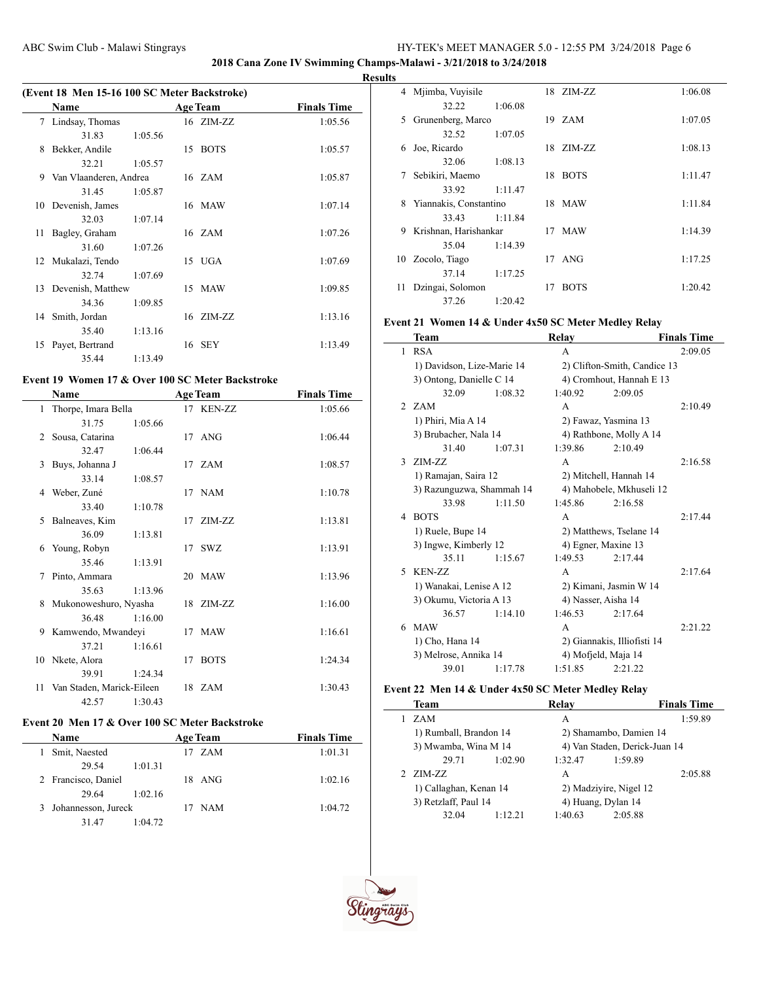**2018 Cana Zone IV Swimming Champs-Malawi - 3/21/2018 to 3/24/2018**

 $\overline{a}$ 

#### **Results**

| (Event 18 Men 15-16 100 SC Meter Backstroke) |                        |         |    |                 |                    |  |
|----------------------------------------------|------------------------|---------|----|-----------------|--------------------|--|
|                                              | Name                   |         |    | <b>Age Team</b> | <b>Finals Time</b> |  |
|                                              | 7 Lindsay, Thomas      |         |    | 16 ZIM-ZZ       | 1:05.56            |  |
|                                              | 31.83                  | 1:05.56 |    |                 |                    |  |
| 8                                            | Bekker, Andile         |         | 15 | <b>BOTS</b>     | 1:05.57            |  |
|                                              | 32.21                  | 1:05.57 |    |                 |                    |  |
| 9                                            | Van Vlaanderen, Andrea |         |    | 16 ZAM          | 1:05.87            |  |
|                                              | 31.45                  | 1:05.87 |    |                 |                    |  |
|                                              | 10 Devenish, James     |         |    | 16 MAW          | 1:07.14            |  |
|                                              | 32.03                  | 1:07.14 |    |                 |                    |  |
| 11                                           | Bagley, Graham         |         |    | 16 ZAM          | 1:07.26            |  |
|                                              | 31.60                  | 1:07.26 |    |                 |                    |  |
|                                              | 12 Mukalazi, Tendo     |         |    | 15 UGA          | 1:07.69            |  |
|                                              | 32.74                  | 1:07.69 |    |                 |                    |  |
|                                              | 13 Devenish, Matthew   |         |    | 15 MAW          | 1:09.85            |  |
|                                              | 34.36                  | 1:09.85 |    |                 |                    |  |
|                                              | 14 Smith, Jordan       |         |    | 16 ZIM-ZZ       | 1:13.16            |  |
|                                              | 35.40                  | 1:13.16 |    |                 |                    |  |
|                                              | 15 Payet, Bertrand     |         |    | 16 SEY          | 1:13.49            |  |
|                                              | 35.44                  | 1:13.49 |    |                 |                    |  |

# **Event 19 Women 17 & Over 100 SC Meter Backstroke**

|    | Name                      |         |                 | <b>Age Team</b> | <b>Finals Time</b> |
|----|---------------------------|---------|-----------------|-----------------|--------------------|
|    | 1 Thorpe, Imara Bella     |         |                 | 17 KEN-ZZ       | 1:05.66            |
|    | 31.75                     | 1:05.66 |                 |                 |                    |
| 2  | Sousa, Catarina           |         |                 | 17 ANG          | 1:06.44            |
|    | 32.47                     | 1:06.44 |                 |                 |                    |
| 3  | Buys, Johanna J           |         |                 | 17 ZAM          | 1:08.57            |
|    | 33.14                     | 1:08.57 |                 |                 |                    |
| 4  | Weber, Zuné               |         |                 | 17 NAM          | 1:10.78            |
|    | 33.40                     | 1:10.78 |                 |                 |                    |
| 5. | Balneaves, Kim            |         |                 | 17 ZIM-ZZ       | 1:13.81            |
|    | 36.09                     | 1:13.81 |                 |                 |                    |
| 6  | Young, Robyn              |         |                 | 17 SWZ          | 1:13.91            |
|    | 35.46                     | 1:13.91 |                 |                 |                    |
| 7  | Pinto, Ammara             |         |                 | 20 MAW          | 1:13.96            |
|    | 35.63                     | 1:13.96 |                 |                 |                    |
|    | 8 Mukonoweshuro, Nyasha   |         |                 | 18 ZIM-ZZ       | 1:16.00            |
|    | 36.48                     | 1:16.00 |                 |                 |                    |
|    | 9 Kamwendo, Mwandeyi      |         |                 | 17 MAW          | 1:16.61            |
|    | 37.21                     | 1:16.61 |                 |                 |                    |
|    | 10 Nkete, Alora           |         | 17 <sup>7</sup> | <b>BOTS</b>     | 1:24.34            |
|    | 39.91                     | 1:24.34 |                 |                 |                    |
| 11 | Van Staden, Marick-Eileen |         |                 | 18 ZAM          | 1:30.43            |
|    | 42.57                     | 1:30.43 |                 |                 |                    |

# **Event 20 Men 17 & Over 100 SC Meter Backstroke**

| <b>Name</b>           |         | <b>Age Team</b> | <b>Finals Time</b> |
|-----------------------|---------|-----------------|--------------------|
| Smit, Naested         |         | 17 ZAM          | 1:01.31            |
| 29.54                 | 1:01.31 |                 |                    |
| 2 Francisco, Daniel   |         | 18 ANG          | 1:02.16            |
| 29.64                 | 1:02.16 |                 |                    |
| 3 Johannesson, Jureck |         | <b>NAM</b>      | 1:04.72            |
| 31.47                 | 1:04.72 |                 |                    |

| v  |                        |         |    |             |         |
|----|------------------------|---------|----|-------------|---------|
| 4  | Mjimba, Vuyisile       |         |    | 18 ZIM-ZZ   | 1:06.08 |
|    | 32.22                  | 1:06.08 |    |             |         |
| 5  | Grunenberg, Marco      |         |    | 19 ZAM      | 1:07.05 |
|    | 32.52                  | 1:07.05 |    |             |         |
| 6  | Joe, Ricardo           |         | 18 | ZIM-ZZ      | 1:08.13 |
|    | 32.06                  | 1:08.13 |    |             |         |
| 7  | Sebikiri, Maemo        |         |    | 18 BOTS     | 1:11.47 |
|    | 33.92                  | 1:11.47 |    |             |         |
| 8  | Yiannakis, Constantino |         |    | 18 MAW      | 1:11.84 |
|    | 33.43                  | 1:11.84 |    |             |         |
| 9  | Krishnan, Harishankar  |         |    | 17 MAW      | 1:14.39 |
|    | 35.04                  | 1:14.39 |    |             |         |
| 10 | Zocolo, Tiago          |         | 17 | ANG         | 1:17.25 |
|    | 37.14                  | 1:17.25 |    |             |         |
| 11 | Dzingai, Solomon       |         | 17 | <b>BOTS</b> | 1:20.42 |
|    | 37.26                  | 1:20.42 |    |             |         |

# **Event 21 Women 14 & Under 4x50 SC Meter Medley Relay**

|               | Team                       |         | Relay                |                              | <b>Finals Time</b> |
|---------------|----------------------------|---------|----------------------|------------------------------|--------------------|
| 1             | <b>RSA</b>                 |         | A                    |                              | 2:09.05            |
|               | 1) Davidson, Lize-Marie 14 |         |                      | 2) Clifton-Smith, Candice 13 |                    |
|               | 3) Ontong, Danielle C 14   |         |                      | 4) Cromhout, Hannah E 13     |                    |
|               | 32.09                      | 1:08.32 | 1:40.92              | 2:09.05                      |                    |
|               | 2 ZAM                      |         | A                    |                              | 2:10.49            |
|               | 1) Phiri, Mia A 14         |         | 2) Fawaz, Yasmina 13 |                              |                    |
|               | 3) Brubacher, Nala 14      |         |                      | 4) Rathbone, Molly A 14      |                    |
|               | 31.40                      | 1:07.31 | 1:39.86              | 2:10.49                      |                    |
| $\mathcal{E}$ | ZIM-ZZ                     |         | A                    |                              | 2:16.58            |
|               | 1) Ramajan, Saira 12       |         |                      | 2) Mitchell, Hannah 14       |                    |
|               | 3) Razunguzwa, Shammah 14  |         |                      | 4) Mahobele, Mkhuseli 12     |                    |
|               | 33.98                      | 1:11.50 | 1:45.86              | 2:16.58                      |                    |
| 4             | <b>BOTS</b>                |         | A                    |                              | 2:17.44            |
|               | 1) Ruele, Bupe 14          |         |                      | 2) Matthews, Tselane 14      |                    |
|               | 3) Ingwe, Kimberly 12      |         | 4) Egner, Maxine 13  |                              |                    |
|               | 35 11                      | 1:15.67 | 1:49.53              | 2:17.44                      |                    |
| 5.            | KEN-ZZ                     |         | A                    |                              | 2:17.64            |
|               | 1) Wanakai, Lenise A 12    |         |                      | 2) Kimani, Jasmin W 14       |                    |
|               | 3) Okumu, Victoria A 13    |         | 4) Nasser, Aisha 14  |                              |                    |
|               | 36.57                      | 1:14.10 | 1:46.53              | 2:17.64                      |                    |
| 6             | MAW                        |         | A                    |                              | 2:21.22            |
|               | 1) Cho, Hana 14            |         |                      | 2) Giannakis, Illiofisti 14  |                    |
|               | 3) Melrose, Annika 14      |         | 4) Mofjeld, Maja 14  |                              |                    |
|               | 39.01                      | 1:17.78 | 1:51.85              | 2:21.22                      |                    |

# **Event 22 Men 14 & Under 4x50 SC Meter Medley Relay**

| Team                   |         | Relav                         |                    | <b>Finals Time</b> |
|------------------------|---------|-------------------------------|--------------------|--------------------|
| ZAM                    |         | A                             |                    | 1:59.89            |
| 1) Rumball, Brandon 14 |         | 2) Shamambo, Damien 14        |                    |                    |
| 3) Mwamba, Wina M 14   |         | 4) Van Staden, Derick-Juan 14 |                    |                    |
| 29.71                  | 1:02.90 | 1:32.47                       | 1:59.89            |                    |
| ZIM-ZZ                 |         | A                             |                    | 2:05.88            |
| 1) Callaghan, Kenan 14 |         | 2) Madziyire, Nigel 12        |                    |                    |
| 3) Retzlaff, Paul 14   |         |                               | 4) Huang, Dylan 14 |                    |
| 32.04                  | 1:12.21 | 1:40.63                       | 2:05.88            |                    |
|                        |         |                               |                    |                    |

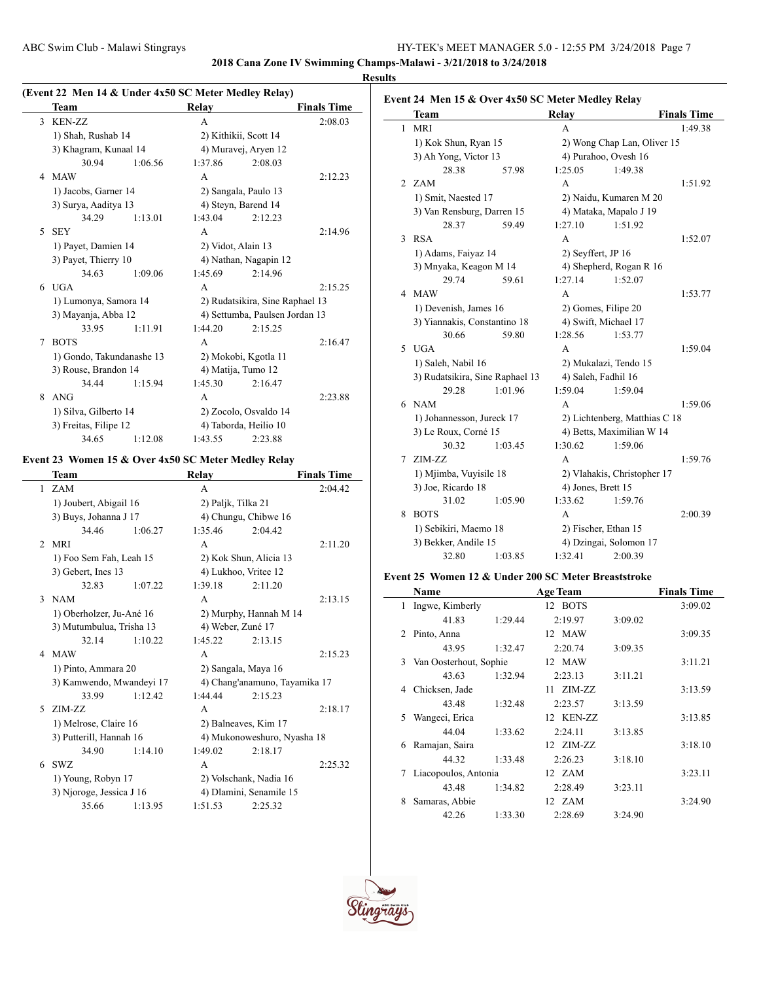**Event 24 Men 15 & Over 4x50 SC Meter Medley Relay**

**2018 Cana Zone IV Swimming Champs-Malawi - 3/21/2018 to 3/24/2018 Results**

### **(Event 22 Men 14 & Under 4x50 SC Meter Medley Relay)**

|   | Team                      |         | Relay                           |                       | <b>Finals Time</b> |
|---|---------------------------|---------|---------------------------------|-----------------------|--------------------|
|   | 3 KEN-ZZ                  |         | A                               |                       | 2:08.03            |
|   | 1) Shah, Rushab 14        |         |                                 | 2) Kithikii, Scott 14 |                    |
|   | 3) Khagram, Kunaal 14     |         |                                 | 4) Muravej, Aryen 12  |                    |
|   | 30.94                     | 1:06.56 | 1:37.86                         | 2:08.03               |                    |
| 4 | <b>MAW</b>                |         | A                               |                       | 2:12.23            |
|   | 1) Jacobs, Garner 14      |         |                                 | 2) Sangala, Paulo 13  |                    |
|   | 3) Surya, Aaditya 13      |         |                                 | 4) Steyn, Barend 14   |                    |
|   | 34.29                     | 1:13.01 | 1:43.04                         | 2:12.23               |                    |
| 5 | <b>SEY</b>                |         | A                               |                       | 2:14.96            |
|   | 1) Payet, Damien 14       |         | 2) Vidot, Alain 13              |                       |                    |
|   | 3) Payet, Thierry 10      |         | 4) Nathan, Nagapin 12           |                       |                    |
|   | 34.63                     | 1:09.06 | 1:45.69                         | 2:14.96               |                    |
| 6 | <b>UGA</b>                |         | A                               |                       | 2:15.25            |
|   | 1) Lumonya, Samora 14     |         | 2) Rudatsikira, Sine Raphael 13 |                       |                    |
|   | 3) Mayanja, Abba 12       |         | 4) Settumba, Paulsen Jordan 13  |                       |                    |
|   | 33.95                     | 1:11.91 | 1:44.20                         | 2:15.25               |                    |
| 7 | <b>BOTS</b>               |         | A                               |                       | 2:16.47            |
|   | 1) Gondo, Takundanashe 13 |         | 2) Mokobi, Kgotla 11            |                       |                    |
|   | 3) Rouse, Brandon 14      |         |                                 | 4) Matija, Tumo 12    |                    |
|   | 34.44                     | 1:15.94 | 1:45.30                         | 2:16.47               |                    |
| 8 | <b>ANG</b>                |         | A                               |                       | 2:23.88            |
|   | 1) Silva, Gilberto 14     |         |                                 | 2) Zocolo, Osvaldo 14 |                    |
|   | 3) Freitas, Filipe 12     |         |                                 | 4) Taborda, Heilio 10 |                    |
|   | 34.65                     | 1:12.08 | 1:43.55                         | 2:23.88               |                    |

#### **Event 23 Women 15 & Over 4x50 SC Meter Medley Relay**

L,

|                | Team                     |         | <b>Relay</b>         |                               | <b>Finals Time</b> |
|----------------|--------------------------|---------|----------------------|-------------------------------|--------------------|
|                | 1 ZAM                    |         | A                    |                               | 2:04.42            |
|                | 1) Joubert, Abigail 16   |         | 2) Paljk, Tilka 21   |                               |                    |
|                | 3) Buys, Johanna J 17    |         |                      | 4) Chungu, Chibwe 16          |                    |
|                | 34.46                    | 1:06.27 | 1:35.46              | 2:04.42                       |                    |
| $\mathfrak{D}$ | <b>MRI</b>               |         | A                    |                               | 2:11.20            |
|                | 1) Foo Sem Fah, Leah 15  |         |                      | 2) Kok Shun, Alicia 13        |                    |
|                | 3) Gebert, Ines 13       |         | 4) Lukhoo, Vritee 12 |                               |                    |
|                | 32.83                    | 1:07.22 | 1:39.18              | 2:11.20                       |                    |
| $\mathcal{E}$  | <b>NAM</b>               |         | A                    |                               | 2:13.15            |
|                | 1) Oberholzer, Ju-Ané 16 |         |                      | 2) Murphy, Hannah M 14        |                    |
|                | 3) Mutumbulua, Trisha 13 |         | 4) Weber, Zuné 17    |                               |                    |
|                | 32.14                    | 1:10.22 | 1:45.22              | 2:13.15                       |                    |
| 4              | <b>MAW</b>               |         | A                    |                               | 2:15.23            |
|                | 1) Pinto, Ammara 20      |         | 2) Sangala, Maya 16  |                               |                    |
|                | 3) Kamwendo, Mwandeyi 17 |         |                      | 4) Chang'anamuno, Tayamika 17 |                    |
|                | 33.99                    | 1:12.42 | 1:44.44              | 2:15.23                       |                    |
| 5              | $ZIM-ZZ$                 |         | A                    |                               | 2:18.17            |
|                | 1) Melrose, Claire 16    |         | 2) Balneaves, Kim 17 |                               |                    |
|                | 3) Putterill, Hannah 16  |         |                      | 4) Mukonoweshuro, Nyasha 18   |                    |
|                | 34.90                    | 1:14.10 | 1:49.02              | 2:18.17                       |                    |
| 6              | SWZ                      |         | A                    |                               | 2:25.32            |
|                | 1) Young, Robyn 17       |         |                      | 2) Volschank, Nadia 16        |                    |
|                | 3) Njoroge, Jessica J 16 |         |                      | 4) Dlamini, Senamile 15       |                    |
|                | 35.66                    | 1:13.95 | 1:51.53              | 2:25.32                       |                    |

## **Team Relay Finals Time** 1 MRI A 1:49.38 1) Kok Shun, Ryan 15 2) Wong Chap Lan, Oliver 15 3) Ah Yong, Victor 13 4) Purahoo, Ovesh 16 28.38 57.98 1:25.05 1:49.38 2 ZAM A 1:51.92 1) Smit, Naested 17 2) Naidu, Kumaren M 20 3) Van Rensburg, Darren 15 4) Mataka, Mapalo J 19 28.37 59.49 1:27.10 1:51.92 3 RSA 1:52.07 1) Adams, Faiyaz 14 2) Seyffert, JP 16 3) Mnyaka, Keagon M 14 4) Shepherd, Rogan R 16 29.74 59.61 1:27.14 1:52.07 4 MAW A 1:53.77 1) Devenish, James 16 2) Gomes, Filipe 20 3) Yiannakis, Constantino 18 4) Swift, Michael 17 30.66 59.80 1:28.56 1:53.77 5 UGA A 1:59.04 1) Saleh, Nabil 16 2) Mukalazi, Tendo 15 3) Rudatsikira, Sine Raphael 13 4) Saleh, Fadhil 16 29.28 1:01.96 1:59.04 1:59.04 6 NAM A 1:59.06 1) Johannesson, Jureck 17 2) Lichtenberg, Matthias C 18 3) Le Roux, Corné 15 4) Betts, Maximilian W 14 30.32 1:03.45 1:30.62 1:59.06 7 ZIM-ZZ A 1:59.76 1) Mjimba, Vuyisile 18 2) Vlahakis, Christopher 17 3) Joe, Ricardo 18 4) Jones, Brett 15 31.02 1:05.90 1:33.62 1:59.76 8 BOTS A 2:00.39

#### **Event 25 Women 12 & Under 200 SC Meter Breaststroke**

1) Sebikiri, Maemo 18 2) Fischer, Ethan 15 3) Bekker, Andile 15 4) Dzingai, Solomon 17 32.80 1:03.85 1:32.41 2:00.39

|                | Name                   |         | <b>Age Team</b> |         | <b>Finals Time</b> |
|----------------|------------------------|---------|-----------------|---------|--------------------|
| 1              | Ingwe, Kimberly        |         | 12 BOTS         |         | 3:09.02            |
|                | 41.83                  | 1:29.44 | 2:19.97         | 3:09.02 |                    |
| $\mathfrak{D}$ | Pinto, Anna            |         | 12 MAW          |         | 3:09.35            |
|                | 43.95                  | 1:32.47 | 2:20.74         | 3:09.35 |                    |
| 3              | Van Oosterhout, Sophie |         | 12 MAW          |         | 3:11.21            |
|                | 43.63                  | 1:32.94 | 2:23.13         | 3:11.21 |                    |
| 4              | Chicksen, Jade         |         | 11 ZIM-ZZ       |         | 3:13.59            |
|                | 43.48                  | 1:32.48 | 2:23.57         | 3:13.59 |                    |
| 5              | Wangeci, Erica         |         | 12 KEN-ZZ       |         | 3:13.85            |
|                | 44.04                  | 1:33.62 | 2:24.11         | 3:13.85 |                    |
| 6              | Ramajan, Saira         |         | 12 ZIM-ZZ       |         | 3:18.10            |
|                | 44.32                  | 1:33.48 | 2:26.23         | 3:18.10 |                    |
| 7              | Liacopoulos, Antonia   |         | 12 ZAM          |         | 3:23.11            |
|                | 43.48                  | 1:34.82 | 2:28.49         | 3:23.11 |                    |
| 8              | Samaras, Abbie         |         | 12 ZAM          |         | 3:24.90            |
|                | 42.26                  | 1:33.30 | 2:28.69         | 3:24.90 |                    |



 $\overline{a}$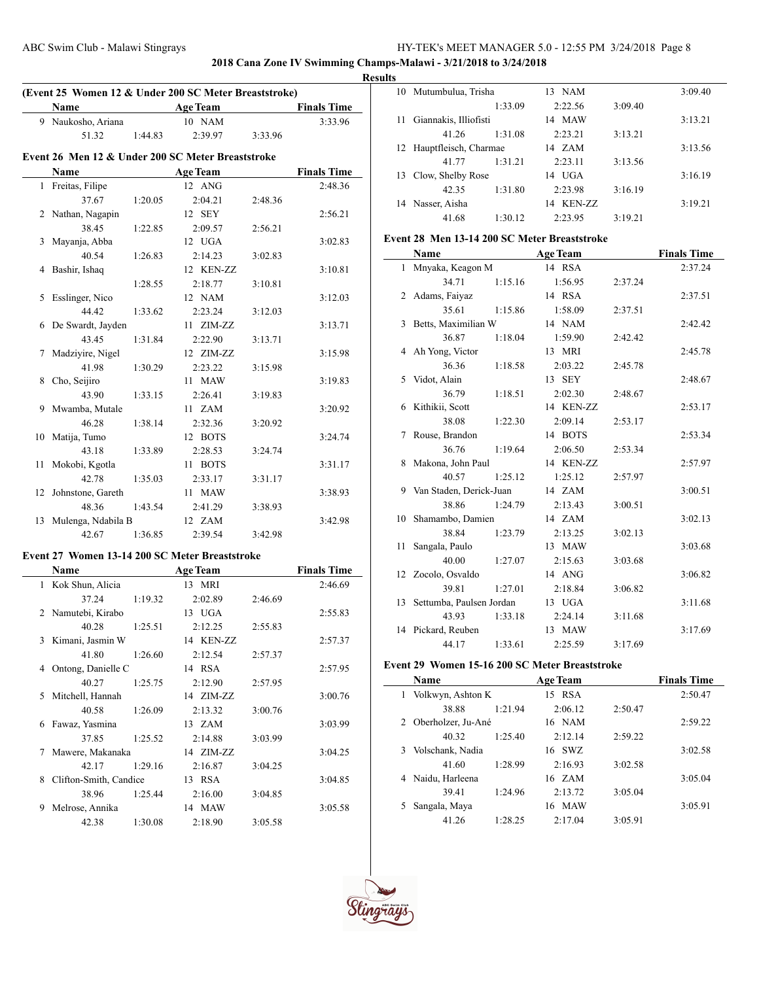**2018 Cana Zone IV Swimming Champs-Malawi - 3/21/2018 to 3/24/2018**

# **(Event 25 Women 12 & Under 200 SC Meter Breaststroke) Name Age Team Finals Time** 9 Naukosho, Ariana 10 NAM 3:33.96 51.32 1:44.83 2:39.97 3:33.96 **Event 26 Men 12 & Under 200 SC Meter Breaststroke Name Age Team Finals Time** 1 Freitas, Filipe 12 ANG 2:48.36 37.67 1:20.05 2:04.21 2:48.36 2 Nathan, Nagapin 12 SEY 2:56.21 38.45 1:22.85 2:09.57 2:56.21 3 Mayanja, Abba 12 UGA 3:02.83 40.54 1:26.83 2:14.23 3:02.83 4 Bashir, Ishaq 12 KEN-ZZ 3:10.81 1:28.55 2:18.77 3:10.81 5 Esslinger, Nico 12 NAM 3:12.03 44.42 1:33.62 2:23.24 3:12.03 6 De Swardt, Jayden 11 ZIM-ZZ 3:13.71 43.45 1:31.84 2:22.90 3:13.71 7 Madziyire, Nigel 12 ZIM-ZZ 3:15.98 41.98 1:30.29 2:23.22 3:15.98 8 Cho, Seijiro 11 MAW 3:19.83 43.90 1:33.15 2:26.41 3:19.83 9 Mwamba, Mutale 11 ZAM 3:20.92 46.28 1:38.14 2:32.36 3:20.92 10 Matija, Tumo 12 BOTS 3:24.74 43.18 1:33.89 2:28.53 3:24.74 11 Mokobi, Kgotla 11 BOTS 3:31.17 42.78 1:35.03 2:33.17 3:31.17 12 Johnstone, Gareth 11 MAW 3:38.93 48.36 1:43.54 2:41.29 3:38.93 13 Mulenga, Ndabila B 12 ZAM 3:42.98 42.67 1:36.85 2:39.54 3:42.98 **Event 27 Women 13-14 200 SC Meter Breaststroke**

|   | Name                   |         | <b>Age Team</b>  |         | <b>Finals Time</b> |
|---|------------------------|---------|------------------|---------|--------------------|
|   | 1 Kok Shun, Alicia     |         | 13 MRI           |         | 2:46.69            |
|   | 37.24                  | 1:19.32 | 2:02.89          | 2:46.69 |                    |
|   | 2 Namutebi, Kirabo     |         | 13 UGA           |         | 2:55.83            |
|   | 40.28                  | 1:25.51 | 2:12.25          | 2:55.83 |                    |
| 3 | Kimani, Jasmin W       |         | 14 KEN-ZZ        |         | 2:57.37            |
|   | 41.80                  | 1:26.60 | 2:12.54          | 2:57.37 |                    |
| 4 | Ontong, Danielle C     |         | 14 RSA           |         | 2:57.95            |
|   | 40.27                  | 1:25.75 | 2:12.90          | 2:57.95 |                    |
| 5 | Mitchell, Hannah       |         | $14$ $ZIM-ZZ$    |         | 3:00.76            |
|   | 40.58                  | 1:26.09 | 2:13.32          | 3:00.76 |                    |
| 6 | Fawaz, Yasmina         |         | $13 \text{ ZAM}$ |         | 3:03.99            |
|   | 37.85                  | 1:25.52 | 2:14.88          | 3:03.99 |                    |
| 7 | Mawere, Makanaka       |         | 14 ZIM-ZZ        |         | 3:04.25            |
|   | 42.17                  | 1:29.16 | 2:16.87          | 3:04.25 |                    |
| 8 | Clifton-Smith, Candice |         | 13 RSA           |         | 3:04.85            |
|   | 38.96                  | 1:25.44 | 2:16.00          | 3:04.85 |                    |
| 9 | Melrose, Annika        |         | 14 MAW           |         | 3:05.58            |
|   | 42.38                  | 1:30.08 | 2:18.90          | 3:05.58 |                    |

| <b>Results</b> |                          |         |                  |         |         |  |  |  |
|----------------|--------------------------|---------|------------------|---------|---------|--|--|--|
|                | 10 Mutumbulua, Trisha    |         | <b>NAM</b><br>13 |         | 3:09.40 |  |  |  |
|                |                          | 1:33.09 | 2:22.56          | 3:09.40 |         |  |  |  |
| 11.            | Giannakis, Illiofisti    |         | MAW<br>14        |         | 3:13.21 |  |  |  |
|                | 41.26                    | 1:31.08 | 2:23.21          | 3:13.21 |         |  |  |  |
|                | 12 Hauptfleisch, Charmae |         | 14 ZAM           |         | 3:13.56 |  |  |  |
|                | 41 77                    | 1:31.21 | 2:23.11          | 3:13.56 |         |  |  |  |
|                | 13 Clow, Shelby Rose     |         | 14 UGA           |         | 3:16.19 |  |  |  |
|                | 42.35                    | 1:31.80 | 2:23.98          | 3:16.19 |         |  |  |  |
|                | 14 Nasser, Aisha         |         | KEN-ZZ<br>14     |         | 3:19.21 |  |  |  |
|                | 41.68                    | 1:30.12 | 2:23.95          | 3:19.21 |         |  |  |  |

#### **Event 28 Men 13-14 200 SC Meter Breaststroke**

|    | Name                        |         | <b>Age Team</b> |         | <b>Finals Time</b> |
|----|-----------------------------|---------|-----------------|---------|--------------------|
|    | 1 Mnyaka, Keagon M          |         | 14 RSA          |         | 2:37.24            |
|    | 34.71                       | 1:15.16 | 1:56.95         | 2:37.24 |                    |
| 2  | Adams, Faiyaz               |         | 14 RSA          |         | 2:37.51            |
|    | 35.61                       | 1:15.86 | 1:58.09         | 2:37.51 |                    |
| 3  | Betts, Maximilian W         |         | 14 NAM          |         | 2:42.42            |
|    | 36.87                       | 1:18.04 | 1:59.90         | 2:42.42 |                    |
|    | 4 Ah Yong, Victor           |         | 13 MRI          |         | 2:45.78            |
|    | 36.36                       | 1:18.58 | 2:03.22         | 2:45.78 |                    |
| 5  | Vidot, Alain                |         | 13 SEY          |         | 2:48.67            |
|    | 36.79                       | 1:18.51 | 2:02.30         | 2:48.67 |                    |
| 6  | Kithikii, Scott             |         | 14 KEN-ZZ       |         | 2:53.17            |
|    | 38.08                       | 1:22.30 | 2:09.14         | 2:53.17 |                    |
| 7  | Rouse, Brandon              |         | 14 BOTS         |         | 2:53.34            |
|    | 36.76                       | 1:19.64 | 2:06.50         | 2:53.34 |                    |
| 8  | Makona, John Paul           |         | 14 KEN-ZZ       |         | 2:57.97            |
|    | 40.57                       | 1:25.12 | 1:25.12         | 2:57.97 |                    |
|    | 9 Van Staden, Derick-Juan   |         | 14 ZAM          |         | 3:00.51            |
|    | 38.86                       | 1:24.79 | 2:13.43         | 3:00.51 |                    |
| 10 | Shamambo, Damien            |         | 14 ZAM          |         | 3:02.13            |
|    | 38.84                       | 1:23.79 | 2:13.25         | 3:02.13 |                    |
| 11 | Sangala, Paulo              |         | 13 MAW          |         | 3:03.68            |
|    | 40.00                       | 1:27.07 | 2:15.63         | 3:03.68 |                    |
|    | 12 Zocolo, Osvaldo          |         | 14 ANG          |         | 3:06.82            |
|    | 39.81                       | 1:27.01 | 2:18.84         | 3:06.82 |                    |
|    | 13 Settumba, Paulsen Jordan |         | 13 UGA          |         | 3:11.68            |
|    | 43.93                       | 1:33.18 | 2:24.14         | 3:11.68 |                    |
|    | 14 Pickard, Reuben          |         | 13 MAW          |         | 3:17.69            |
|    | 44.17                       | 1:33.61 | 2:25.59         | 3:17.69 |                    |

#### **Event 29 Women 15-16 200 SC Meter Breaststroke**

|   | <b>Name</b>        |         | <b>Age Team</b>  |         | <b>Finals Time</b> |
|---|--------------------|---------|------------------|---------|--------------------|
| 1 | Volkwyn, Ashton K  |         | <b>RSA</b><br>15 |         | 2:50.47            |
|   | 38.88              | 1:21.94 | 2:06.12          | 2:50.47 |                    |
| 2 | Oberholzer, Ju-Ané |         | 16 NAM           |         | 2:59.22            |
|   | 40.32              | 1:25.40 | 2:12.14          | 2:59.22 |                    |
| 3 | Volschank, Nadia   |         | 16 SWZ           |         | 3:02.58            |
|   | 41.60              | 1:28.99 | 2:16.93          | 3:02.58 |                    |
| 4 | Naidu, Harleena    |         | 16 ZAM           |         | 3:05.04            |
|   | 39.41              | 1:24.96 | 2:13.72          | 3:05.04 |                    |
|   | Sangala, Maya      |         | MAW<br>16        |         | 3:05.91            |
|   | 41.26              | 1:28.25 | 2:17.04          | 3:05.91 |                    |



 $\overline{\phantom{a}}$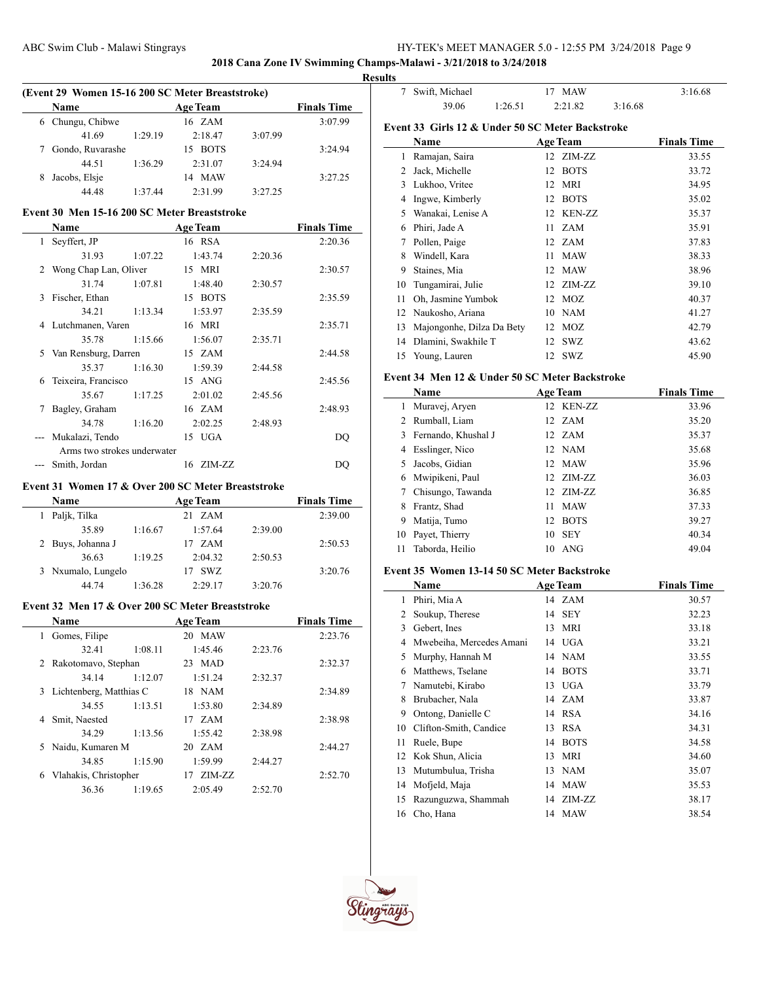# **2018 Cana Zone IV Swimming Champs-Malawi - 3/21/2018 to 3/24/2018**

 $\overline{\phantom{0}}$ 

 $\overline{\phantom{0}}$ 

### **Results**

| (Event 29 Women 15-16 200 SC Meter Breaststroke) |                  |                 |           |         |                    |  |
|--------------------------------------------------|------------------|-----------------|-----------|---------|--------------------|--|
| <b>Name</b>                                      |                  | <b>Age Team</b> |           |         | <b>Finals Time</b> |  |
| 6                                                | Chungu, Chibwe   |                 | 16 ZAM    |         | 3:07.99            |  |
|                                                  | 41.69            | 1:29.19         | 2:18.47   | 3:07.99 |                    |  |
|                                                  | Gondo, Ruvarashe |                 | 15 BOTS   |         | 3:24.94            |  |
|                                                  | 44.51            | 1:36.29         | 2:31.07   | 3:24.94 |                    |  |
| 8                                                | Jacobs, Elsie    |                 | MAW<br>14 |         | 3:27.25            |  |
|                                                  | 44.48            | 1:37.44         | 2:31.99   | 3.2725  |                    |  |

# **Event 30 Men 15-16 200 SC Meter Breaststroke**

|    | Name                        |         | <b>Age Team</b> |         | <b>Finals Time</b> |
|----|-----------------------------|---------|-----------------|---------|--------------------|
| 1  | Seyffert, JP                |         | 16 RSA          |         | 2:20.36            |
|    | 31.93                       | 1:07.22 | 1:43.74         | 2:20.36 |                    |
| 2  | Wong Chap Lan, Oliver       |         | 15 MRI          |         | 2:30.57            |
|    | 31.74                       | 1:07.81 | 1:48.40         | 2:30.57 |                    |
| 3  | Fischer, Ethan              |         | 15 BOTS         |         | 2:35.59            |
|    | 34.21                       | 1:13.34 | 1:53.97         | 2:35.59 |                    |
|    | 4 Lutchmanen, Varen         |         | 16 MRI          |         | 2:35.71            |
|    | 35.78                       | 1:15.66 | 1:56.07         | 2:35.71 |                    |
| 5. | Van Rensburg, Darren        |         | 15 ZAM          |         | 2:44.58            |
|    | 35.37                       | 1:16.30 | 1:59.39         | 2:44.58 |                    |
| 6  | Teixeira, Francisco         |         | $15$ ANG        |         | 2:45.56            |
|    | 35.67                       | 1:17.25 | 2:01.02         | 2:45.56 |                    |
|    | Bagley, Graham              |         | 16 ZAM          |         | 2:48.93            |
|    | 34.78                       | 1:16.20 | 2:02.25         | 2:48.93 |                    |
|    | Mukalazi, Tendo             |         | 15 UGA          |         | DO                 |
|    | Arms two strokes underwater |         |                 |         |                    |
|    | Smith, Jordan               |         | 16 ZIM-ZZ       |         | DO                 |

## **Event 31 Women 17 & Over 200 SC Meter Breaststroke**

 $\overline{a}$ 

| <b>Name</b>        |         | <b>Age Team</b> |         | <b>Finals Time</b> |
|--------------------|---------|-----------------|---------|--------------------|
| Paljk, Tilka       |         | 21 ZAM          |         | 2:39.00            |
| 35.89              | 1:16.67 | 1:57.64         | 2:39.00 |                    |
| 2 Buys, Johanna J  |         | 17 ZAM          |         | 2:50.53            |
| 36.63              | 1:19.25 | 2:04.32         | 2:50.53 |                    |
| 3 Nxumalo, Lungelo |         | SWZ             |         | 3:20.76            |
| 44 74              | 1:36.28 | 2:29.17         | 3:20.76 |                    |

# **Event 32 Men 17 & Over 200 SC Meter Breaststroke**

|    | <b>Name</b>             |         | <b>Age Team</b> |         | <b>Finals Time</b> |
|----|-------------------------|---------|-----------------|---------|--------------------|
| 1  | Gomes, Filipe           |         | 20 MAW          |         | 2:23.76            |
|    | 32.41                   | 1:08.11 | 1:45.46         | 2:23.76 |                    |
| 2  | Rakotomavo, Stephan     |         | 23 MAD          |         | 2:32.37            |
|    | 34.14                   | 1:12.07 | 1:51.24         | 2:32.37 |                    |
| 3  | Lichtenberg, Matthias C |         | 18 NAM          |         | 2:34.89            |
|    | 34.55                   | 1:13.51 | 1:53.80         | 2:34.89 |                    |
| 4  | Smit, Naested           |         | 17 ZAM          |         | 2:38.98            |
|    | 34.29                   | 1:13.56 | 1:55.42         | 2:38.98 |                    |
| 5. | Naidu, Kumaren M        |         | 20 ZAM          |         | 2:44.27            |
|    | 34.85                   | 1:15.90 | 1:59.99         | 2:44.27 |                    |
| 6  | Vlahakis, Christopher   |         | ZIM-ZZ<br>17    |         | 2:52.70            |
|    | 36.36                   | 1:19.65 | 2:05.49         | 2:52.70 |                    |

| 7                                                | Swift, Michael            | 17      | <b>MAW</b>      |         | 3:16.68            |  |  |
|--------------------------------------------------|---------------------------|---------|-----------------|---------|--------------------|--|--|
|                                                  | 39.06                     | 1:26.51 | 2:21.82         | 3:16.68 |                    |  |  |
| Event 33 Girls 12 & Under 50 SC Meter Backstroke |                           |         |                 |         |                    |  |  |
|                                                  | Name                      |         | <b>Age Team</b> |         | <b>Finals Time</b> |  |  |
| 1                                                | Ramajan, Saira            | 12      | ZIM-ZZ          |         | 33.55              |  |  |
| 2                                                | Jack, Michelle            | 12      | <b>BOTS</b>     |         | 33.72              |  |  |
| 3                                                | Lukhoo, Vritee            | 12      | MRI             |         | 34.95              |  |  |
| 4                                                | Ingwe, Kimberly           | 12      | <b>BOTS</b>     |         | 35.02              |  |  |
| 5                                                | Wanakai, Lenise A         | 12      | <b>KEN-ZZ</b>   |         | 35.37              |  |  |
| 6                                                | Phiri, Jade A             | 11      | <b>ZAM</b>      |         | 35.91              |  |  |
| 7                                                | Pollen, Paige             | 12      | ZAM             |         | 37.83              |  |  |
| 8                                                | Windell, Kara             | 11      | <b>MAW</b>      |         | 38.33              |  |  |
| 9                                                | Staines, Mia              | 12      | <b>MAW</b>      |         | 38.96              |  |  |
| 10                                               | Tungamirai, Julie         | 12      | ZIM-ZZ          |         | 39.10              |  |  |
| 11                                               | Oh, Jasmine Yumbok        | 12      | <b>MOZ</b>      |         | 40.37              |  |  |
| 12                                               | Naukosho, Ariana          | 10      | <b>NAM</b>      |         | 41.27              |  |  |
| 13                                               | Majongonhe, Dilza Da Bety | 12      | MOZ             |         | 42.79              |  |  |
| 14                                               | Dlamini, Swakhile T       | 12      | SWZ             |         | 43.62              |  |  |
| 15                                               | Young, Lauren             | 12      | <b>SWZ</b>      |         | 45.90              |  |  |

### **Event 34 Men 12 & Under 50 SC Meter Backstroke**

|    | Name                | <b>Age Team</b> |             | <b>Finals Time</b> |
|----|---------------------|-----------------|-------------|--------------------|
| 1  | Muravej, Aryen      |                 | 12 KEN-ZZ   | 33.96              |
| 2  | Rumball, Liam       |                 | 12 ZAM      | 35.20              |
| 3  | Fernando, Khushal J |                 | 12 ZAM      | 35.37              |
| 4  | Esslinger, Nico     |                 | 12 NAM      | 35.68              |
| 5. | Jacobs, Gidian      |                 | 12 MAW      | 35.96              |
| 6  | Mwipikeni, Paul     |                 | 12 ZIM-ZZ   | 36.03              |
| 7  | Chisungo, Tawanda   |                 | 12 ZIM-ZZ   | 36.85              |
| 8  | Frantz, Shad        | 11              | <b>MAW</b>  | 37.33              |
| 9  | Matija, Tumo        | 12              | <b>BOTS</b> | 39.27              |
| 10 | Payet, Thierry      | 10              | <b>SEY</b>  | 40.34              |
| 11 | Taborda, Heilio     | 10              | ANG         | 49.04              |

# **Event 35 Women 13-14 50 SC Meter Backstroke**

|    | Name                     |    | <b>Age Team</b> | <b>Finals Time</b> |
|----|--------------------------|----|-----------------|--------------------|
| 1  | Phiri, Mia A             |    | 14 ZAM          | 30.57              |
| 2  | Soukup, Therese          | 14 | SEY             | 32.23              |
| 3  | Gebert, Ines             | 13 | MRI             | 33.18              |
| 4  | Mwebeiha, Mercedes Amani |    | 14 UGA          | 33.21              |
| 5  | Murphy, Hannah M         |    | 14 NAM          | 33.55              |
| 6  | Matthews, Tselane        | 14 | <b>BOTS</b>     | 33.71              |
| 7  | Namutebi, Kirabo         |    | 13 UGA          | 33.79              |
| 8  | Brubacher, Nala          |    | 14 ZAM          | 33.87              |
| 9  | Ontong, Danielle C       |    | 14 RSA          | 34.16              |
| 10 | Clifton-Smith, Candice   | 13 | <b>RSA</b>      | 34.31              |
| 11 | Ruele, Bupe              | 14 | <b>BOTS</b>     | 34.58              |
| 12 | Kok Shun, Alicia         | 13 | MRI             | 34.60              |
| 13 | Mutumbulua, Trisha       |    | 13 NAM          | 35.07              |
| 14 | Mofjeld, Maja            | 14 | <b>MAW</b>      | 35.53              |
| 15 | Razunguzwa, Shammah      | 14 | ZIM-ZZ          | 38.17              |
| 16 | Cho, Hana                |    | 14 MAW          | 38.54              |

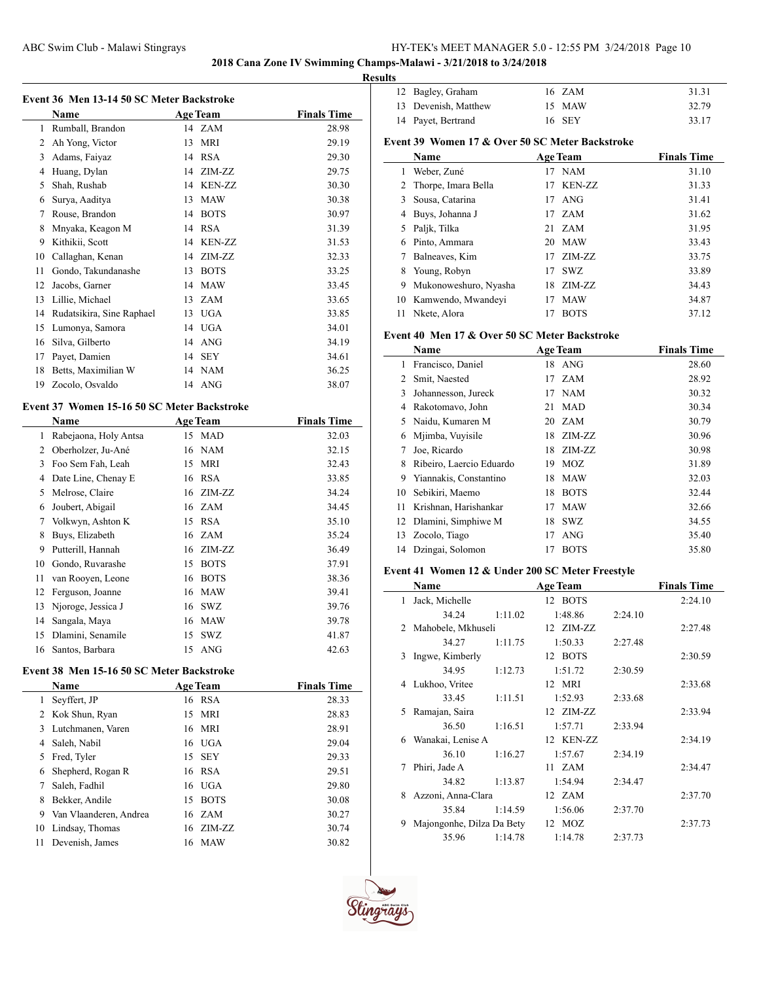# **2018 Cana Zone IV Swimming Champs-Malawi - 3/21/2018 to 3/24/2018**

## **Results**

|                | Event 36 Men 13-14 50 SC Meter Backstroke   |    |                 |                    |
|----------------|---------------------------------------------|----|-----------------|--------------------|
|                | <b>Name</b>                                 |    | <b>Age Team</b> | <b>Finals Time</b> |
| $\mathbf{1}$   | Rumball, Brandon                            |    | 14 ZAM          | 28.98              |
| 2              | Ah Yong, Victor                             | 13 | <b>MRI</b>      | 29.19              |
| 3              | Adams, Faiyaz                               |    | 14 RSA          | 29.30              |
| 4              | Huang, Dylan                                | 14 | ZIM-ZZ          | 29.75              |
| 5              | Shah, Rushab                                | 14 | <b>KEN-ZZ</b>   | 30.30              |
| 6              | Surya, Aaditya                              | 13 | <b>MAW</b>      | 30.38              |
| 7              | Rouse, Brandon                              | 14 | <b>BOTS</b>     | 30.97              |
| 8              | Mnyaka, Keagon M                            | 14 | <b>RSA</b>      | 31.39              |
| 9              | Kithikii, Scott                             | 14 | <b>KEN-ZZ</b>   | 31.53              |
| 10             | Callaghan, Kenan                            | 14 | ZIM-ZZ          | 32.33              |
| 11             | Gondo, Takundanashe                         | 13 | <b>BOTS</b>     | 33.25              |
| 12             | Jacobs, Garner                              | 14 | <b>MAW</b>      | 33.45              |
| 13             | Lillie, Michael                             | 13 | ZAM             | 33.65              |
| 14             | Rudatsikira, Sine Raphael                   | 13 | <b>UGA</b>      | 33.85              |
| 15             | Lumonya, Samora                             | 14 | <b>UGA</b>      | 34.01              |
| 16             | Silva, Gilberto                             |    | 14 ANG          | 34.19              |
| 17             | Payet, Damien                               | 14 | <b>SEY</b>      | 34.61              |
| 18             | Betts, Maximilian W                         | 14 | <b>NAM</b>      | 36.25              |
| 19             | Zocolo, Osvaldo                             | 14 | <b>ANG</b>      | 38.07              |
|                | Event 37 Women 15-16 50 SC Meter Backstroke |    |                 |                    |
|                | <b>Name</b>                                 |    | <b>Age Team</b> | <b>Finals Time</b> |
| $\mathbf{1}$   | Rabejaona, Holy Antsa                       |    | 15 MAD          | 32.03              |
| $\overline{2}$ | Oberholzer, Ju-Ané                          |    | 16 NAM          | 32.15              |
| 3              | Foo Sem Fah, Leah                           | 15 | MRI             | 32.43              |
| 4              | Date Line, Chenay E                         | 16 | <b>RSA</b>      | 33.85              |
| 5              | Melrose, Claire                             | 16 | ZIM-ZZ          | 34.24              |
| 6              | Joubert, Abigail                            |    | 16 ZAM          | 34.45              |
| 7              | Volkwyn, Ashton K                           |    | 15 RSA          | 35.10              |

| $\sigma$ soutiers.    | 10 <i>LIVI</i> | -     |
|-----------------------|----------------|-------|
| 7 Volkwyn, Ashton K   | 15 RSA         | 35.10 |
| 8 Buys, Elizabeth     | 16 ZAM         | 35.24 |
| 9 Putterill, Hannah   | 16 ZIM-ZZ      | 36.49 |
| 10 Gondo, Ruvarashe   | 15 BOTS        | 37.91 |
| 11 van Rooyen, Leone  | 16 BOTS        | 38.36 |
| 12 Ferguson, Joanne   | 16 MAW         | 39.41 |
| 13 Njoroge, Jessica J | 16 SWZ         | 39.76 |
| 14 Sangala, Maya      | 16 MAW         | 39.78 |
| 15 Dlamini, Senamile  | 15 SWZ         | 41.87 |
| 16 Santos, Barbara    | 15 ANG         | 42.63 |

### **Event 38 Men 15-16 50 SC Meter Backstroke**

|    | <b>Name</b>            |    | <b>Age Team</b> | <b>Finals Time</b> |
|----|------------------------|----|-----------------|--------------------|
| 1  | Seyffert, JP           |    | 16 RSA          | 28.33              |
|    | 2 Kok Shun, Ryan       |    | 15 MRI          | 28.83              |
| 3  | Lutchmanen, Varen      |    | 16 MRI          | 28.91              |
| 4  | Saleh, Nabil           |    | $16$ UGA        | 29.04              |
| 5. | Fred, Tyler            |    | 15 SEY          | 29.33              |
| 6  | Shepherd, Rogan R      |    | 16 RSA          | 29.51              |
|    | Saleh, Fadhil          |    | $16$ UGA        | 29.80              |
| 8  | Bekker, Andile         | 15 | <b>BOTS</b>     | 30.08              |
| 9  | Van Vlaanderen, Andrea |    | 16 ZAM          | 30.27              |
| 10 | Lindsay, Thomas        |    | 16 ZIM-ZZ       | 30.74              |
| 11 | Devenish, James        | 16 | MAW             | 30.82              |
|    |                        |    |                 |                    |

| 12 Bagley, Graham    | 16 ZAM | 31.31 |
|----------------------|--------|-------|
| 13 Devenish, Matthew | 15 MAW | 32.79 |
| 14 Payet, Bertrand   | 16 SEY | 33.17 |
|                      |        |       |

# **Event 39 Women 17 & Over 50 SC Meter Backstroke**

|    | Name                  |    | <b>Age Team</b> | <b>Finals Time</b> |
|----|-----------------------|----|-----------------|--------------------|
|    | Weber, Zuné           | 17 | NAM             | 31.10              |
|    | 2 Thorpe, Imara Bella | 17 | <b>KEN-ZZ</b>   | 31.33              |
| 3  | Sousa, Catarina       | 17 | ANG             | 31.41              |
| 4  | Buys, Johanna J       |    | 17 ZAM          | 31.62              |
| 5  | Paljk, Tilka          | 21 | <b>ZAM</b>      | 31.95              |
| 6  | Pinto, Ammara         | 20 | MAW             | 33.43              |
|    | Balneaves, Kim        | 17 | ZIM-ZZ          | 33.75              |
| 8  | Young, Robyn          | 17 | SWZ.            | 33.89              |
| 9  | Mukonoweshuro, Nyasha | 18 | ZIM-ZZ          | 34.43              |
| 10 | Kamwendo, Mwandeyi    | 17 | <b>MAW</b>      | 34.87              |
| 11 | Nkete, Alora          | 17 | <b>BOTS</b>     | 37.12              |

# **Event 40 Men 17 & Over 50 SC Meter Backstroke**

|    | Name                     | <b>Age Team</b> |             | <b>Finals Time</b> |
|----|--------------------------|-----------------|-------------|--------------------|
| 1  | Francisco, Daniel        |                 | 18 ANG      | 28.60              |
| 2  | Smit, Naested            | 17              | <b>ZAM</b>  | 28.92              |
| 3  | Johannesson, Jureck      | 17              | <b>NAM</b>  | 30.32              |
| 4  | Rakotomavo, John         | 21              | <b>MAD</b>  | 30.34              |
| 5  | Naidu, Kumaren M         |                 | 20 ZAM      | 30.79              |
| 6  | Mjimba, Vuyisile         | 18              | ZIM-ZZ      | 30.96              |
| 7  | Joe, Ricardo             |                 | 18 ZIM-ZZ   | 30.98              |
| 8  | Ribeiro, Laercio Eduardo | 19              | MOZ         | 31.89              |
| 9  | Yiannakis, Constantino   | 18              | <b>MAW</b>  | 32.03              |
| 10 | Sebikiri, Maemo          | 18              | <b>BOTS</b> | 32.44              |
| 11 | Krishnan, Harishankar    | 17              | <b>MAW</b>  | 32.66              |
| 12 | Dlamini, Simphiwe M      | 18              | <b>SWZ</b>  | 34.55              |
| 13 | Zocolo, Tiago            | 17              | <b>ANG</b>  | 35.40              |
|    | 14 Dzingai, Solomon      | 17              | <b>BOTS</b> | 35.80              |

# **Event 41 Women 12 & Under 200 SC Meter Freestyle**

|   | Name                      |         | <b>Age Team</b> |         | <b>Finals Time</b> |
|---|---------------------------|---------|-----------------|---------|--------------------|
| 1 | Jack, Michelle            |         | 12 BOTS         |         | 2:24.10            |
|   | 34.24                     | 1:11.02 | 1:48.86         | 2:24.10 |                    |
|   | 2 Mahobele, Mkhuseli      |         | 12 ZIM-ZZ       |         | 2:27.48            |
|   | 34.27                     | 1:11.75 | 1:50.33         | 2:27.48 |                    |
| 3 | Ingwe, Kimberly           |         | 12 BOTS         |         | 2:30.59            |
|   | 34.95                     | 1:12.73 | 1:51.72         | 2:30.59 |                    |
|   | 4 Lukhoo, Vritee          |         | 12 MRI          |         | 2:33.68            |
|   | 33.45                     | 1:11.51 | 1:52.93         | 2:33.68 |                    |
| 5 | Ramajan, Saira            |         | 12 ZIM-ZZ       |         | 2:33.94            |
|   | 36.50                     | 1:16.51 | 1:57.71         | 2:33.94 |                    |
| 6 | Wanakai, Lenise A         |         | 12 KEN-ZZ       |         | 2:34.19            |
|   | 36.10                     | 1:16.27 | 1:57.67         | 2:34.19 |                    |
| 7 | Phiri, Jade A             |         | 11 ZAM          |         | 2:34.47            |
|   | 34.82                     | 1:13.87 | 1:54.94         | 2:34.47 |                    |
| 8 | Azzoni, Anna-Clara        |         | 12 ZAM          |         | 2:37.70            |
|   | 35.84                     | 1:14.59 | 1:56.06         | 2:37.70 |                    |
| 9 | Majongonhe, Dilza Da Bety |         | 12 MOZ          |         | 2:37.73            |
|   | 35.96                     | 1:14.78 | 1:14.78         | 2:37.73 |                    |

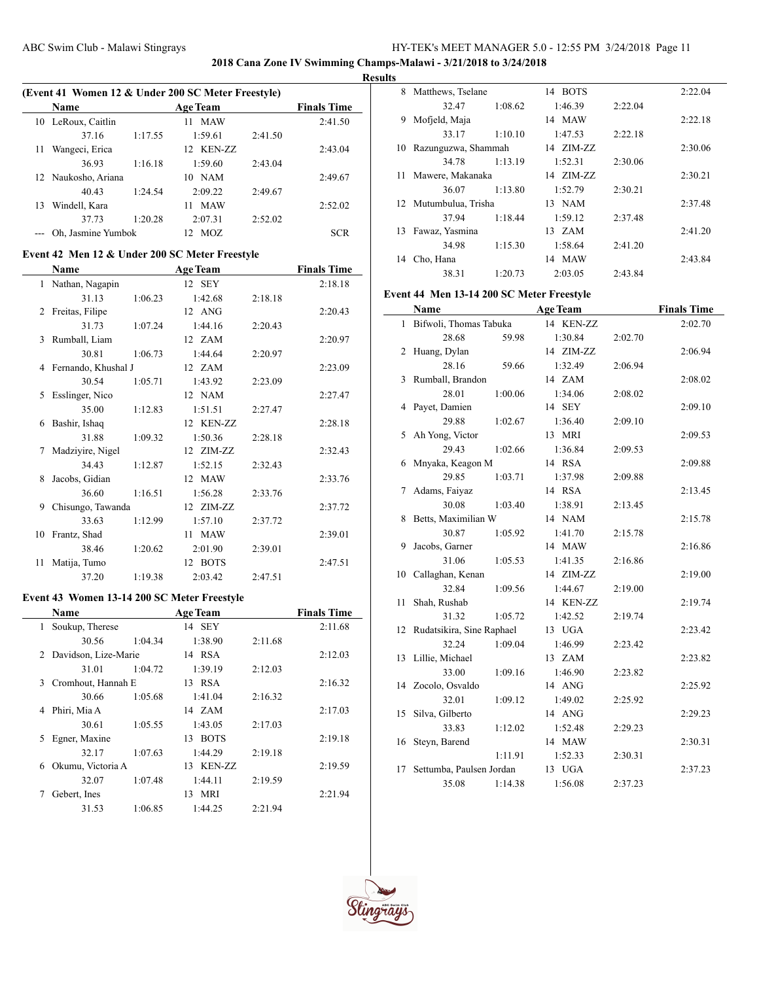**2018 Cana Zone IV Swimming Champs-Malawi - 3/21/2018 to 3/24/2018**

#### **Results**

|    | (Event 41 Women 12 & Under 200 SC Meter Freestyle) |         |                  |         |                    |  |  |
|----|----------------------------------------------------|---------|------------------|---------|--------------------|--|--|
|    | <b>Name</b>                                        |         | <b>Age Team</b>  |         | <b>Finals Time</b> |  |  |
| 10 | LeRoux, Caitlin                                    |         | <b>MAW</b><br>11 |         | 2:41.50            |  |  |
|    | 37.16                                              | 1:17.55 | 1:59.61          | 2:41.50 |                    |  |  |
| 11 | Wangeci, Erica                                     |         | 12 KEN-ZZ        |         | 2:43.04            |  |  |
|    | 36.93                                              | 1:16.18 | 1:59.60          | 2:43.04 |                    |  |  |
|    | 12 Naukosho, Ariana                                |         | 10 NAM           |         | 2:49.67            |  |  |
|    | 40.43                                              | 1:24.54 | 2:09.22          | 2:49.67 |                    |  |  |
| 13 | Windell, Kara                                      |         | <b>MAW</b><br>11 |         | 2:52.02            |  |  |
|    | 37.73                                              | 1:20.28 | 2:07.31          | 2:52.02 |                    |  |  |
|    | Oh, Jasmine Yumbok                                 |         | MOZ<br>12.       |         | <b>SCR</b>         |  |  |

# **Event 42 Men 12 & Under 200 SC Meter Freestyle**

|    | Name                  |         | <b>Age Team</b> |         | <b>Finals Time</b> |
|----|-----------------------|---------|-----------------|---------|--------------------|
| 1  | Nathan, Nagapin       |         | 12 SEY          |         | 2:18.18            |
|    | 31.13                 | 1:06.23 | 1:42.68         | 2:18.18 |                    |
| 2  | Freitas, Filipe       |         | 12 ANG          |         | 2:20.43            |
|    | 31.73                 | 1:07.24 | 1:44.16         | 2:20.43 |                    |
| 3  | Rumball, Liam         |         | 12 ZAM          |         | 2:20.97            |
|    | 30.81                 | 1:06.73 | 1:44.64         | 2:20.97 |                    |
|    | 4 Fernando, Khushal J |         | 12 ZAM          |         | 2:23.09            |
|    | 30.54                 | 1:05.71 | 1:43.92         | 2:23.09 |                    |
| 5  | Esslinger, Nico       |         | 12 NAM          |         | 2:27.47            |
|    | 35.00                 | 1:12.83 | 1:51.51         | 2:27.47 |                    |
| 6  | Bashir, Ishaq         |         | 12 KEN-ZZ       |         | 2:28.18            |
|    | 31.88                 | 1:09.32 | 1:50.36         | 2:28.18 |                    |
|    | Madziyire, Nigel      |         | 12 ZIM-ZZ       |         | 2:32.43            |
|    | 34.43                 | 1:12.87 | 1:52.15         | 2:32.43 |                    |
| 8  | Jacobs, Gidian        |         | 12 MAW          |         | 2:33.76            |
|    | 36.60                 | 1:16.51 | 1:56.28         | 2:33.76 |                    |
| 9  | Chisungo, Tawanda     |         | 12 ZIM-ZZ       |         | 2:37.72            |
|    | 33.63                 | 1:12.99 | 1:57.10         | 2:37.72 |                    |
| 10 | Frantz, Shad          |         | 11 MAW          |         | 2:39.01            |
|    | 38.46                 | 1:20.62 | 2:01.90         | 2:39.01 |                    |
| 11 | Matija, Tumo          |         | 12 BOTS         |         | 2:47.51            |
|    | 37.20                 | 1:19.38 | 2:03.42         | 2:47.51 |                    |

### **Event 43 Women 13-14 200 SC Meter Freestyle**

|    | <b>Name</b>            |         | <b>Age Team</b>   |         | <b>Finals Time</b> |
|----|------------------------|---------|-------------------|---------|--------------------|
| 1  | Soukup, Therese        |         | 14 SEY            |         | 2:11.68            |
|    | 30.56                  | 1:04.34 | 1:38.90           | 2:11.68 |                    |
|    | 2 Davidson, Lize-Marie |         | 14 RSA            |         | 2:12.03            |
|    | 31.01                  | 1:04.72 | 1:39.19           | 2:12.03 |                    |
|    | 3 Cromhout, Hannah E   |         | 13 RSA            |         | 2:16.32            |
|    | 30.66                  | 1:05.68 | 1:41.04           | 2:16.32 |                    |
| 4  | Phiri, Mia A           |         | 14 ZAM            |         | 2:17.03            |
|    | 30.61                  | 1:05.55 | 1:43.05           | 2:17.03 |                    |
| 5. | Egner, Maxine          |         | <b>BOTS</b><br>13 |         | 2:19.18            |
|    | 32.17                  | 1:07.63 | 1:44.29           | 2:19.18 |                    |
| 6  | Okumu, Victoria A      |         | 13 KEN-ZZ         |         | 2:19.59            |
|    | 32.07                  | 1:07.48 | 1:44.11           | 2:19.59 |                    |
|    | Gebert, Ines           |         | 13 MRI            |         | 2:21.94            |
|    | 31.53                  | 1:06.85 | 1:44.25           | 2:21.94 |                    |

| 8   | Matthews, Tselane     |         | 14 BOTS          |         | 2:22.04 |
|-----|-----------------------|---------|------------------|---------|---------|
|     | 32.47                 | 1:08.62 | 1:46.39          | 2:22.04 |         |
| 9   | Mofjeld, Maja         |         | 14 MAW           |         | 2:22.18 |
|     | 33.17                 | 1:10.10 | 1:47.53          | 2:22.18 |         |
| 10  | Razunguzwa, Shammah   |         | 14 ZIM-ZZ        |         | 2:30.06 |
|     | 34.78                 | 1:13.19 | 1:52.31          | 2:30.06 |         |
| 11. | Mawere, Makanaka      |         | 14 ZIM-ZZ        |         | 2:30.21 |
|     | 36.07                 | 1:13.80 | 1:52.79          | 2:30.21 |         |
|     | 12 Mutumbulua, Trisha |         | 13 NAM           |         | 2:37.48 |
|     | 37.94                 | 1:18.44 | 1:59.12          | 2:37.48 |         |
| 13  | Fawaz, Yasmina        |         | $13 \text{ ZAM}$ |         | 2:41.20 |
|     | 34.98                 | 1:15.30 | 1:58.64          | 2:41.20 |         |
| 14  | Cho, Hana             |         | 14 MAW           |         | 2:43.84 |
|     | 38.31                 | 1:20.73 | 2:03.05          | 2:43.84 |         |

### **Event 44 Men 13-14 200 SC Meter Freestyle**

|    | Name                      |         | <b>Age Team</b> |         | <b>Finals Time</b> |
|----|---------------------------|---------|-----------------|---------|--------------------|
| 1  | Bifwoli, Thomas Tabuka    |         | 14 KEN-ZZ       |         | 2:02.70            |
|    | 28.68                     | 59.98   | 1:30.84         | 2:02.70 |                    |
| 2  | Huang, Dylan              |         | 14 ZIM-ZZ       |         | 2:06.94            |
|    | 28.16                     | 59.66   | 1:32.49         | 2:06.94 |                    |
| 3  | Rumball, Brandon          |         | 14 ZAM          |         | 2:08.02            |
|    | 28.01                     | 1:00.06 | 1:34.06         | 2:08.02 |                    |
| 4  | Payet, Damien             |         | 14 SEY          |         | 2:09.10            |
|    | 29.88                     | 1:02.67 | 1:36.40         | 2:09.10 |                    |
| 5  | Ah Yong, Victor           |         | 13 MRI          |         | 2:09.53            |
|    | 29.43                     | 1:02.66 | 1:36.84         | 2:09.53 |                    |
| 6  | Mnyaka, Keagon M          |         | 14 RSA          |         | 2:09.88            |
|    | 29.85                     | 1:03.71 | 1:37.98         | 2:09.88 |                    |
| 7  | Adams, Faiyaz             |         | 14 RSA          |         | 2:13.45            |
|    | 30.08                     | 1:03.40 | 1:38.91         | 2:13.45 |                    |
| 8  | Betts, Maximilian W       |         | 14 NAM          |         | 2:15.78            |
|    | 30.87                     | 1:05.92 | 1:41.70         | 2:15.78 |                    |
| 9  | Jacobs, Garner            |         | 14 MAW          |         | 2:16.86            |
|    | 31.06                     | 1:05.53 | 1:41.35         | 2:16.86 |                    |
| 10 | Callaghan, Kenan          |         | 14 ZIM-ZZ       |         | 2:19.00            |
|    | 32.84                     | 1:09.56 | 1:44.67         | 2:19.00 |                    |
| 11 | Shah, Rushab              |         | 14 KEN-ZZ       |         | 2:19.74            |
|    | 31.32                     | 1:05.72 | 1:42.52         | 2:19.74 |                    |
| 12 | Rudatsikira, Sine Raphael |         | 13 UGA          |         | 2:23.42            |
|    | 32.24                     | 1:09.04 | 1:46.99         | 2:23.42 |                    |
| 13 | Lillie, Michael           |         | 13 ZAM          |         | 2:23.82            |
|    | 33.00                     | 1:09.16 | 1:46.90         | 2:23.82 |                    |
|    | 14 Zocolo, Osvaldo        |         | 14 ANG          |         | 2:25.92            |
|    | 32.01                     | 1:09.12 | 1:49.02         | 2:25.92 |                    |
| 15 | Silva, Gilberto           |         | 14 ANG          |         | 2:29.23            |
|    | 33.83                     | 1:12.02 | 1:52.48         | 2:29.23 |                    |
| 16 | Steyn, Barend             |         | 14 MAW          |         | 2:30.31            |
|    |                           | 1:11.91 | 1:52.33         | 2:30.31 |                    |
| 17 | Settumba, Paulsen Jordan  |         | 13 UGA          |         | 2:37.23            |
|    | 35.08                     | 1:14.38 | 1:56.08         | 2:37.23 |                    |

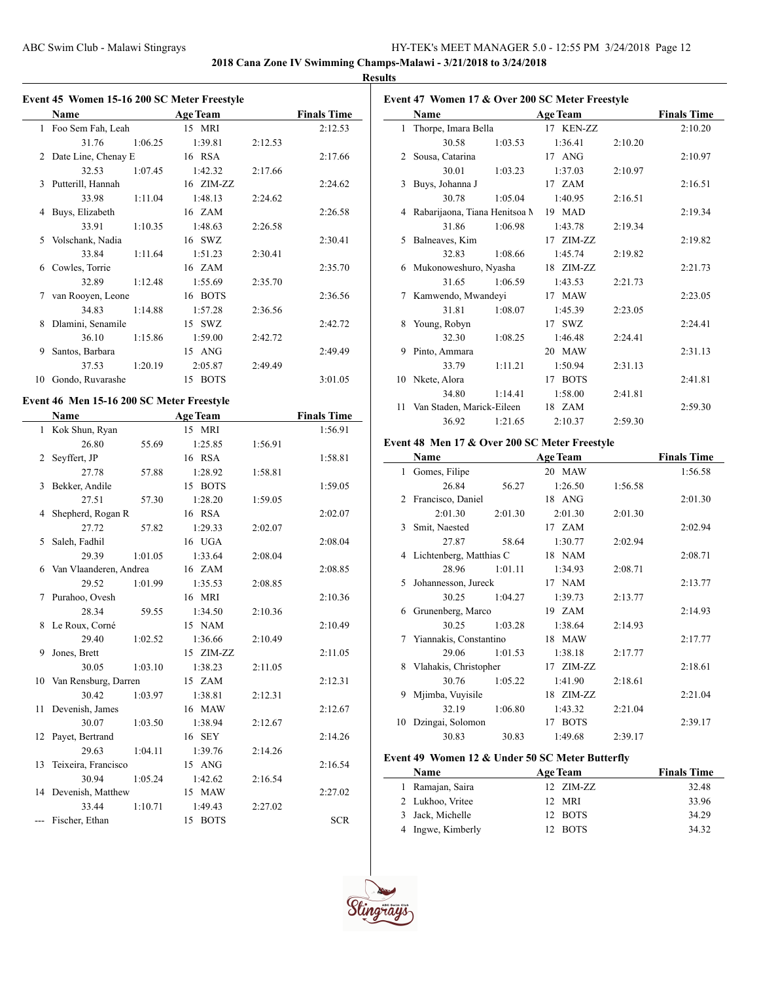**2018 Cana Zone IV Swimming Champs-Malawi - 3/21/2018 to 3/24/2018**

 $\overline{\phantom{0}}$ 

#### **Results**

|    | Event 45 Women 15-16 200 SC Meter Freestyle |         |                 |         |                    |
|----|---------------------------------------------|---------|-----------------|---------|--------------------|
|    | Name                                        |         | <b>Age Team</b> |         | <b>Finals Time</b> |
|    | 1 Foo Sem Fah, Leah                         |         | 15 MRI          |         | 2:12.53            |
|    | 31.76                                       | 1:06.25 | 1:39.81         | 2:12.53 |                    |
| 2  | Date Line, Chenay E                         |         | 16 RSA          |         | 2:17.66            |
|    | 32.53                                       | 1:07.45 | 1:42.32         | 2:17.66 |                    |
| 3  | Putterill, Hannah                           |         | 16 ZIM-ZZ       |         | 2:24.62            |
|    | 33.98                                       | 1:11.04 | 1:48.13         | 2:24.62 |                    |
| 4  | Buys, Elizabeth                             |         | 16 ZAM          |         | 2:26.58            |
|    | 33.91                                       | 1:10.35 | 1:48.63         | 2:26.58 |                    |
| 5  | Volschank, Nadia                            |         | 16 SWZ          |         | 2:30.41            |
|    | 33.84                                       | 1:11.64 | 1:51.23         | 2:30.41 |                    |
| 6  | Cowles, Torrie                              |         | 16 ZAM          |         | 2:35.70            |
|    | 32.89                                       | 1:12.48 | 1:55.69         | 2:35.70 |                    |
| 7  | van Rooyen, Leone                           |         | 16 BOTS         |         | 2:36.56            |
|    | 34.83                                       | 1:14.88 | 1:57.28         | 2:36.56 |                    |
| 8  | Dlamini, Senamile                           |         | 15 SWZ          |         | 2:42.72            |
|    | 36.10                                       | 1:15.86 | 1:59.00         | 2:42.72 |                    |
| 9  | Santos, Barbara                             |         | 15 ANG          |         | 2:49.49            |
|    | 37.53                                       | 1:20.19 | 2:05.87         | 2:49.49 |                    |
| 10 | Gondo, Ruvarashe                            |         | 15 BOTS         |         | 3:01.05            |
|    | Event 46 Men 15-16 200 SC Meter Freestyle   |         |                 |         |                    |
|    | <b>Name</b>                                 |         | <b>Age Team</b> |         | <b>Finals Time</b> |
|    | 1 Kok Shun, Ryan                            |         | 15 MRI          |         | 1:56.91            |
|    | 26.80                                       | 55.69   | 1:25.85         | 1:56.91 |                    |
| 2  | Seyffert, JP                                |         | 16 RSA          |         | 1:58.81            |
|    | 27.78                                       | 57.88   | 1:28.92         | 1:58.81 |                    |
| 3  | Bekker, Andile                              |         | 15 BOTS         |         | 1:59.05            |
|    | 27.51                                       | 57.30   | 1:28.20         | 1:59.05 |                    |
| 4  | Shepherd, Rogan R                           |         | 16 RSA          |         | 2:02.07            |
|    | 27.72                                       | 57.82   | 1:29.33         | 2:02.07 |                    |
| 5  | Saleh, Fadhil                               |         | 16 UGA          |         | 2:08.04            |
|    | 29.39                                       | 1:01.05 | 1:33.64         | 2:08.04 |                    |
| 6  | Van Vlaanderen, Andrea                      |         | 16 ZAM          |         | 2:08.85            |
|    | 29.52                                       | 1:01.99 | 1:35.53         | 2:08.85 |                    |
| 7  | Purahoo, Ovesh                              |         | 16 MRI          |         | 2:10.36            |

28.34 59.55 1:34.50 2:10.36 8 Le Roux, Corné 15 NAM 2:10.49 29.40 1:02.52 1:36.66 2:10.49 9 Jones, Brett 15 ZIM-ZZ 2:11.05 30.05 1:03.10 1:38.23 2:11.05 10 Van Rensburg, Darren 15 ZAM 2:12.31 30.42 1:03.97 1:38.81 2:12.31 11 Devenish, James 16 MAW 2:12.67 30.07 1:03.50 1:38.94 2:12.67 12 Payet, Bertrand 16 SEY 2:14.26 29.63 1:04.11 1:39.76 2:14.26 13 Teixeira, Francisco 15 ANG 2:16.54 30.94 1:05.24 1:42.62 2:16.54 14 Devenish, Matthew 15 MAW 2:27.02 33.44 1:10.71 1:49.43 2:27.02 --- Fischer, Ethan 15 BOTS SCR

| Event 47 Women 17 & Over 200 SC Meter Freestyle |                               |         |                 |         |                    |  |
|-------------------------------------------------|-------------------------------|---------|-----------------|---------|--------------------|--|
|                                                 | Name                          |         | <b>Age Team</b> |         | <b>Finals Time</b> |  |
|                                                 | 1 Thorpe, Imara Bella         |         | 17 KEN-ZZ       |         | 2:10.20            |  |
|                                                 | 30.58                         | 1:03.53 | 1:36.41         | 2:10.20 |                    |  |
|                                                 | 2 Sousa, Catarina             |         | 17 ANG          |         | 2:10.97            |  |
|                                                 | 30.01                         | 1:03.23 | 1:37.03         | 2:10.97 |                    |  |
| 3                                               | Buys, Johanna J               |         | 17 ZAM          |         | 2:16.51            |  |
|                                                 | 30.78                         | 1:05.04 | 1:40.95         | 2:16.51 |                    |  |
| 4                                               | Rabarijaona, Tiana Henitsoa M |         | 19 MAD          |         | 2:19.34            |  |
|                                                 | 31.86                         | 1:06.98 | 1:43.78         | 2:19.34 |                    |  |
| 5                                               | Balneaves, Kim                |         | 17 ZIM-ZZ       |         | 2:19.82            |  |
|                                                 | 32.83                         | 1:08.66 | 1:45.74         | 2:19.82 |                    |  |
|                                                 | 6 Mukonoweshuro, Nyasha       |         | 18 ZIM-ZZ       |         | 2:21.73            |  |
|                                                 | 31.65                         | 1:06.59 | 1:43.53         | 2:21.73 |                    |  |
| 7                                               | Kamwendo, Mwandeyi            |         | 17 MAW          |         | 2:23.05            |  |
|                                                 | 31.81                         | 1:08.07 | 1:45.39         | 2:23.05 |                    |  |
| 8                                               | Young, Robyn                  |         | 17 SWZ          |         | 2:24.41            |  |
|                                                 | 32.30                         | 1:08.25 | 1:46.48         | 2:24.41 |                    |  |
| 9                                               | Pinto, Ammara                 |         | 20 MAW          |         | 2:31.13            |  |
|                                                 | 33.79                         | 1:11.21 | 1:50.94         | 2:31.13 |                    |  |
|                                                 | 10 Nkete, Alora               |         | 17 BOTS         |         | 2:41.81            |  |
|                                                 | 34.80                         | 1:14.41 | 1:58.00         | 2:41.81 |                    |  |
| 11                                              | Van Staden, Marick-Eileen     |         | 18 ZAM          |         | 2:59.30            |  |
|                                                 | 36.92                         | 1:21.65 | 2:10.37         | 2:59.30 |                    |  |

# **Event 48 Men 17 & Over 200 SC Meter Freestyle**

|              | Name                    |         | <b>Age Team</b> |         | <b>Finals Time</b> |
|--------------|-------------------------|---------|-----------------|---------|--------------------|
| $\mathbf{1}$ | Gomes, Filipe           |         | 20 MAW          |         | 1:56.58            |
|              | 26.84                   | 56.27   | 1:26.50         | 1:56.58 |                    |
|              | 2 Francisco, Daniel     |         | 18 ANG          |         | 2:01.30            |
|              | 2:01.30                 | 2:01.30 | 2:01.30         | 2:01.30 |                    |
| 3            | Smit, Naested           |         | 17 ZAM          |         | 2:02.94            |
|              | 27.87                   | 58.64   | 1:30.77         | 2:02.94 |                    |
| 4            | Lichtenberg, Matthias C |         | 18 NAM          |         | 2:08.71            |
|              | 28.96                   | 1:01.11 | 1:34.93         | 2:08.71 |                    |
| 5.           | Johannesson, Jureck     |         | 17 NAM          |         | 2:13.77            |
|              | 30.25                   | 1:04.27 | 1:39.73         | 2:13.77 |                    |
| 6            | Grunenberg, Marco       |         | 19 ZAM          |         | 2:14.93            |
|              | 30.25                   | 1:03.28 | 1:38.64         | 2:14.93 |                    |
| 7            | Yiannakis, Constantino  |         | 18 MAW          |         | 2:17.77            |
|              | 29.06                   | 1:01.53 | 1:38.18         | 2:17.77 |                    |
| 8            | Vlahakis, Christopher   |         | 17 ZIM-ZZ       |         | 2:18.61            |
|              | 30.76                   | 1:05.22 | 1:41.90         | 2:18.61 |                    |
| 9            | Mjimba, Vuyisile        |         | 18 ZIM-ZZ       |         | 2:21.04            |
|              | 32.19                   | 1:06.80 | 1:43.32         | 2:21.04 |                    |
| 10           | Dzingai, Solomon        |         | 17 BOTS         |         | 2:39.17            |
|              | 30.83                   | 30.83   | 1:49.68         | 2:39.17 |                    |

# **Event 49 Women 12 & Under 50 SC Meter Butterfly**

| <b>Name</b>       | <b>Age Team</b> | <b>Finals Time</b> |
|-------------------|-----------------|--------------------|
| 1 Ramajan, Saira  | 12 ZIM-ZZ       | 32.48              |
| 2 Lukhoo, Vritee  | 12 MRI          | 33.96              |
| 3 Jack, Michelle  | 12 BOTS         | 34.29              |
| 4 Ingwe, Kimberly | 12 BOTS         | 34 32              |

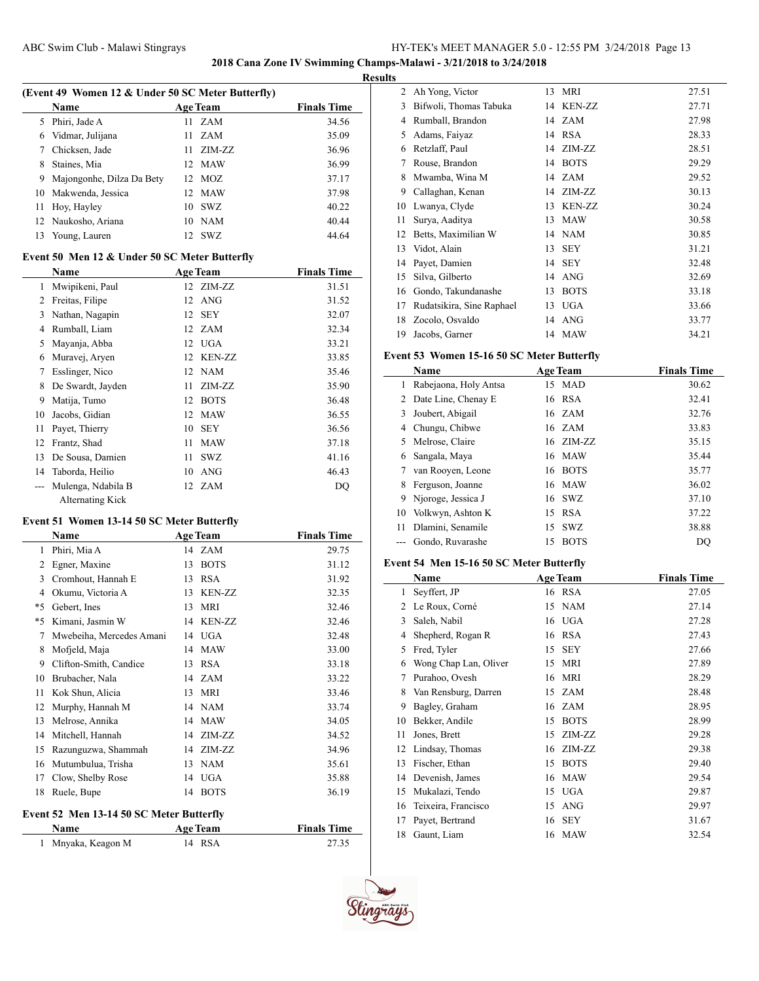**2018 Cana Zone IV Swimming Champs-Malawi - 3/21/2018 to 3/24/2018**

# **Results**

| (Event 49 Women 12 & Under 50 SC Meter Butterfly) |                           |         |                 |                    |  |  |
|---------------------------------------------------|---------------------------|---------|-----------------|--------------------|--|--|
|                                                   | <b>Name</b>               |         | <b>Age Team</b> | <b>Finals Time</b> |  |  |
| 5.                                                | Phiri, Jade A             | 11.     | <b>ZAM</b>      | 34.56              |  |  |
| 6                                                 | Vidmar, Julijana          |         | 11 ZAM          | 35.09              |  |  |
|                                                   | Chicksen, Jade            | 11      | ZIM-ZZ          | 36.96              |  |  |
| 8                                                 | Staines, Mia              |         | 12 MAW          | 36.99              |  |  |
| 9                                                 | Majongonhe, Dilza Da Bety |         | 12 MOZ          | 37.17              |  |  |
| 10                                                | Makwenda, Jessica         |         | 12 MAW          | 37.98              |  |  |
| 11                                                | Hoy, Hayley               |         | $10$ SWZ        | 40.22              |  |  |
|                                                   | 12 Naukosho, Ariana       | 10      | <b>NAM</b>      | 40.44              |  |  |
|                                                   | Young, Lauren             | $12-12$ | SWZ             | 44.64              |  |  |

## **Event 50 Men 12 & Under 50 SC Meter Butterfly**

|    | <b>Name</b>        |    | <b>Age Team</b> | <b>Finals Time</b> |
|----|--------------------|----|-----------------|--------------------|
| 1  | Mwipikeni, Paul    |    | 12 ZIM-ZZ       | 31.51              |
| 2  | Freitas, Filipe    | 12 | <b>ANG</b>      | 31.52              |
| 3  | Nathan, Nagapin    | 12 | <b>SEY</b>      | 32.07              |
| 4  | Rumball, Liam      |    | 12 ZAM          | 32.34              |
| 5  | Mayanja, Abba      | 12 | <b>UGA</b>      | 33.21              |
| 6  | Muravej, Aryen     | 12 | <b>KEN-ZZ</b>   | 33.85              |
| 7  | Esslinger, Nico    | 12 | <b>NAM</b>      | 35.46              |
| 8  | De Swardt, Jayden  | 11 | ZIM-ZZ          | 35.90              |
| 9  | Matija, Tumo       | 12 | <b>BOTS</b>     | 36.48              |
| 10 | Jacobs, Gidian     | 12 | <b>MAW</b>      | 36.55              |
| 11 | Payet, Thierry     | 10 | <b>SEY</b>      | 36.56              |
| 12 | Frantz, Shad       | 11 | <b>MAW</b>      | 37.18              |
| 13 | De Sousa, Damien   | 11 | <b>SWZ</b>      | 41.16              |
| 14 | Taborda, Heilio    | 10 | ANG             | 46.43              |
|    | Mulenga, Ndabila B | 12 | ZAM             | DQ                 |
|    | Alternating Kick   |    |                 |                    |

# **Event 51 Women 13-14 50 SC Meter Butterfly**

 $\overline{a}$ 

| Name                     |    |               | <b>Finals Time</b>                      |
|--------------------------|----|---------------|-----------------------------------------|
| Phiri, Mia A             |    |               | 29.75                                   |
| Egner, Maxine            | 13 | <b>BOTS</b>   | 31.12                                   |
| Cromhout, Hannah E       | 13 | <b>RSA</b>    | 31.92                                   |
| Okumu, Victoria A        | 13 | <b>KEN-ZZ</b> | 32.35                                   |
| Gebert, Ines             | 13 | <b>MRI</b>    | 32.46                                   |
| Kimani, Jasmin W         | 14 | <b>KEN-ZZ</b> | 32.46                                   |
| Mwebeiha, Mercedes Amani | 14 |               | 32.48                                   |
| Mofjeld, Maja            | 14 | <b>MAW</b>    | 33.00                                   |
| Clifton-Smith, Candice   | 13 | <b>RSA</b>    | 33.18                                   |
| Brubacher, Nala          | 14 | ZAM           | 33.22                                   |
| Kok Shun, Alicia         | 13 | <b>MRI</b>    | 33.46                                   |
| Murphy, Hannah M         | 14 | <b>NAM</b>    | 33.74                                   |
| Melrose, Annika          | 14 | <b>MAW</b>    | 34.05                                   |
| Mitchell, Hannah         | 14 | ZIM-ZZ        | 34.52                                   |
| Razunguzwa, Shammah      | 14 | ZIM-ZZ        | 34.96                                   |
| Mutumbulua, Trisha       | 13 | <b>NAM</b>    | 35.61                                   |
| Clow, Shelby Rose        | 14 | <b>UGA</b>    | 35.88                                   |
| Ruele, Bupe              | 14 | <b>BOTS</b>   | 36.19                                   |
|                          |    |               | <b>Age Team</b><br>14 ZAM<br><b>UGA</b> |

#### **Event 52 Men 13-14 50 SC Meter Butterfly**

| <b>Name</b>        | <b>Age Team</b> | <b>Finals Time</b> |
|--------------------|-----------------|--------------------|
| 1 Mnyaka, Keagon M | 14 RSA          | 27.35              |

| 2  | Ah Yong, Victor           | 13 | <b>MRI</b>    | 27.51 |
|----|---------------------------|----|---------------|-------|
| 3  | Bifwoli, Thomas Tabuka    | 14 | <b>KEN-ZZ</b> | 27.71 |
| 4  | Rumball, Brandon          | 14 | <b>ZAM</b>    | 27.98 |
| 5  | Adams, Faiyaz             | 14 | <b>RSA</b>    | 28.33 |
| 6  | Retzlaff, Paul            | 14 | ZIM-ZZ        | 28.51 |
| 7  | Rouse, Brandon            | 14 | <b>BOTS</b>   | 29.29 |
| 8  | Mwamba, Wina M            | 14 | <b>ZAM</b>    | 29.52 |
| 9  | Callaghan, Kenan          | 14 | ZIM-ZZ        | 30.13 |
| 10 | Lwanya, Clyde             | 13 | <b>KEN-ZZ</b> | 30.24 |
| 11 | Surya, Aaditya            | 13 | <b>MAW</b>    | 30.58 |
| 12 | Betts, Maximilian W       | 14 | <b>NAM</b>    | 30.85 |
| 13 | Vidot, Alain              | 13 | <b>SEY</b>    | 31.21 |
| 14 | Payet, Damien             | 14 | <b>SEY</b>    | 32.48 |
| 15 | Silva, Gilberto           | 14 | ANG           | 32.69 |
| 16 | Gondo, Takundanashe       | 13 | <b>BOTS</b>   | 33.18 |
| 17 | Rudatsikira, Sine Raphael | 13 | <b>UGA</b>    | 33.66 |
| 18 | Zocolo, Osvaldo           | 14 | <b>ANG</b>    | 33.77 |
| 19 | Jacobs, Garner            |    | 14 MAW        | 34.21 |

### **Event 53 Women 15-16 50 SC Meter Butterfly**

| Name                  |    |             | <b>Finals Time</b>                                                                                                                    |
|-----------------------|----|-------------|---------------------------------------------------------------------------------------------------------------------------------------|
| Rabejaona, Holy Antsa |    |             | 30.62                                                                                                                                 |
| 2 Date Line, Chenay E |    |             | 32.41                                                                                                                                 |
| Joubert, Abigail      |    |             | 32.76                                                                                                                                 |
| Chungu, Chibwe        |    |             | 33.83                                                                                                                                 |
| 5 Melrose, Claire     |    |             | 35.15                                                                                                                                 |
| Sangala, Maya         |    |             | 35.44                                                                                                                                 |
| van Rooyen, Leone     | 16 |             | 35.77                                                                                                                                 |
| Ferguson, Joanne      |    |             | 36.02                                                                                                                                 |
| Njoroge, Jessica J    |    |             | 37.10                                                                                                                                 |
| Volkwyn, Ashton K     |    |             | 37.22                                                                                                                                 |
| Dlamini, Senamile     |    |             | 38.88                                                                                                                                 |
| Gondo, Ruvarashe      | 15 | <b>BOTS</b> | DO                                                                                                                                    |
|                       |    |             | <b>Age Team</b><br>15 MAD<br>16 RSA<br>16 ZAM<br>16 ZAM<br>16 ZIM-ZZ<br>16 MAW<br><b>BOTS</b><br>16 MAW<br>16 SWZ<br>15 RSA<br>15 SWZ |

# **Event 54 Men 15-16 50 SC Meter Butterfly**

|    | Name                  | <b>Age Team</b> |             | <b>Finals Time</b> |
|----|-----------------------|-----------------|-------------|--------------------|
| 1  | Seyffert, JP          |                 | 16 RSA      | 27.05              |
| 2  | Le Roux, Corné        | 15              | <b>NAM</b>  | 27.14              |
| 3  | Saleh, Nabil          | 16              | <b>UGA</b>  | 27.28              |
| 4  | Shepherd, Rogan R     | 16              | <b>RSA</b>  | 27.43              |
| 5  | Fred, Tyler           | 15              | <b>SEY</b>  | 27.66              |
| 6  | Wong Chap Lan, Oliver | 15              | <b>MRI</b>  | 27.89              |
| 7  | Purahoo, Ovesh        | 16              | <b>MRI</b>  | 28.29              |
| 8  | Van Rensburg, Darren  | 15              | ZAM         | 28.48              |
| 9  | Bagley, Graham        | 16              | <b>ZAM</b>  | 28.95              |
| 10 | Bekker, Andile        | 15              | <b>BOTS</b> | 28.99              |
| 11 | Jones, Brett          | 15              | ZIM-ZZ      | 29.28              |
| 12 | Lindsay, Thomas       | 16              | ZIM-ZZ      | 29.38              |
| 13 | Fischer, Ethan        | 15              | <b>BOTS</b> | 29.40              |
| 14 | Devenish, James       | 16              | <b>MAW</b>  | 29.54              |
| 15 | Mukalazi, Tendo       | 15              | UGA         | 29.87              |
| 16 | Teixeira, Francisco   | 15              | <b>ANG</b>  | 29.97              |
| 17 | Payet, Bertrand       | 16              | <b>SEY</b>  | 31.67              |
| 18 | Gaunt, Liam           |                 | 16 MAW      | 32.54              |

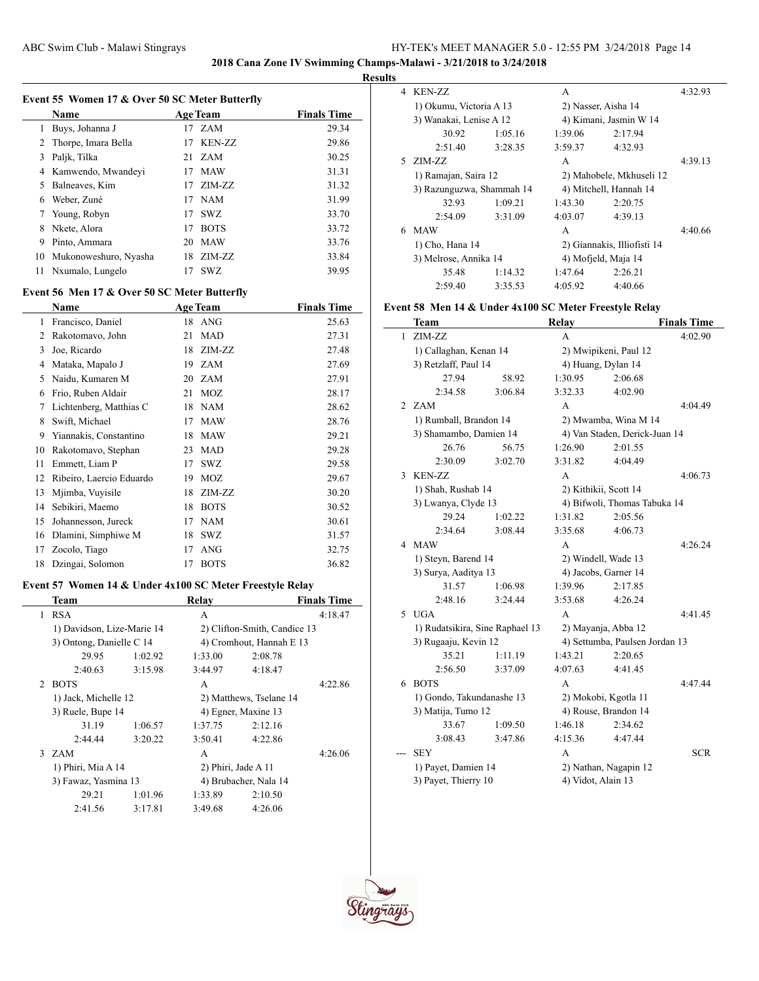**2018 Cana Zone IV Swimming Champs-Malawi - 3/21/2018 to 3/24/2018**

### **Results**

|    | Event 55 Women 17 & Over 50 SC Meter Butterfly |    |                 |                    |
|----|------------------------------------------------|----|-----------------|--------------------|
|    | Name                                           |    | <b>Age Team</b> | <b>Finals Time</b> |
| 1  | Buys, Johanna J                                |    | 17 ZAM          | 29.34              |
| 2  | Thorpe, Imara Bella                            | 17 | KEN-ZZ          | 29.86              |
| 3  | Palik, Tilka                                   |    | 21 ZAM          | 30.25              |
| 4  | Kamwendo, Mwandeyi                             | 17 | <b>MAW</b>      | 31.31              |
| 5  | Balneaves, Kim                                 |    | $17$ $ZIM-ZZ$   | 31.32              |
| 6  | Weber, Zuné                                    | 17 | <b>NAM</b>      | 31.99              |
|    | Young, Robyn                                   | 17 | SWZ.            | 33.70              |
| 8  | Nkete, Alora                                   | 17 | <b>BOTS</b>     | 33.72              |
| 9  | Pinto, Ammara                                  | 20 | <b>MAW</b>      | 33.76              |
| 10 | Mukonoweshuro, Nyasha                          |    | 18 ZIM-ZZ       | 33.84              |
| 11 | Nxumalo, Lungelo                               | 17 | SWZ             | 39.95              |
|    |                                                |    |                 |                    |

# **Event 56 Men 17 & Over 50 SC Meter Butterfly**

|    | Name                     |    | <b>Age Team</b> | <b>Finals Time</b> |
|----|--------------------------|----|-----------------|--------------------|
| 1  | Francisco, Daniel        | 18 | ANG             | 25.63              |
| 2  | Rakotomavo, John         | 21 | <b>MAD</b>      | 27.31              |
| 3  | Joe, Ricardo             | 18 | ZIM-ZZ          | 27.48              |
| 4  | Mataka, Mapalo J         | 19 | <b>ZAM</b>      | 27.69              |
| 5  | Naidu, Kumaren M         | 20 | ZAM             | 27.91              |
| 6  | Frio, Ruben Aldair       | 21 | <b>MOZ</b>      | 28.17              |
| 7  | Lichtenberg, Matthias C  | 18 | <b>NAM</b>      | 28.62              |
| 8  | Swift, Michael           | 17 | <b>MAW</b>      | 28.76              |
| 9  | Yiannakis, Constantino   | 18 | <b>MAW</b>      | 29.21              |
| 10 | Rakotomavo, Stephan      | 23 | MAD             | 29.28              |
| 11 | Emmett, Liam P           | 17 | SWZ             | 29.58              |
| 12 | Ribeiro, Laercio Eduardo | 19 | <b>MOZ</b>      | 29.67              |
| 13 | Mjimba, Vuyisile         | 18 | ZIM-ZZ          | 30.20              |
| 14 | Sebikiri, Maemo          | 18 | <b>BOTS</b>     | 30.52              |
| 15 | Johannesson, Jureck      | 17 | NAM             | 30.61              |
| 16 | Dlamini, Simphiwe M      | 18 | <b>SWZ</b>      | 31.57              |
| 17 | Zocolo, Tiago            | 17 | <b>ANG</b>      | 32.75              |
| 18 | Dzingai, Solomon         | 17 | <b>BOTS</b>     | 36.82              |

# **Event 57 Women 14 & Under 4x100 SC Meter Freestyle Relay**

 $\overline{a}$ 

|                             | Team                       |         | Relay                 |                              | <b>Finals Time</b> |
|-----------------------------|----------------------------|---------|-----------------------|------------------------------|--------------------|
| $\mathbf{1}$                | <b>RSA</b>                 |         | A                     |                              | 4:18.47            |
|                             | 1) Davidson, Lize-Marie 14 |         |                       | 2) Clifton-Smith, Candice 13 |                    |
|                             | 3) Ontong, Danielle C 14   |         |                       | 4) Cromhout, Hannah E 13     |                    |
|                             | 29.95                      | 1:02.92 | 1:33.00               | 2:08.78                      |                    |
|                             | 2:40.63                    | 3:15.98 | 3:44.97               | 4:18.47                      |                    |
| $\mathcal{D}_{\mathcal{L}}$ | <b>BOTS</b>                |         | A                     |                              | 4:22.86            |
|                             | 1) Jack, Michelle 12       |         |                       | 2) Matthews, Tselane 14      |                    |
|                             | 3) Ruele, Bupe 14          |         | 4) Egner, Maxine 13   |                              |                    |
|                             | 31.19                      | 1:06.57 | 1:37.75               | 2:12.16                      |                    |
|                             | 2:44.44                    | 3:20.22 | 3:50.41               | 4:22.86                      |                    |
|                             | 3 ZAM                      |         | A                     |                              | 4:26.06            |
|                             | 1) Phiri, Mia A 14         |         | 2) Phiri, Jade A 11   |                              |                    |
|                             | 3) Fawaz, Yasmina 13       |         | 4) Brubacher, Nala 14 |                              |                    |
|                             | 29.21                      | 1:01.96 | 1:33.89               | 2:10.50                      |                    |
|                             | 2:41.56                    | 3:17.81 | 3:49.68               | 4:26.06                      |                    |

| 4  | KEN-ZZ                    |         | A                      |                             | 4:32.93 |
|----|---------------------------|---------|------------------------|-----------------------------|---------|
|    | 1) Okumu, Victoria A 13   |         | 2) Nasser, Aisha 14    |                             |         |
|    | 3) Wanakai, Lenise A 12   |         |                        | 4) Kimani, Jasmin W 14      |         |
|    | 30.92                     | 1:05.16 | 1:39.06                | 2:17.94                     |         |
|    | 2:51.40                   | 3:28.35 | 3:59.37                | 4:32.93                     |         |
| 5. | ZIM-ZZ                    |         | A                      |                             | 4:39.13 |
|    | 1) Ramajan, Saira 12      |         |                        | 2) Mahobele, Mkhuseli 12    |         |
|    | 3) Razunguzwa, Shammah 14 |         | 4) Mitchell, Hannah 14 |                             |         |
|    | 32.93                     | 1:09.21 | 1:43.30                | 2:20.75                     |         |
|    | 2:54.09                   | 3:31.09 | 4:03.07                | 4:39.13                     |         |
| 6  | <b>MAW</b>                |         | A                      |                             | 4:40.66 |
|    | 1) Cho, Hana 14           |         |                        | 2) Giannakis, Illiofisti 14 |         |
|    | 3) Melrose, Annika 14     |         | 4) Mofield, Maja 14    |                             |         |
|    | 35.48                     | 1:14.32 | 1:47.64                | 2:26.21                     |         |
|    | 2:59.40                   | 3:35.53 | 4:05.92                | 4:40.66                     |         |

# **Event 58 Men 14 & Under 4x100 SC Meter Freestyle Relay**

|                | Team                            |         | Relay              |                                | <b>Finals Time</b> |
|----------------|---------------------------------|---------|--------------------|--------------------------------|--------------------|
| 1              | ZIM-ZZ                          |         | A                  |                                | 4:02.90            |
|                | 1) Callaghan, Kenan 14          |         |                    | 2) Mwipikeni, Paul 12          |                    |
|                | 3) Retzlaff, Paul 14            |         |                    | 4) Huang, Dylan 14             |                    |
|                | 27.94                           | 58.92   | 1:30.95            | 2:06.68                        |                    |
|                | 2:34.58                         | 3:06.84 | 3:32.33            | 4:02.90                        |                    |
| $\mathfrak{D}$ | <b>ZAM</b>                      |         | A                  |                                | 4:04.49            |
|                | 1) Rumball, Brandon 14          |         |                    | 2) Mwamba, Wina M 14           |                    |
|                | 3) Shamambo, Damien 14          |         |                    | 4) Van Staden, Derick-Juan 14  |                    |
|                | 26.76                           | 56.75   | 1:26.90            | 2:01.55                        |                    |
|                | 2:30.09                         | 3:02.70 | 3:31.82            | 4:04.49                        |                    |
| 3              | <b>KEN-ZZ</b>                   |         | A                  |                                | 4:06.73            |
|                | 1) Shah, Rushab 14              |         |                    | 2) Kithikii, Scott 14          |                    |
|                | 3) Lwanya, Clyde 13             |         |                    | 4) Bifwoli, Thomas Tabuka 14   |                    |
|                | 29.24                           | 1:02.22 | 1:31.82            | 2:05.56                        |                    |
|                | 2:34.64                         | 3:08.44 | 3:35.68            | 4:06.73                        |                    |
|                | 4 MAW                           |         | A                  |                                | 4:26.24            |
|                | 1) Steyn, Barend 14             |         |                    | 2) Windell, Wade 13            |                    |
|                | 3) Surya, Aaditya 13            |         |                    | 4) Jacobs, Garner 14           |                    |
|                | 31.57                           | 1:06.98 | 1:39.96            | 2:17.85                        |                    |
|                | 2:48.16                         | 3:24.44 | 3:53.68            | 4:26.24                        |                    |
|                | 5 UGA                           |         | A                  |                                | 4:41.45            |
|                | 1) Rudatsikira, Sine Raphael 13 |         |                    | 2) Mayanja, Abba 12            |                    |
|                | 3) Rugaaju, Kevin 12            |         |                    | 4) Settumba, Paulsen Jordan 13 |                    |
|                | 35.21                           | 1:11.19 | 1:43.21            | 2:20.65                        |                    |
|                | 2:56.50                         | 3:37.09 | 4:07.63            | 4:41.45                        |                    |
| 6              | <b>BOTS</b>                     |         | A                  |                                | 4:47.44            |
|                | 1) Gondo, Takundanashe 13       |         |                    | 2) Mokobi, Kgotla 11           |                    |
|                | 3) Matija, Tumo 12              |         |                    | 4) Rouse, Brandon 14           |                    |
|                | 33.67                           | 1:09.50 | 1:46.18            | 2:34.62                        |                    |
|                | 3:08.43                         | 3:47.86 | 4:15.36            | 4:47.44                        |                    |
|                | <b>SEY</b>                      |         | A                  |                                | <b>SCR</b>         |
|                | 1) Payet, Damien 14             |         |                    | 2) Nathan, Nagapin 12          |                    |
|                | 3) Payet, Thierry 10            |         | 4) Vidot, Alain 13 |                                |                    |

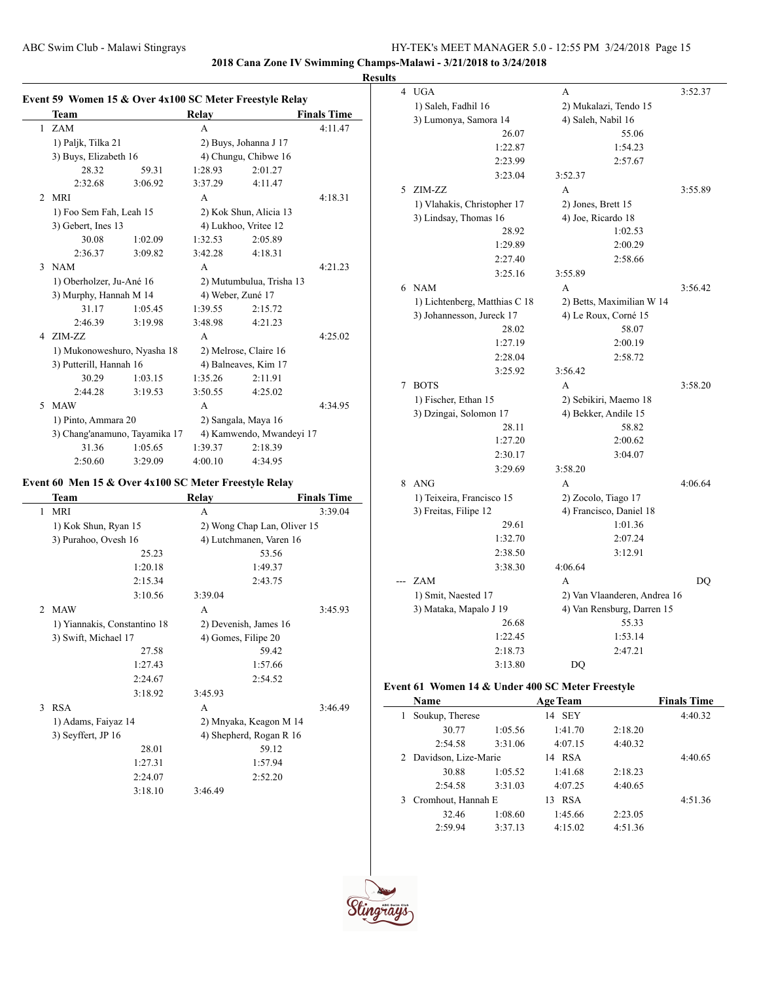**2018 Cana Zone IV Swimming Champs-Malawi - 3/21/2018 to 3/24/2018**

# **Results**

|                | Event 59 Women 15 & Over 4x100 SC Meter Freestyle Relay |         |                       |                             |                    |
|----------------|---------------------------------------------------------|---------|-----------------------|-----------------------------|--------------------|
|                | <b>Team</b>                                             |         | <b>Relay</b>          |                             | <b>Finals Time</b> |
|                | 1 ZAM                                                   |         | A                     |                             | 4:11.47            |
|                | 1) Paljk, Tilka 21                                      |         |                       | 2) Buys, Johanna J 17       |                    |
|                | 3) Buys, Elizabeth 16                                   |         |                       | 4) Chungu, Chibwe 16        |                    |
|                | 28.32                                                   | 59.31   | 1:28.93               | 2:01.27                     |                    |
|                | 2:32.68                                                 | 3:06.92 | 3:37.29               | 4:11.47                     |                    |
| $\mathfrak{D}$ | <b>MRI</b>                                              |         | $\overline{A}$        |                             | 4:18.31            |
|                | 1) Foo Sem Fah, Leah 15                                 |         |                       | 2) Kok Shun, Alicia 13      |                    |
|                | 3) Gebert, Ines 13                                      |         | 4) Lukhoo, Vritee 12  |                             |                    |
|                | 30.08                                                   | 1:02.09 | 1:32.53               | 2:05.89                     |                    |
|                | 2:36.37                                                 | 3:09.82 | 3:42.28               | 4:18.31                     |                    |
|                | 3 NAM                                                   |         | A                     |                             | 4:21.23            |
|                | 1) Oberholzer, Ju-Ané 16                                |         |                       | 2) Mutumbulua, Trisha 13    |                    |
|                | 3) Murphy, Hannah M 14                                  |         | 4) Weber, Zuné 17     |                             |                    |
|                | 31.17                                                   | 1:05.45 | 1:39.55               | 2:15.72                     |                    |
|                | 2:46.39                                                 | 3:19.98 | 3:48.98               | 4:21.23                     |                    |
| 4              | ZIM-ZZ                                                  |         | A                     |                             | 4:25.02            |
|                | 1) Mukonoweshuro, Nyasha 18                             |         | 2) Melrose, Claire 16 |                             |                    |
|                | 3) Putterill, Hannah 16                                 |         | 4) Balneaves, Kim 17  |                             |                    |
|                | 30.29                                                   | 1:03.15 | 1:35.26               | 2:11.91                     |                    |
|                | 2:44.28                                                 | 3:19.53 | 3:50.55               | 4:25.02                     |                    |
| 5              | <b>MAW</b>                                              |         | A                     |                             | 4:34.95            |
|                | 1) Pinto, Ammara 20                                     |         | 2) Sangala, Maya 16   |                             |                    |
|                | 3) Chang'anamuno, Tayamika 17                           |         |                       | 4) Kamwendo, Mwandeyi 17    |                    |
|                | 31.36                                                   | 1:05.65 | 1:39.37               | 2:18.39                     |                    |
|                | 2:50.60                                                 | 3:29.09 | 4:00.10               | 4:34.95                     |                    |
|                | Event 60 Men 15 & Over 4x100 SC Meter Freestyle Relay   |         |                       |                             |                    |
|                | Team                                                    |         | Relay                 |                             | <b>Finals Time</b> |
| $\mathbf{1}$   | <b>MRI</b>                                              |         | A                     |                             | 3:39.04            |
|                | 1) Kok Shun, Ryan 15                                    |         |                       | 2) Wong Chap Lan, Oliver 15 |                    |
|                | 3) Purahoo, Ovesh 16                                    |         |                       | 4) Lutchmanen, Varen 16     |                    |
|                |                                                         | 25.23   |                       | 53.56                       |                    |
|                |                                                         | 1.2010  |                       | 1.4027                      |                    |

|                               | 1:20.18                      | 1:49.37                 |         |
|-------------------------------|------------------------------|-------------------------|---------|
|                               | 2:15.34                      | 2:43.75                 |         |
|                               | 3:10.56                      | 3:39.04                 |         |
| $\mathfrak{D}_{\mathfrak{p}}$ | <b>MAW</b>                   | A                       | 3:45.93 |
|                               | 1) Yiannakis, Constantino 18 | 2) Devenish, James 16   |         |
|                               | 3) Swift, Michael 17         | 4) Gomes, Filipe 20     |         |
|                               | 27.58                        | 59.42                   |         |
|                               | 1:27.43                      | 1:57.66                 |         |
|                               | 2:24.67                      | 2:54.52                 |         |
|                               | 3:18.92                      | 3:45.93                 |         |
| 3                             | <b>RSA</b>                   | A                       | 3:46.49 |
|                               | 1) Adams, Faiyaz 14          | 2) Mnyaka, Keagon M 14  |         |
|                               | 3) Seyffert, JP 16           | 4) Shepherd, Rogan R 16 |         |
|                               | 28.01                        | 59.12                   |         |
|                               | 1:27.31                      | 1:57.94                 |         |
|                               | 2:24.07                      | 2:52.20                 |         |
|                               | 3:18.10                      | 3:46.49                 |         |

| 4 | <b>UGA</b>                    | A                            | 3:52.37 |
|---|-------------------------------|------------------------------|---------|
|   | 1) Saleh, Fadhil 16           | 2) Mukalazi, Tendo 15        |         |
|   | 3) Lumonya, Samora 14         | 4) Saleh, Nabil 16           |         |
|   | 26.07                         | 55.06                        |         |
|   | 1:22.87                       | 1:54.23                      |         |
|   | 2:23.99                       | 2:57.67                      |         |
|   | 3:23.04                       | 3:52.37                      |         |
| 5 | ZIM-ZZ                        | A                            | 3:55.89 |
|   | 1) Vlahakis, Christopher 17   | 2) Jones, Brett 15           |         |
|   | 3) Lindsay, Thomas 16         | 4) Joe, Ricardo 18           |         |
|   | 28.92                         | 1:02.53                      |         |
|   | 1:29.89                       | 2:00.29                      |         |
|   | 2:27.40                       | 2:58.66                      |         |
|   | 3:25.16                       | 3:55.89                      |         |
| 6 | <b>NAM</b>                    | A                            | 3:56.42 |
|   |                               |                              |         |
|   | 1) Lichtenberg, Matthias C 18 | 2) Betts, Maximilian W 14    |         |
|   | 3) Johannesson, Jureck 17     | 4) Le Roux, Corné 15         |         |
|   | 28.02                         | 58.07                        |         |
|   | 1:27.19                       | 2:00.19                      |         |
|   | 2:28.04                       | 2:58.72                      |         |
|   | 3:25.92                       | 3:56.42                      |         |
| 7 | <b>BOTS</b>                   | $\overline{A}$               | 3:58.20 |
|   | 1) Fischer, Ethan 15          | 2) Sebikiri, Maemo 18        |         |
|   | 3) Dzingai, Solomon 17        | 4) Bekker, Andile 15         |         |
|   | 28.11                         | 58.82                        |         |
|   | 1:27.20                       | 2:00.62                      |         |
|   | 2:30.17                       | 3:04.07                      |         |
|   | 3:29.69                       | 3:58.20                      |         |
| 8 | ANG                           | A                            | 4:06.64 |
|   | 1) Teixeira, Francisco 15     | 2) Zocolo, Tiago 17          |         |
|   | 3) Freitas, Filipe 12         | 4) Francisco, Daniel 18      |         |
|   | 29.61                         | 1:01.36                      |         |
|   | 1:32.70                       | 2:07.24                      |         |
|   | 2:38.50                       | 3:12.91                      |         |
|   | 3:38.30                       | 4:06.64                      |         |
|   | ZAM                           | A                            | DQ      |
|   | 1) Smit, Naested 17           | 2) Van Vlaanderen, Andrea 16 |         |
|   | 3) Mataka, Mapalo J 19        | 4) Van Rensburg, Darren 15   |         |
|   | 26.68                         | 55.33                        |         |
|   | 1:22.45                       | 1:53.14                      |         |
|   | 2:18.73                       | 2:47.21                      |         |
|   | 3:13.80                       | DO                           |         |

### **Event 61 Women 14 & Under 400 SC Meter Freestyle**

| Name            | <b>Age Team</b>        |         | <b>Finals Time</b> |         |
|-----------------|------------------------|---------|--------------------|---------|
| Soukup, Therese |                        | 14 SEY  |                    | 4:40.32 |
| 30.77           | 1:05.56                | 1:41.70 | 2:18.20            |         |
| 2:54.58         | 3:31.06                | 4:07.15 | 4:40.32            |         |
|                 | 2 Davidson, Lize-Marie |         |                    | 4:40.65 |
| 30.88           | 1:05.52                | 1:41.68 | 2:18.23            |         |
| 2:54.58         | 3:31.03                | 4:07.25 | 4:40.65            |         |
|                 | 3 Cromhout, Hannah E   |         |                    | 4:51.36 |
| 32.46           | 1:08.60                | 1:45.66 | 2:23.05            |         |
| 2:59.94         | 3:37.13                | 4:15.02 | 4:51.36            |         |

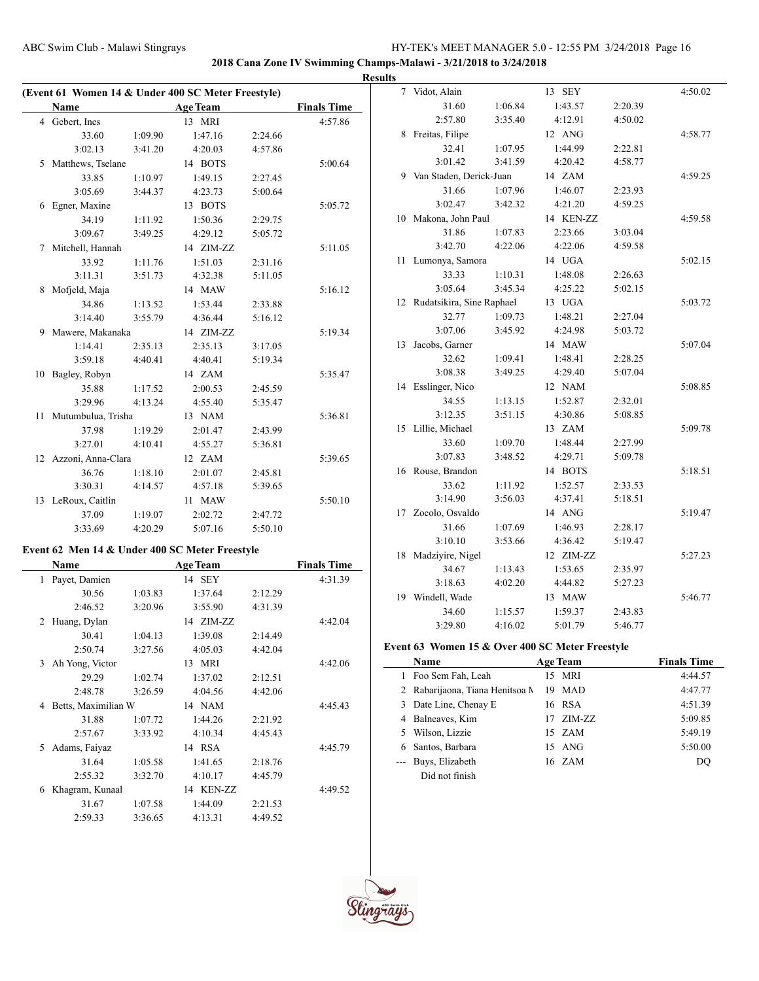**2018 Cana Zone IV Swimming Champs-Malawi - 3/21/2018 to 3/24/2018**

| (Event 61 Women 14 & Under 400 SC Meter Freestyle) |                    |         |                 |         |                    |  |
|----------------------------------------------------|--------------------|---------|-----------------|---------|--------------------|--|
|                                                    | <b>Name</b>        |         | <b>Age Team</b> |         | <b>Finals Time</b> |  |
|                                                    | 4 Gebert, Ines     |         | 13 MRI          |         | 4:57.86            |  |
|                                                    | 33.60              | 1:09.90 | 1:47.16         | 2:24.66 |                    |  |
|                                                    | 3:02.13            | 3:41.20 | 4:20.03         | 4:57.86 |                    |  |
| 5                                                  | Matthews, Tselane  |         | 14 BOTS         |         | 5:00.64            |  |
|                                                    | 33.85              | 1:10.97 | 1:49.15         | 2:27.45 |                    |  |
|                                                    | 3:05.69            | 3:44.37 | 4:23.73         | 5:00.64 |                    |  |
| 6                                                  | Egner, Maxine      |         | 13 BOTS         |         | 5:05.72            |  |
|                                                    | 34.19              | 1:11.92 | 1:50.36         | 2:29.75 |                    |  |
|                                                    | 3:09.67            | 3:49.25 | 4:29.12         | 5:05.72 |                    |  |
| $\tau$                                             | Mitchell, Hannah   |         | 14 ZIM-ZZ       |         | 5:11.05            |  |
|                                                    | 33.92              | 1:11.76 | 1:51.03         | 2:31.16 |                    |  |
|                                                    | 3:11.31            | 3:51.73 | 4:32.38         | 5:11.05 |                    |  |
| 8                                                  | Mofjeld, Maja      |         | 14 MAW          |         | 5:16.12            |  |
|                                                    | 34.86              | 1:13.52 | 1:53.44         | 2:33.88 |                    |  |
|                                                    | 3:14.40            | 3:55.79 | 4:36.44         | 5:16.12 |                    |  |
| 9                                                  | Mawere, Makanaka   |         | 14 ZIM-ZZ       |         | 5:19.34            |  |
|                                                    | 1:14.41            | 2:35.13 | 2:35.13         | 3:17.05 |                    |  |
|                                                    | 3:59.18            | 4:40.41 | 4:40.41         | 5:19.34 |                    |  |
| 10                                                 | Bagley, Robyn      |         | 14 ZAM          |         | 5:35.47            |  |
|                                                    | 35.88              | 1:17.52 | 2:00.53         | 2:45.59 |                    |  |
|                                                    | 3:29.96            | 4:13.24 | 4:55.40         | 5:35.47 |                    |  |
| 11                                                 | Mutumbulua, Trisha |         | 13 NAM          |         | 5:36.81            |  |
|                                                    | 37.98              | 1:19.29 | 2:01.47         | 2:43.99 |                    |  |
|                                                    | 3:27.01            | 4:10.41 | 4:55.27         | 5:36.81 |                    |  |
| 12                                                 | Azzoni, Anna-Clara |         | 12 ZAM          |         | 5:39.65            |  |
|                                                    | 36.76              | 1:18.10 | 2:01.07         | 2:45.81 |                    |  |
|                                                    | 3:30.31            | 4:14.57 | 4:57.18         | 5:39.65 |                    |  |
|                                                    | 13 LeRoux, Caitlin |         | 11 MAW          |         | 5:50.10            |  |
|                                                    | 37.09              | 1:19.07 | 2:02.72         | 2:47.72 |                    |  |
|                                                    | 3:33.69            | 4:20.29 | 5:07.16         | 5:50.10 |                    |  |
|                                                    |                    |         |                 |         |                    |  |

# **Event 62 Men 14 & Under 400 SC Meter Freestyle**

|              | Name                |         | <b>Age Team</b> |         | <b>Finals Time</b> |
|--------------|---------------------|---------|-----------------|---------|--------------------|
| $\mathbf{1}$ | Payet, Damien       |         | 14 SEY          |         | 4:31.39            |
|              | 30.56               | 1:03.83 | 1:37.64         | 2:12.29 |                    |
|              | 2:46.52             | 3:20.96 | 3:55.90         | 4:31.39 |                    |
| 2            | Huang, Dylan        |         | 14 ZIM-ZZ       |         | 4:42.04            |
|              | 30.41               | 1:04.13 | 1:39.08         | 2:14.49 |                    |
|              | 2:50.74             | 3:27.56 | 4:05.03         | 4:42.04 |                    |
| 3            | Ah Yong, Victor     |         | 13 MRI          |         | 4:42.06            |
|              | 29.29               | 1:02.74 | 1:37.02         | 2:12.51 |                    |
|              | 2:48.78             | 3:26.59 | 4:04.56         | 4:42.06 |                    |
| 4            | Betts, Maximilian W |         | 14 NAM          |         | 4:45.43            |
|              | 31.88               | 1:07.72 | 1:44.26         | 2:21.92 |                    |
|              | 2:57.67             | 3:33.92 | 4:10.34         | 4:45.43 |                    |
| 5.           | Adams, Faiyaz       |         | 14 RSA          |         | 4:45.79            |
|              | 31.64               | 1:05.58 | 1:41.65         | 2:18.76 |                    |
|              | 2:55.32             | 3:32.70 | 4:10.17         | 4:45.79 |                    |
| 6            | Khagram, Kunaal     |         | 14 KEN-ZZ       |         | 4:49.52            |
|              | 31.67               | 1:07.58 | 1:44.09         | 2:21.53 |                    |
|              | 2:59.33             | 3:36.65 | 4:13.31         | 4:49.52 |                    |

|   | <b>Results</b> |                              |         |           |         |         |
|---|----------------|------------------------------|---------|-----------|---------|---------|
|   | $\overline{7}$ | Vidot, Alain                 |         | 13 SEY    |         | 4:50.02 |
|   |                | 31.60                        | 1:06.84 | 1:43.57   | 2:20.39 |         |
| - |                | 2:57.80                      | 3:35.40 | 4:12.91   | 4:50.02 |         |
|   | 8              | Freitas, Filipe              |         | 12 ANG    |         | 4:58.77 |
|   |                | 32.41                        | 1:07.95 | 1:44.99   | 2:22.81 |         |
|   |                | 3:01.42                      | 3:41.59 | 4:20.42   | 4:58.77 |         |
|   | 9              | Van Staden, Derick-Juan      |         | 14 ZAM    |         | 4:59.25 |
|   |                | 31.66                        | 1:07.96 | 1:46.07   | 2:23.93 |         |
|   |                | 3:02.47                      | 3:42.32 | 4:21.20   | 4:59.25 |         |
|   |                | 10 Makona, John Paul         |         | 14 KEN-ZZ |         | 4:59.58 |
|   |                | 31.86                        | 1:07.83 | 2:23.66   | 3:03.04 |         |
|   |                | 3:42.70                      | 4:22.06 | 4:22.06   | 4:59.58 |         |
|   | 11             | Lumonya, Samora              |         | 14 UGA    |         | 5:02.15 |
|   |                | 33.33                        | 1:10.31 | 1:48.08   | 2:26.63 |         |
|   |                | 3:05.64                      | 3:45.34 | 4:25.22   | 5:02.15 |         |
|   |                | 12 Rudatsikira, Sine Raphael |         | 13 UGA    |         | 5:03.72 |
|   |                | 32.77                        | 1:09.73 | 1:48.21   | 2:27.04 |         |
|   |                | 3:07.06                      | 3:45.92 | 4:24.98   | 5:03.72 |         |
|   | 13             | Jacobs, Garner               |         | 14 MAW    |         | 5:07.04 |
|   |                | 32.62                        | 1:09.41 | 1:48.41   | 2:28.25 |         |
|   |                | 3:08.38                      | 3:49.25 | 4:29.40   | 5:07.04 |         |
|   |                | 14 Esslinger, Nico           |         | 12 NAM    |         | 5:08.85 |
|   |                | 34.55                        | 1:13.15 | 1:52.87   | 2:32.01 |         |
|   |                | 3:12.35                      | 3:51.15 | 4:30.86   | 5:08.85 |         |
|   |                | 15 Lillie, Michael           |         | 13 ZAM    |         | 5:09.78 |
|   |                | 33.60                        | 1:09.70 | 1:48.44   | 2:27.99 |         |
|   |                | 3:07.83                      | 3:48.52 | 4:29.71   | 5:09.78 |         |
|   |                | 16 Rouse, Brandon            |         | 14 BOTS   |         | 5:18.51 |
|   |                | 33.62                        | 1:11.92 | 1:52.57   | 2:33.53 |         |
|   |                | 3:14.90                      | 3:56.03 | 4:37.41   | 5:18.51 |         |
|   |                | 17 Zocolo, Osvaldo           |         | 14 ANG    |         | 5:19.47 |
|   |                | 31.66                        | 1:07.69 | 1:46.93   | 2:28.17 |         |
|   |                | 3:10.10                      | 3:53.66 | 4:36.42   | 5:19.47 |         |
|   | 18             | Madziyire, Nigel             |         | 12 ZIM-ZZ |         | 5:27.23 |
|   |                | 34.67                        | 1:13.43 | 1:53.65   | 2:35.97 |         |
|   |                | 3:18.63                      | 4:02.20 | 4:44.82   | 5:27.23 |         |
|   |                | 19 Windell, Wade             |         | 13 MAW    |         | 5:46.77 |
|   |                | 34.60                        | 1:15.57 | 1:59.37   | 2:43.83 |         |
|   |                | 3:29.80                      | 4:16.02 | 5:01.79   | 5:46.77 |         |
|   |                |                              |         |           |         |         |

# **Event 63 Women 15 & Over 400 SC Meter Freestyle**

|    | <b>Name</b>                     | <b>Age Team</b> | <b>Finals Time</b> |
|----|---------------------------------|-----------------|--------------------|
| 1  | Foo Sem Fah, Leah               | 15 MRI          | 4:44.57            |
|    | 2 Rabarijaona, Tiana Henitsoa M | MAD<br>19       | 4:47.77            |
| 3  | Date Line, Chenay E             | 16 RSA          | 4:51.39            |
| 4  | Balneaves, Kim                  | 17 ZIM-ZZ       | 5:09.85            |
| 5. | Wilson, Lizzie                  | 15 ZAM          | 5:49.19            |
| 6  | Santos, Barbara                 | 15 ANG          | 5:50.00            |
|    | Buys, Elizabeth                 | 16 ZAM          | DO                 |
|    | Did not finish                  |                 |                    |

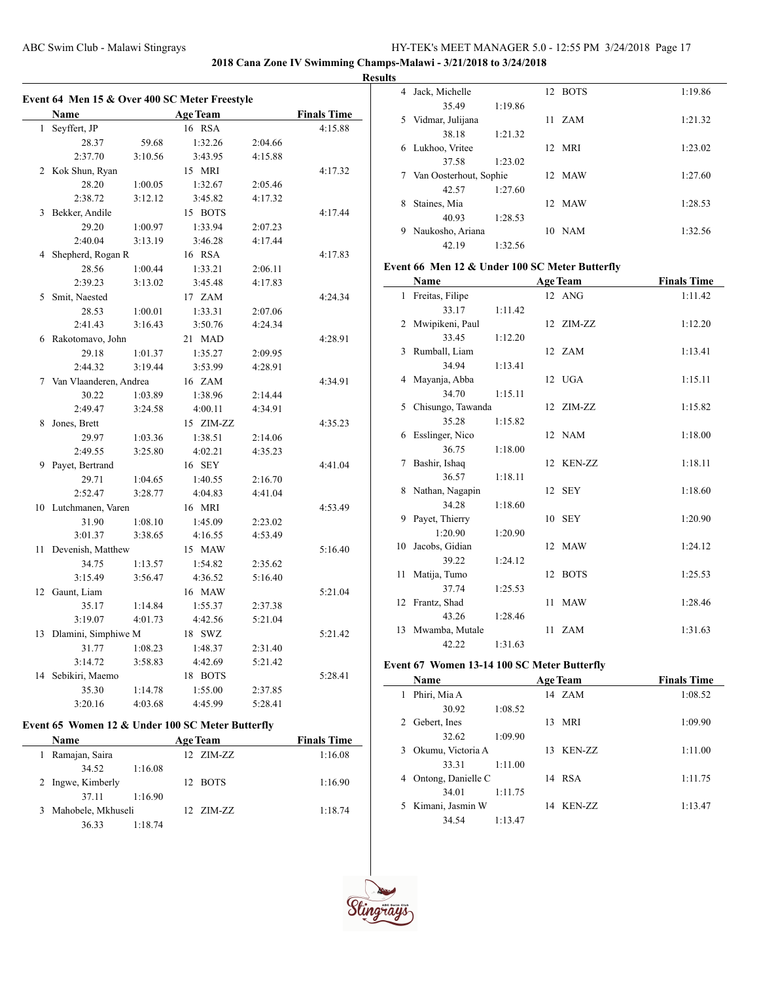**2018 Cana Zone IV Swimming Champs-Malawi - 3/21/2018 to 3/24/2018**

#### **Results**

|    | Name                     |         | <b>Age Team</b> |         | <b>Finals Time</b> |
|----|--------------------------|---------|-----------------|---------|--------------------|
| 1  | Seyffert, JP             |         | 16 RSA          |         | 4:15.88            |
|    | 28.37                    | 59.68   | 1:32.26         | 2:04.66 |                    |
|    | 2:37.70                  | 3:10.56 | 3:43.95         | 4:15.88 |                    |
|    | 2 Kok Shun, Ryan         |         | 15 MRI          |         | 4:17.32            |
|    | 28.20                    | 1:00.05 | 1:32.67         | 2:05.46 |                    |
|    | 2:38.72                  | 3:12.12 | 3:45.82         | 4:17.32 |                    |
| 3  | Bekker, Andile           |         | 15 BOTS         |         | 4:17.44            |
|    | 29.20                    | 1:00.97 | 1:33.94         | 2:07.23 |                    |
|    | 2:40.04                  | 3:13.19 | 3:46.28         | 4:17.44 |                    |
| 4  | Shepherd, Rogan R        |         | 16 RSA          |         | 4:17.83            |
|    | 28.56                    | 1:00.44 | 1:33.21         | 2:06.11 |                    |
|    | 2:39.23                  | 3:13.02 | 3:45.48         | 4:17.83 |                    |
| 5  | Smit, Naested            |         | 17 ZAM          |         | 4:24.34            |
|    | 28.53                    | 1:00.01 | 1:33.31         | 2:07.06 |                    |
|    | 2:41.43                  | 3:16.43 | 3:50.76         | 4:24.34 |                    |
| 6  | Rakotomavo, John         |         | 21 MAD          |         | 4:28.91            |
|    | 29.18                    | 1:01.37 | 1:35.27         | 2:09.95 |                    |
|    | 2:44.32                  | 3:19.44 | 3:53.99         | 4:28.91 |                    |
|    | 7 Van Vlaanderen, Andrea |         | 16 ZAM          |         | 4:34.91            |
|    | 30.22                    | 1:03.89 | 1:38.96         | 2:14.44 |                    |
|    | 2:49.47                  | 3:24.58 | 4:00.11         | 4:34.91 |                    |
| 8  | Jones, Brett             |         | 15 ZIM-ZZ       |         | 4:35.23            |
|    | 29.97                    | 1:03.36 | 1:38.51         | 2:14.06 |                    |
|    | 2:49.55                  | 3:25.80 | 4:02.21         | 4:35.23 |                    |
| 9  | Payet, Bertrand          |         | 16 SEY          |         | 4:41.04            |
|    | 29.71                    | 1:04.65 | 1:40.55         | 2:16.70 |                    |
|    | 2:52.47                  | 3:28.77 | 4:04.83         | 4:41.04 |                    |
|    | 10 Lutchmanen, Varen     |         | 16 MRI          |         | 4:53.49            |
|    | 31.90                    | 1:08.10 | 1:45.09         | 2:23.02 |                    |
|    | 3:01.37                  | 3:38.65 | 4:16.55         | 4:53.49 |                    |
| 11 | Devenish, Matthew        |         | 15 MAW          |         | 5:16.40            |
|    | 34.75                    | 1:13.57 | 1:54.82         | 2:35.62 |                    |
|    | 3:15.49                  | 3:56.47 | 4:36.52         | 5:16.40 |                    |
| 12 | Gaunt, Liam              |         | 16 MAW          |         | 5:21.04            |
|    | 35.17                    | 1:14.84 | 1:55.37         | 2:37.38 |                    |
|    | 3:19.07                  | 4:01.73 | 4:42.56         | 5:21.04 |                    |
| 13 | Dlamini, Simphiwe M      |         | 18 SWZ          |         | 5:21.42            |
|    | 31.77                    | 1:08.23 | 1:48.37         | 2:31.40 |                    |
|    | 3:14.72                  | 3:58.83 | 4:42.69         | 5:21.42 |                    |
| 14 | Sebikiri, Maemo          |         | 18 BOTS         |         | 5:28.41            |
|    | 35.30                    | 1:14.78 | 1:55.00         | 2:37.85 |                    |
|    | 3:20.16                  | 4:03.68 | 4:45.99         | 5:28.41 |                    |

# **Event 65 Women 12 & Under 100 SC Meter Butterfly**

|   | <b>Name</b>        |         | <b>Age Team</b> |                      | <b>Finals Time</b> |  |
|---|--------------------|---------|-----------------|----------------------|--------------------|--|
|   | Ramajan, Saira     |         |                 | $12 \text{ ZIM-}7.7$ | 1:16.08            |  |
|   | 34.52              | 1:16.08 |                 |                      |                    |  |
|   | 2 Ingwe, Kimberly  |         |                 | 12 BOTS              | 1:16.90            |  |
|   | 37 11              | 1:16.90 |                 |                      |                    |  |
| 3 | Mahobele, Mkhuseli |         |                 | $12$ $ZIM-ZZ$        | 1:18.74            |  |
|   | 36.33              | 1:18.74 |                 |                      |                    |  |

| 4  | Jack, Michelle         |         | 12 | <b>BOTS</b> | 1:19.86 |
|----|------------------------|---------|----|-------------|---------|
|    | 35.49                  | 1:19.86 |    |             |         |
| 5. | Vidmar, Julijana       |         | 11 | ZAM         | 1:21.32 |
|    | 38.18                  | 1:21.32 |    |             |         |
| 6  | Lukhoo, Vritee         |         | 12 | MRI         | 1:23.02 |
|    | 37.58                  | 1:23.02 |    |             |         |
| 7  | Van Oosterhout, Sophie |         |    | 12 MAW      | 1:27.60 |
|    | 42.57                  | 1:27.60 |    |             |         |
| 8  | Staines, Mia           |         |    | 12 MAW      | 1:28.53 |
|    | 40.93                  | 1:28.53 |    |             |         |
| 9  | Naukosho, Ariana       |         | 10 | <b>NAM</b>  | 1:32.56 |
|    | 42.19                  | 1:32.56 |    |             |         |

# **Event 66 Men 12 & Under 100 SC Meter Butterfly**

|              | Name              |         |    | <b>Age Team</b> | <b>Finals Time</b> |
|--------------|-------------------|---------|----|-----------------|--------------------|
| $\mathbf{1}$ | Freitas, Filipe   |         |    | 12 ANG          | 1:11.42            |
|              | 33.17             | 1:11.42 |    |                 |                    |
|              | 2 Mwipikeni, Paul |         |    | 12 ZIM-ZZ       | 1:12.20            |
|              | 33.45             | 1:12.20 |    |                 |                    |
|              | 3 Rumball, Liam   |         |    | 12 ZAM          | 1:13.41            |
|              | 34.94             | 1:13.41 |    |                 |                    |
|              | 4 Mayanja, Abba   |         |    | 12 UGA          | 1:15.11            |
|              | 34.70             | 1:15.11 |    |                 |                    |
| 5            | Chisungo, Tawanda |         |    | 12 ZIM-ZZ       | 1:15.82            |
|              | 35.28             | 1:15.82 |    |                 |                    |
|              | 6 Esslinger, Nico |         |    | 12 NAM          | 1:18.00            |
|              | 36.75             | 1:18.00 |    |                 |                    |
| 7            | Bashir, Ishaq     |         |    | 12 KEN-ZZ       | 1:18.11            |
|              | 36.57             | 1:18.11 |    |                 |                    |
|              | 8 Nathan, Nagapin |         |    | 12 SEY          | 1:18.60            |
|              | 34.28             | 1:18.60 |    |                 |                    |
| 9            | Payet, Thierry    |         |    | 10 SEY          | 1:20.90            |
|              | 1:20.90           | 1:20.90 |    |                 |                    |
| 10           | Jacobs, Gidian    |         |    | 12 MAW          | 1:24.12            |
|              | 39.22             | 1:24.12 |    |                 |                    |
|              | 11 Matija, Tumo   |         | 12 | <b>BOTS</b>     | 1:25.53            |
|              | 37.74             | 1:25.53 |    |                 |                    |
|              | 12 Frantz, Shad   |         |    | 11 MAW          | 1:28.46            |
|              | 43.26             | 1:28.46 |    |                 |                    |
|              | 13 Mwamba, Mutale |         |    | 11 ZAM          | 1:31.63            |
|              | 42.22             | 1:31.63 |    |                 |                    |

# **Event 67 Women 13-14 100 SC Meter Butterfly**

|   | Name               |         | <b>Age Team</b> | <b>Finals Time</b> |
|---|--------------------|---------|-----------------|--------------------|
| 1 | Phiri, Mia A       |         | 14 ZAM          | 1:08.52            |
|   | 30.92              | 1:08.52 |                 |                    |
| 2 | Gebert, Ines       |         | 13 MRI          | 1:09.90            |
|   | 32.62              | 1:09.90 |                 |                    |
| 3 | Okumu, Victoria A  |         | 13 KEN-ZZ       | 1:11.00            |
|   | 33.31              | 1:11.00 |                 |                    |
| 4 | Ontong, Danielle C |         | 14 RSA          | 1:11.75            |
|   | 34.01              | 1:11.75 |                 |                    |
| 5 | Kimani, Jasmin W   |         | 14 KEN-ZZ       | 1:13.47            |
|   | 34.54              | 1:13.47 |                 |                    |



 $\overline{\phantom{a}}$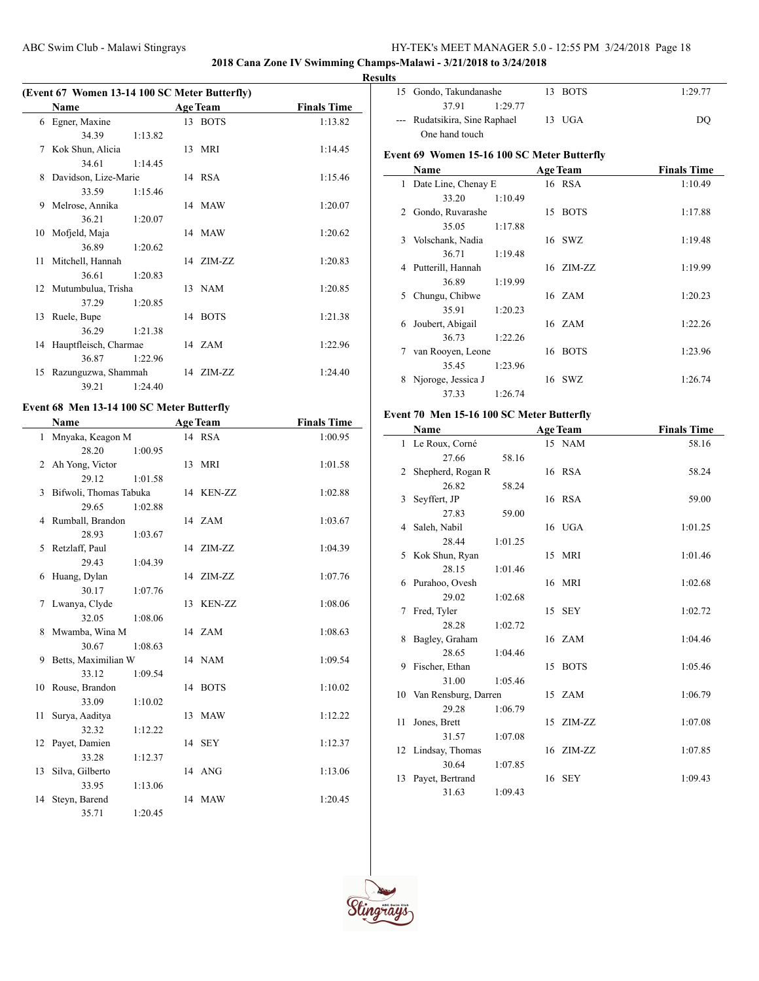# **2018 Cana Zone IV Swimming Champs-Malawi - 3/21/2018 to 3/24/2018**

L.

# **Results**

| (Event 67 Women 13-14 100 SC Meter Butterfly) |                          |         |  |                 |                    |  |  |
|-----------------------------------------------|--------------------------|---------|--|-----------------|--------------------|--|--|
|                                               | <b>Name</b>              |         |  | <b>Age Team</b> | <b>Finals Time</b> |  |  |
|                                               | 6 Egner, Maxine          |         |  | 13 BOTS         | 1:13.82            |  |  |
|                                               | 34.39                    | 1:13.82 |  |                 |                    |  |  |
| 7                                             | Kok Shun, Alicia         |         |  | 13 MRI          | 1:14.45            |  |  |
|                                               | 34.61                    | 1:14.45 |  |                 |                    |  |  |
| 8                                             | Davidson, Lize-Marie     |         |  | 14 RSA          | 1:15.46            |  |  |
|                                               | 33.59                    | 1:15.46 |  |                 |                    |  |  |
| 9                                             | Melrose, Annika          |         |  | 14 MAW          | 1:20.07            |  |  |
|                                               | 36.21                    | 1:20.07 |  |                 |                    |  |  |
|                                               | 10 Mofjeld, Maja         |         |  | 14 MAW          | 1:20.62            |  |  |
|                                               | 36.89                    | 1:20.62 |  |                 |                    |  |  |
|                                               | 11 Mitchell, Hannah      |         |  | 14 ZIM-ZZ       | 1:20.83            |  |  |
|                                               | 36.61                    | 1:20.83 |  |                 |                    |  |  |
|                                               | 12 Mutumbulua, Trisha    |         |  | 13 NAM          | 1:20.85            |  |  |
|                                               | 37.29                    | 1:20.85 |  |                 |                    |  |  |
|                                               | 13 Ruele, Bupe           |         |  | 14 BOTS         | 1:21.38            |  |  |
|                                               | 36.29                    | 1:21.38 |  |                 |                    |  |  |
|                                               | 14 Hauptfleisch, Charmae |         |  | 14 ZAM          | 1:22.96            |  |  |
|                                               | 36.87                    | 1:22.96 |  |                 |                    |  |  |
|                                               | 15 Razunguzwa, Shammah   |         |  | 14 ZIM-ZZ       | 1:24.40            |  |  |
|                                               | 39.21                    | 1:24.40 |  |                 |                    |  |  |

# **Event 68 Men 13-14 100 SC Meter Butterfly**

 $\overline{a}$ 

|                | <b>Name</b>            |         | <b>Age Team</b> | <b>Finals Time</b> |
|----------------|------------------------|---------|-----------------|--------------------|
|                | 1 Mnyaka, Keagon M     |         | 14 RSA          | 1:00.95            |
|                | 28.20                  | 1:00.95 |                 |                    |
| $\overline{2}$ | Ah Yong, Victor        |         | 13 MRI          | 1:01.58            |
|                | 29.12                  | 1:01.58 |                 |                    |
| 3              | Bifwoli, Thomas Tabuka |         | 14 KEN-ZZ       | 1:02.88            |
|                | 29.65                  | 1:02.88 |                 |                    |
| $\overline{4}$ | Rumball, Brandon       |         | 14 ZAM          | 1:03.67            |
|                | 28.93                  | 1:03.67 |                 |                    |
| 5.             | Retzlaff, Paul         |         | 14 ZIM-ZZ       | 1:04.39            |
|                | 29.43                  | 1:04.39 |                 |                    |
| 6              | Huang, Dylan           |         | 14 ZIM-ZZ       | 1:07.76            |
|                | 30.17                  | 1:07.76 |                 |                    |
| $7^{\circ}$    | Lwanya, Clyde          |         | 13 KEN-ZZ       | 1:08.06            |
|                | 32.05                  | 1:08.06 |                 |                    |
| 8              | Mwamba, Wina M         |         | 14 ZAM          | 1:08.63            |
|                | 30.67                  | 1:08.63 |                 |                    |
| 9              | Betts, Maximilian W    |         | 14 NAM          | 1:09.54            |
|                | 33.12                  | 1:09.54 |                 |                    |
| 10             | Rouse, Brandon         |         | 14 BOTS         | 1:10.02            |
|                | 33.09                  | 1:10.02 |                 |                    |
| 11             | Surya, Aaditya         |         | 13 MAW          | 1:12.22            |
|                | 32.32                  | 1:12.22 |                 |                    |
| 12             | Payet, Damien          |         | 14 SEY          | 1:12.37            |
|                | 33.28                  | 1:12.37 |                 |                    |
| 13             | Silva, Gilberto        |         | 14 ANG          | 1:13.06            |
|                | 33.95                  | 1:13.06 |                 |                    |
| 14             | Steyn, Barend          |         | 14 MAW          | 1:20.45            |
|                | 35.71                  | 1:20.45 |                 |                    |

| 15 Gondo, Takundanashe        | 13 BOTS | 1:29.77 |
|-------------------------------|---------|---------|
| 3791<br>1:29.77               |         |         |
| --- Rudatsikira, Sine Raphael | 13 UGA  | DO      |
| One hand touch                |         |         |

# **Event 69 Women 15-16 100 SC Meter Butterfly**

|    | Name                |         |    | <b>Age Team</b> | <b>Finals Time</b> |
|----|---------------------|---------|----|-----------------|--------------------|
| 1  | Date Line, Chenay E |         |    | 16 RSA          | 1:10.49            |
|    | 33.20               | 1:10.49 |    |                 |                    |
| 2  | Gondo, Ruvarashe    |         | 15 | <b>BOTS</b>     | 1:17.88            |
|    | 35.05               | 1:17.88 |    |                 |                    |
| 3. | Volschank, Nadia    |         |    | 16 SWZ          | 1:19.48            |
|    | 36.71               | 1:19.48 |    |                 |                    |
|    | 4 Putterill, Hannah |         |    | 16 ZIM-ZZ       | 1:19.99            |
|    | 36.89               | 1:19.99 |    |                 |                    |
| 5  | Chungu, Chibwe      |         |    | 16 ZAM          | 1:20.23            |
|    | 35.91               | 1:20.23 |    |                 |                    |
| 6  | Joubert, Abigail    |         |    | 16 ZAM          | 1:22.26            |
|    | 36.73               | 1:22.26 |    |                 |                    |
| 7  | van Rooyen, Leone   |         |    | 16 BOTS         | 1:23.96            |
|    | 35.45               | 1:23.96 |    |                 |                    |
| 8  | Njoroge, Jessica J  |         |    | 16 SWZ          | 1:26.74            |
|    | 37.33               | 1:26.74 |    |                 |                    |

# **Event 70 Men 15-16 100 SC Meter Butterfly**

|    | Name                    |         |    | <b>Age Team</b> | <b>Finals Time</b> |
|----|-------------------------|---------|----|-----------------|--------------------|
|    | 1 Le Roux, Corné        |         |    | 15 NAM          | 58.16              |
|    | 27.66                   | 58.16   |    |                 |                    |
| 2  | Shepherd, Rogan R       |         |    | 16 RSA          | 58.24              |
|    | 26.82                   | 58.24   |    |                 |                    |
| 3  | Seyffert, JP            |         |    | 16 RSA          | 59.00              |
|    | 27.83                   | 59.00   |    |                 |                    |
| 4  | Saleh, Nabil            |         |    | 16 UGA          | 1:01.25            |
|    | 28.44                   | 1:01.25 |    |                 |                    |
| 5. | Kok Shun, Ryan          |         |    | 15 MRI          | 1:01.46            |
|    | 28.15                   | 1:01.46 |    |                 |                    |
| 6  | Purahoo, Ovesh          |         |    | 16 MRI          | 1:02.68            |
|    | 29.02                   | 1:02.68 |    |                 |                    |
| 7  | Fred, Tyler             |         |    | 15 SEY          | 1:02.72            |
|    | 28.28                   | 1:02.72 |    |                 |                    |
| 8  | Bagley, Graham          |         |    | 16 ZAM          | 1:04.46            |
|    | 28.65                   | 1:04.46 |    |                 |                    |
| 9  | Fischer, Ethan          |         | 15 | <b>BOTS</b>     | 1:05.46            |
|    | 31.00                   | 1:05.46 |    |                 |                    |
|    | 10 Van Rensburg, Darren |         |    | 15 ZAM          | 1:06.79            |
|    | 29.28                   | 1:06.79 |    |                 |                    |
| 11 | Jones, Brett            |         |    | 15 ZIM-ZZ       | 1:07.08            |
|    | 31.57                   | 1:07.08 |    |                 |                    |
|    | 12 Lindsay, Thomas      |         |    | 16 ZIM-ZZ       | 1:07.85            |
|    | 30.64                   | 1:07.85 |    |                 |                    |
| 13 | Payet, Bertrand         |         |    | 16 SEY          | 1:09.43            |
|    | 31.63                   | 1:09.43 |    |                 |                    |

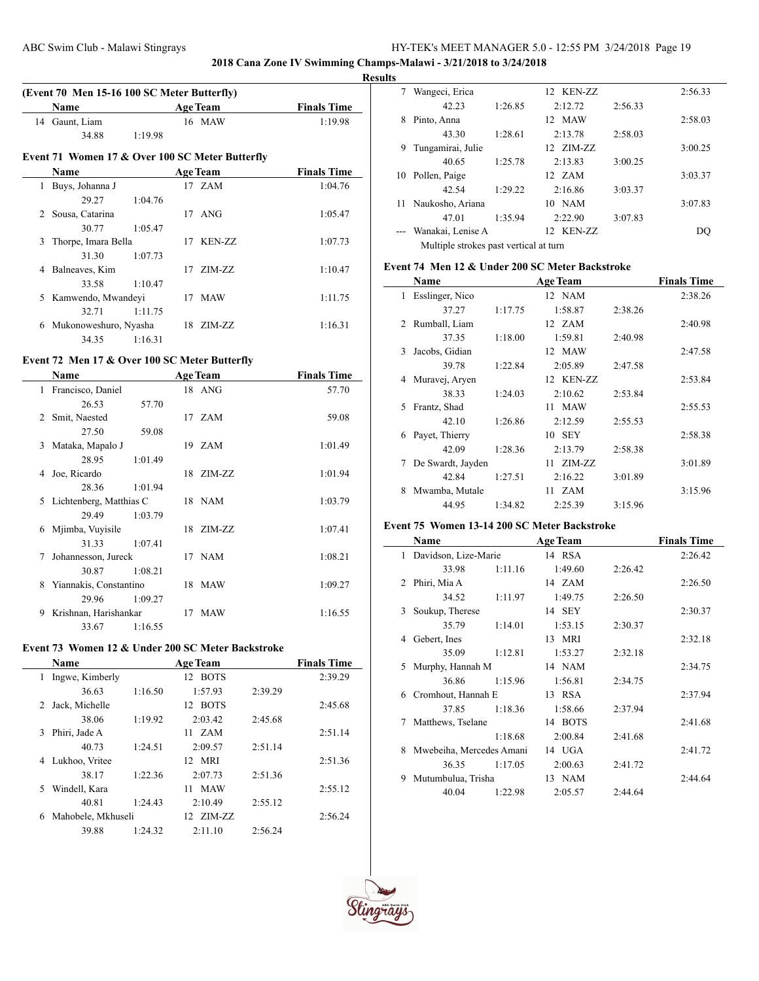**2018 Cana Zone IV Swimming Champs-Malawi - 3/21/2018 to 3/24/2018**

 $\sim$ 

#### **Results**

|                |                                                 |         |    |                 | К                  |
|----------------|-------------------------------------------------|---------|----|-----------------|--------------------|
|                | (Event 70 Men 15-16 100 SC Meter Butterfly)     |         |    |                 |                    |
|                | <b>Name</b>                                     |         |    | <b>Age Team</b> | <b>Finals Time</b> |
| 14             | Gaunt, Liam                                     |         |    | 16 MAW          | 1:19.98            |
|                | 34.88                                           | 1:19.98 |    |                 |                    |
|                | Event 71 Women 17 & Over 100 SC Meter Butterfly |         |    |                 |                    |
|                | Name                                            |         |    | <b>Age Team</b> | <b>Finals Time</b> |
| 1              | Buys, Johanna J                                 |         |    | 17 ZAM          | 1:04.76            |
|                | 29.27                                           | 1:04.76 |    |                 |                    |
| $\mathfrak{D}$ | Sousa, Catarina                                 |         | 17 | ANG             | 1:05.47            |
|                | 30.77                                           | 1:05.47 |    |                 |                    |
| 3              | Thorpe, Imara Bella                             |         |    | 17 KEN-ZZ       | 1:07.73            |
|                | 31.30                                           | 1:07.73 |    |                 |                    |
| 4              | Balneaves, Kim                                  |         | 17 | $ZIM-ZZ$        | 1:10.47            |
|                | 33.58                                           | 1:10.47 |    |                 |                    |
| 5              | Kamwendo, Mwandeyi                              |         |    | 17 MAW          | 1:11.75            |
|                | 32.71                                           | 1:11.75 |    |                 |                    |
| 6              | Mukonoweshuro, Nyasha                           |         |    | 18 ZIM-ZZ       | 1:16.31            |
|                | 34.35                                           | 1:16.31 |    |                 |                    |

# **Event 72 Men 17 & Over 100 SC Meter Butterfly**

 $\overline{a}$ 

|                               | <b>Name</b>             |         | <b>Age Team</b> | <b>Finals Time</b> |
|-------------------------------|-------------------------|---------|-----------------|--------------------|
| 1                             | Francisco, Daniel       |         | 18 ANG          | 57.70              |
|                               | 26.53                   | 57.70   |                 |                    |
| $\mathfrak{D}_{\mathfrak{p}}$ | Smit, Naested           |         | 17 ZAM          | 59.08              |
|                               | 27.50                   | 59.08   |                 |                    |
| 3                             | Mataka, Mapalo J        |         | 19 ZAM          | 1:01.49            |
|                               | 28.95                   | 1:01.49 |                 |                    |
| 4                             | Joe, Ricardo            |         | 18 ZIM-ZZ       | 1:01.94            |
|                               | 28.36                   | 1:01.94 |                 |                    |
| 5.                            | Lichtenberg, Matthias C |         | 18 NAM          | 1:03.79            |
|                               | 29.49                   | 1:03.79 |                 |                    |
| 6                             | Mjimba, Vuyisile        |         | 18 ZIM-ZZ       | 1:07.41            |
|                               | 31.33                   | 1:07.41 |                 |                    |
| 7                             | Johannesson, Jureck     |         | 17 NAM          | 1:08.21            |
|                               | 30.87                   | 1:08.21 |                 |                    |
| 8.                            | Yiannakis, Constantino  |         | 18 MAW          | 1:09.27            |
|                               | 29.96                   | 1:09.27 |                 |                    |
| 9                             | Krishnan, Harishankar   |         | 17 MAW          | 1:16.55            |
|                               | 33.67                   | 1:16.55 |                 |                    |

# **Event 73 Women 12 & Under 200 SC Meter Backstroke**

|   | <b>Name</b>        |         | <b>Age Team</b> |         | <b>Finals Time</b> |
|---|--------------------|---------|-----------------|---------|--------------------|
| 1 | Ingwe, Kimberly    |         | 12 BOTS         |         | 2:39.29            |
|   | 36.63              | 1:16.50 | 1:57.93         | 2:39.29 |                    |
| 2 | Jack, Michelle     |         | 12 BOTS         |         | 2:45.68            |
|   | 38.06              | 1:19.92 | 2:03.42         | 2:45.68 |                    |
| 3 | Phiri, Jade A      |         | 11 ZAM          |         | 2:51.14            |
|   | 40.73              | 1:24.51 | 2:09.57         | 2:51.14 |                    |
| 4 | Lukhoo, Vritee     |         | 12 MRI          |         | 2:51.36            |
|   | 38.17              | 1:22.36 | 2:07.73         | 2:51.36 |                    |
| 5 | Windell, Kara      |         | 11 MAW          |         | 2:55.12            |
|   | 40.81              | 1:24.43 | 2:10.49         | 2:55.12 |                    |
| 6 | Mahobele, Mkhuseli |         | $12$ $ZIM-ZZ$   |         | 2:56.24            |
|   | 39.88              | 1:24.32 | 2:11.10         | 2:56.24 |                    |
|   |                    |         |                 |         |                    |

|    | Wangeci, Erica                         |         | 12 KEN-ZZ |         | 2:56.33 |  |  |
|----|----------------------------------------|---------|-----------|---------|---------|--|--|
|    | 42.23                                  | 1:26.85 | 2:12.72   | 2:56.33 |         |  |  |
| 8  | Pinto, Anna                            |         | 12 MAW    |         | 2:58.03 |  |  |
|    | 43.30                                  | 1:28.61 | 2:13.78   | 2:58.03 |         |  |  |
| 9  | Tungamirai, Julie                      |         | 12 ZIM-ZZ |         | 3:00.25 |  |  |
|    | 40.65                                  | 1:25.78 | 2:13.83   | 3:00.25 |         |  |  |
| 10 | Pollen, Paige                          |         | 12 ZAM    |         | 3:03.37 |  |  |
|    | 42.54                                  | 1:29.22 | 2:16.86   | 3:03.37 |         |  |  |
| 11 | Naukosho, Ariana                       |         | $10$ NAM  |         | 3:07.83 |  |  |
|    | 47.01                                  | 1:35.94 | 2:22.90   | 3:07.83 |         |  |  |
|    | Wanakai, Lenise A                      |         | 12 KEN-ZZ |         | DO      |  |  |
|    | Multiple strokes past vertical at turn |         |           |         |         |  |  |

# **Event 74 Men 12 & Under 200 SC Meter Backstroke**

|              | Name              |         | <b>Age Team</b> |         | <b>Finals Time</b> |
|--------------|-------------------|---------|-----------------|---------|--------------------|
| 1            | Esslinger, Nico   |         | 12 NAM          |         | 2:38.26            |
|              | 37.27             | 1:17.75 | 1:58.87         | 2:38.26 |                    |
| 2            | Rumball, Liam     |         | 12 ZAM          |         | 2:40.98            |
|              | 37.35             | 1:18.00 | 1:59.81         | 2:40.98 |                    |
| $\mathbf{3}$ | Jacobs, Gidian    |         | 12 MAW          |         | 2:47.58            |
|              | 39.78             | 1:22.84 | 2:05.89         | 2:47.58 |                    |
| 4            | Muravej, Aryen    |         | 12 KEN-ZZ       |         | 2:53.84            |
|              | 38.33             | 1:24.03 | 2:10.62         | 2:53.84 |                    |
| 5            | Frantz, Shad      |         | 11 MAW          |         | 2:55.53            |
|              | 42.10             | 1:26.86 | 2:12.59         | 2:55.53 |                    |
| 6            | Payet, Thierry    |         | 10 SEY          |         | 2:58.38            |
|              | 42.09             | 1:28.36 | 2:13.79         | 2:58.38 |                    |
| 7            | De Swardt, Jayden |         | 11 ZIM-ZZ       |         | 3:01.89            |
|              | 42.84             | 1:27.51 | 2:16.22         | 3:01.89 |                    |
| 8            | Mwamba, Mutale    |         | 11 ZAM          |         | 3:15.96            |
|              | 44.95             | 1:34.82 | 2:25.39         | 3:15.96 |                    |

# **Event 75 Women 13-14 200 SC Meter Backstroke**

|   | Name                     |         | <b>Age Team</b> |         | <b>Finals Time</b> |
|---|--------------------------|---------|-----------------|---------|--------------------|
| 1 | Davidson, Lize-Marie     |         | 14 RSA          |         | 2:26.42            |
|   | 33.98                    | 1:11.16 | 1:49.60         | 2:26.42 |                    |
|   | 2 Phiri, Mia A           |         | 14 ZAM          |         | 2:26.50            |
|   | 34.52                    | 1:11.97 | 1:49.75         | 2:26.50 |                    |
| 3 | Soukup, Therese          |         | 14 SEY          |         | 2:30.37            |
|   | 35.79                    | 1:14.01 | 1:53.15         | 2:30.37 |                    |
| 4 | Gebert, Ines             |         | 13 MRI          |         | 2:32.18            |
|   | 35.09                    | 1:12.81 | 1:53.27         | 2:32.18 |                    |
| 5 | Murphy, Hannah M         |         | 14 NAM          |         | 2:34.75            |
|   | 36.86                    | 1:15.96 | 1:56.81         | 2:34.75 |                    |
| 6 | Cromhout, Hannah E       |         | 13 RSA          |         | 2:37.94            |
|   | 37.85                    | 1:18.36 | 1:58.66         | 2:37.94 |                    |
| 7 | Matthews, Tselane        |         | 14 BOTS         |         | 2:41.68            |
|   |                          | 1:18.68 | 2:00.84         | 2:41.68 |                    |
| 8 | Mwebeiha, Mercedes Amani |         | 14 UGA          |         | 2:41.72            |
|   | 36.35                    | 1:17.05 | 2:00.63         | 2:41.72 |                    |
| 9 | Mutumbulua, Trisha       |         | 13 NAM          |         | 2:44.64            |
|   | 40.04                    | 1:22.98 | 2:05.57         | 2:44.64 |                    |

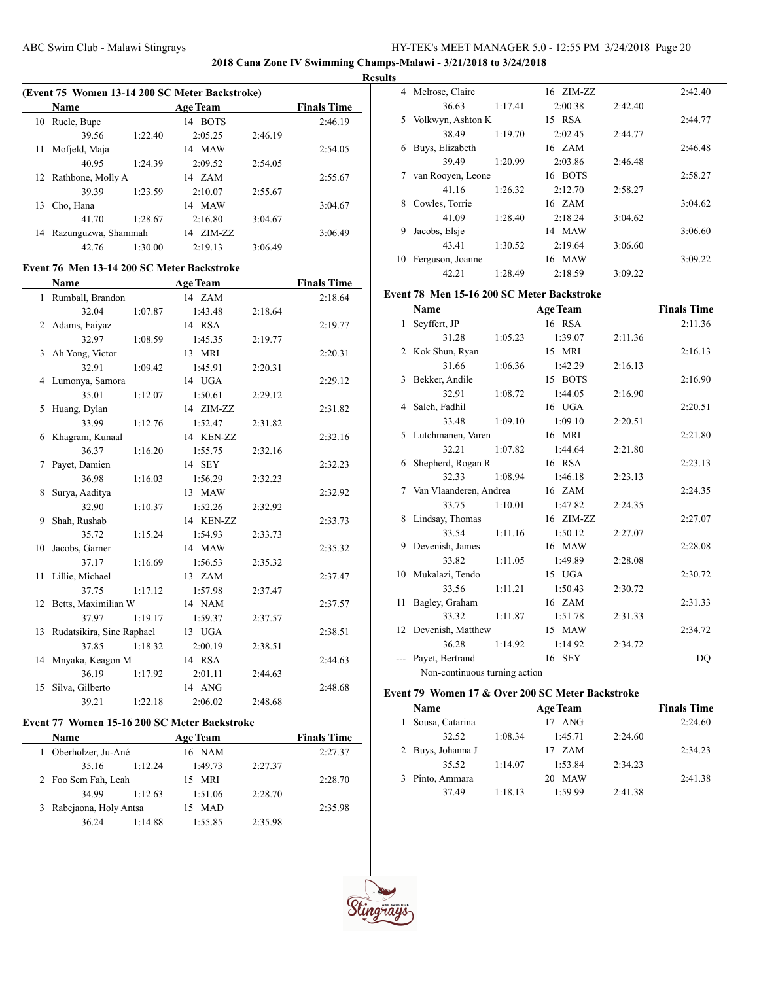**2018 Cana Zone IV Swimming Champs-Malawi - 3/21/2018 to 3/24/2018**

#### **Results**

 $\overline{\phantom{a}}$ 

| (Event 75 Women 13-14 200 SC Meter Backstroke) |                     |         |                   |         |                    |  |  |
|------------------------------------------------|---------------------|---------|-------------------|---------|--------------------|--|--|
|                                                | <b>Name</b>         |         | <b>Age Team</b>   |         | <b>Finals Time</b> |  |  |
| 10                                             | Ruele, Bupe         |         | <b>BOTS</b><br>14 |         | 2:46.19            |  |  |
|                                                | 39.56               | 1:22.40 | 2:05.25           | 2:46.19 |                    |  |  |
| 11                                             | Mofjeld, Maja       |         | 14 MAW            |         | 2:54.05            |  |  |
|                                                | 40.95               | 1:24.39 | 2:09.52           | 2:54.05 |                    |  |  |
| 12                                             | Rathbone, Molly A   |         | 14 ZAM            |         | 2:55.67            |  |  |
|                                                | 39.39               | 1:23.59 | 2:10.07           | 2:55.67 |                    |  |  |
| 13                                             | Cho, Hana           |         | 14 MAW            |         | 3:04.67            |  |  |
|                                                | 41.70               | 1:28.67 | 2:16.80           | 3:04.67 |                    |  |  |
| 14                                             | Razunguzwa, Shammah |         | ZIM-ZZ<br>14      |         | 3:06.49            |  |  |
|                                                | 42.76               | 1:30.00 | 2:19.13           | 3:06.49 |                    |  |  |

## **Event 76 Men 13-14 200 SC Meter Backstroke**

|    | <b>Name</b>               |         | <b>Age Team</b> |         | <b>Finals Time</b> |
|----|---------------------------|---------|-----------------|---------|--------------------|
|    | 1 Rumball, Brandon        |         | 14 ZAM          |         | 2:18.64            |
|    | 32.04                     | 1:07.87 | 1:43.48         | 2:18.64 |                    |
|    | 2 Adams, Faiyaz           |         | 14 RSA          |         | 2:19.77            |
|    | 32.97                     | 1:08.59 | 1:45.35         | 2:19.77 |                    |
| 3  | Ah Yong, Victor           |         | 13 MRI          |         | 2:20.31            |
|    | 32.91                     | 1:09.42 | 1:45.91         | 2:20.31 |                    |
|    | 4 Lumonya, Samora         |         | 14 UGA          |         | 2:29.12            |
|    | 35.01                     | 1:12.07 | 1:50.61         | 2:29.12 |                    |
| 5. | Huang, Dylan              |         | 14 ZIM-ZZ       |         | 2:31.82            |
|    | 33.99                     | 1:12.76 | 1:52.47         | 2:31.82 |                    |
|    | 6 Khagram, Kunaal         |         | 14 KEN-ZZ       |         | 2:32.16            |
|    | 36.37                     | 1:16.20 | 1:55.75         | 2:32.16 |                    |
| 7  | Payet, Damien             |         | 14 SEY          |         | 2:32.23            |
|    | 36.98                     | 1:16.03 | 1:56.29         | 2:32.23 |                    |
| 8  | Surya, Aaditya            |         | 13 MAW          |         | 2:32.92            |
|    | 32.90                     | 1:10.37 | 1:52.26         | 2:32.92 |                    |
| 9  | Shah, Rushab              |         | 14 KEN-ZZ       |         | 2:33.73            |
|    | 35.72                     | 1:15.24 | 1:54.93         | 2:33.73 |                    |
| 10 | Jacobs, Garner            |         | 14 MAW          |         | 2:35.32            |
|    | 37.17                     | 1:16.69 | 1:56.53         | 2:35.32 |                    |
| 11 | Lillie, Michael           |         | 13 ZAM          |         | 2:37.47            |
|    | 37.75                     | 1:17.12 | 1:57.98         | 2:37.47 |                    |
|    | 12 Betts, Maximilian W    |         | 14 NAM          |         | 2:37.57            |
|    | 37.97                     | 1:19.17 | 1:59.37         | 2:37.57 |                    |
| 13 | Rudatsikira, Sine Raphael |         | 13 UGA          |         | 2:38.51            |
|    | 37.85                     | 1:18.32 | 2:00.19         | 2:38.51 |                    |
| 14 | Mnyaka, Keagon M          |         | 14 RSA          |         | 2:44.63            |
|    | 36.19                     | 1:17.92 | 2:01.11         | 2:44.63 |                    |
| 15 | Silva, Gilberto           |         | 14 ANG          |         | 2:48.68            |
|    | 39.21                     | 1:22.18 | 2:06.02         | 2:48.68 |                    |

# **Event 77 Women 15-16 200 SC Meter Backstroke**

| Name                    |         | <b>Age Team</b>  |         | <b>Finals Time</b> |
|-------------------------|---------|------------------|---------|--------------------|
| Oberholzer, Ju-Ané      |         | 16 NAM           |         | 2:27.37            |
| 35.16                   | 1:12.24 | 1:49.73          | 2:27.37 |                    |
| 2 Foo Sem Fah, Leah     |         | 15 MRI           |         | 2:28.70            |
| 34.99                   | 1:12.63 | 1:51.06          | 2:28.70 |                    |
| 3 Rabejaona, Holy Antsa |         | <b>MAD</b><br>15 |         | 2:35.98            |
| 36.24                   | 1:14.88 | 1:55.85          | 2:35.98 |                    |

| 4  | Melrose, Claire   |         | 16 ZIM-ZZ |         | 2:42.40 |
|----|-------------------|---------|-----------|---------|---------|
|    | 36.63             | 1:17.41 | 2:00.38   | 2:42.40 |         |
| 5  | Volkwyn, Ashton K |         | 15 RSA    |         | 2:44.77 |
|    | 38.49             | 1:19.70 | 2:02.45   | 2:44.77 |         |
| 6  | Buys, Elizabeth   |         | 16 ZAM    |         | 2:46.48 |
|    | 39.49             | 1:20.99 | 2:03.86   | 2:46.48 |         |
| 7  | van Rooyen, Leone |         | 16 BOTS   |         | 2:58.27 |
|    | 41.16             | 1:26.32 | 2:12.70   | 2:58.27 |         |
| 8  | Cowles, Torrie    |         | 16 ZAM    |         | 3:04.62 |
|    | 41.09             | 1:28.40 | 2:18.24   | 3:04.62 |         |
| 9  | Jacobs, Elsje     |         | 14 MAW    |         | 3:06.60 |
|    | 43.41             | 1:30.52 | 2:19.64   | 3:06.60 |         |
| 10 | Ferguson, Joanne  |         | 16 MAW    |         | 3:09.22 |
|    | 42.21             | 1:28.49 | 2:18.59   | 3:09.22 |         |

### **Event 78 Men 15-16 200 SC Meter Backstroke**

|    | Name                          |         | <b>Age Team</b> |         | <b>Finals Time</b> |
|----|-------------------------------|---------|-----------------|---------|--------------------|
| 1  | Seyffert, JP                  |         | 16 RSA          |         | 2:11.36            |
|    | 31.28                         | 1:05.23 | 1:39.07         | 2:11.36 |                    |
|    | 2 Kok Shun, Ryan              |         | 15 MRI          |         | 2:16.13            |
|    | 31.66                         | 1:06.36 | 1:42.29         | 2:16.13 |                    |
| 3  | Bekker, Andile                |         | 15 BOTS         |         | 2:16.90            |
|    | 32.91                         | 1:08.72 | 1:44.05         | 2:16.90 |                    |
| 4  | Saleh, Fadhil                 |         | 16 UGA          |         | 2:20.51            |
|    | 33.48                         | 1:09.10 | 1:09.10         | 2:20.51 |                    |
|    | 5 Lutchmanen, Varen           |         | 16 MRI          |         | 2:21.80            |
|    | 32.21                         | 1:07.82 | 1:44.64         | 2:21.80 |                    |
| 6  | Shepherd, Rogan R             |         | 16 RSA          |         | 2:23.13            |
|    | 32.33                         | 1:08.94 | 1:46.18         | 2:23.13 |                    |
| 7  | Van Vlaanderen, Andrea        |         | 16 ZAM          |         | 2:24.35            |
|    | 33.75                         | 1:10.01 | 1:47.82         | 2:24.35 |                    |
| 8  | Lindsay, Thomas               |         | 16 ZIM-ZZ       |         | 2:27.07            |
|    | 33.54                         | 1:11.16 | 1:50.12         | 2:27.07 |                    |
| 9  | Devenish, James               |         | 16 MAW          |         | 2:28.08            |
|    | 33.82                         | 1:11.05 | 1:49.89         | 2:28.08 |                    |
|    | 10 Mukalazi, Tendo            |         | 15 UGA          |         | 2:30.72            |
|    | 33.56                         | 1:11.21 | 1:50.43         | 2:30.72 |                    |
| 11 | Bagley, Graham                |         | 16 ZAM          |         | 2:31.33            |
|    | 33.32                         | 1:11.87 | 1:51.78         | 2:31.33 |                    |
| 12 | Devenish, Matthew             |         | 15 MAW          |         | 2:34.72            |
|    | 36.28                         | 1:14.92 | 1:14.92         | 2:34.72 |                    |
|    | Payet, Bertrand               |         | 16 SEY          |         | DO                 |
|    | Non-continuous turning action |         |                 |         |                    |

## **Event 79 Women 17 & Over 200 SC Meter Backstroke**

| Name              |         | <b>Age Team</b> |         | <b>Finals Time</b> |
|-------------------|---------|-----------------|---------|--------------------|
| Sousa, Catarina   |         | ANG             |         | 2:24.60            |
| 32.52             | 1:08.34 | 1:45.71         | 2:24.60 |                    |
| 2 Buys, Johanna J |         | 17 ZAM          |         | 2:34.23            |
| 35.52             | 1:14.07 | 1:53.84         | 2:34.23 |                    |
| Pinto, Ammara     |         | <b>MAW</b>      |         | 2:41.38            |
| 37.49             | 1:18.13 | 1.5999          | 2:41.38 |                    |



 $\overline{\phantom{a}}$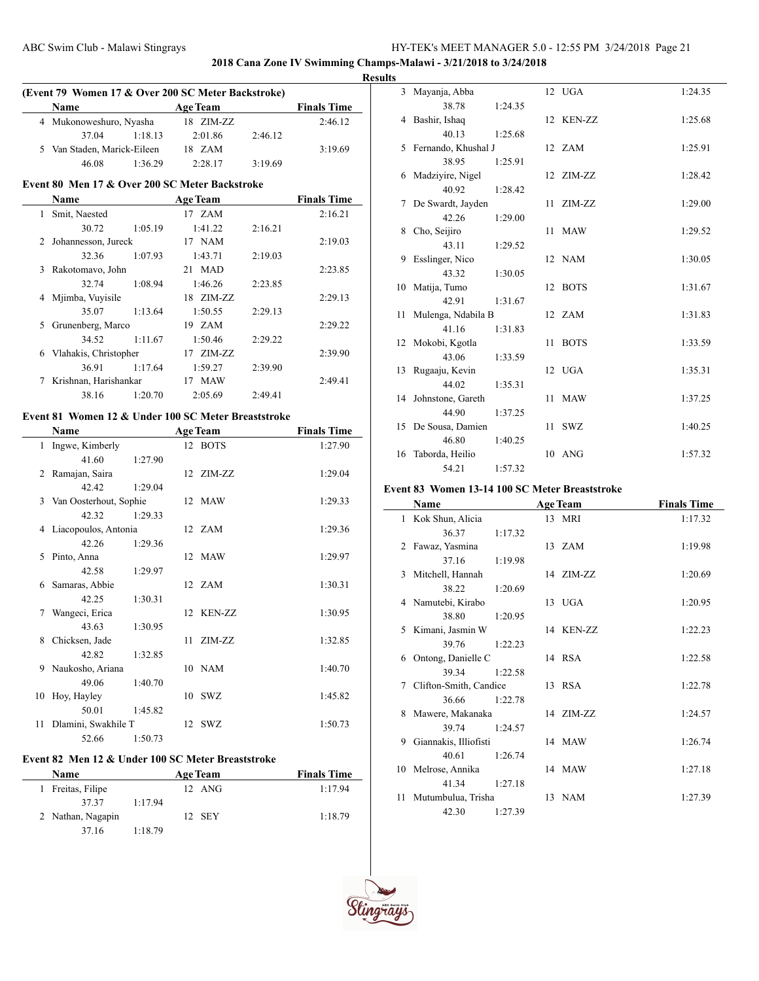**2018 Cana Zone IV Swimming Champs-Malawi - 3/21/2018 to 3/24/2018**

#### **Results**

| (Event 79 Women 17 & Over 200 SC Meter Backstroke) |         |           |         |                    |  |  |  |  |  |
|----------------------------------------------------|---------|-----------|---------|--------------------|--|--|--|--|--|
| Name                                               |         | Age Team  |         | <b>Finals Time</b> |  |  |  |  |  |
| 4 Mukonoweshuro, Nyasha                            |         | 18 ZIM-ZZ |         | 2:46.12            |  |  |  |  |  |
| 37.04                                              | 1:18.13 | 2:01.86   | 2:46.12 |                    |  |  |  |  |  |
| 5 Van Staden, Marick-Eileen                        |         | 18 ZAM    |         | 3:19.69            |  |  |  |  |  |
| 46.08                                              | 1.3629  | 2.2817    | 3:19.69 |                    |  |  |  |  |  |

# **Event 80 Men 17 & Over 200 SC Meter Backstroke**

|   | Name                  |         | <b>Age Team</b> |         | <b>Finals Time</b> |
|---|-----------------------|---------|-----------------|---------|--------------------|
| 1 | Smit, Naested         |         | 17 ZAM          |         | 2:16.21            |
|   | 30.72                 | 1:05.19 | 1:41.22         | 2:16.21 |                    |
|   | 2 Johannesson, Jureck |         | 17 NAM          |         | 2:19.03            |
|   | 32.36                 | 1:07.93 | 1:43.71         | 2:19.03 |                    |
|   | 3 Rakotomavo, John    |         | 21 MAD          |         | 2:23.85            |
|   | 32.74                 | 1:08.94 | 1:46.26         | 2:23.85 |                    |
| 4 | Mjimba, Vuyisile      |         | 18 ZIM-ZZ       |         | 2:29.13            |
|   | 35.07                 | 1:13.64 | 1:50.55         | 2:29.13 |                    |
| 5 | Grunenberg, Marco     |         | 19 ZAM          |         | 2:29.22            |
|   | 34.52                 | 1:11.67 | 1:50.46         | 2:29.22 |                    |
| 6 | Vlahakis, Christopher |         | $17$ $ZIM-ZZ$   |         | 2:39.90            |
|   | 36.91                 | 1:17.64 | 1:59.27         | 2:39.90 |                    |
| 7 | Krishnan, Harishankar |         | 17 MAW          |         | 2:49.41            |
|   | 38.16                 | 1:20.70 | 2:05.69         | 2:49.41 |                    |

# **Event 81 Women 12 & Under 100 SC Meter Breaststroke**

 $\frac{1}{2}$ 

|    | Name                     |         |     | <b>Age Team</b> | <b>Finals Time</b> |
|----|--------------------------|---------|-----|-----------------|--------------------|
|    | 1 Ingwe, Kimberly        |         |     | 12 BOTS         | 1:27.90            |
|    | 41.60                    | 1:27.90 |     |                 |                    |
|    | 2 Ramajan, Saira         |         |     | 12 ZIM-ZZ       | 1:29.04            |
|    | 42.42                    | 1:29.04 |     |                 |                    |
|    | 3 Van Oosterhout, Sophie |         |     | 12 MAW          | 1:29.33            |
|    | 42.32                    | 1:29.33 |     |                 |                    |
|    | 4 Liacopoulos, Antonia   |         |     | 12 ZAM          | 1:29.36            |
|    | 42.26                    | 1:29.36 |     |                 |                    |
| 5. | Pinto, Anna              |         |     | 12 MAW          | 1:29.97            |
|    | 42.58                    | 1:29.97 |     |                 |                    |
| 6  | Samaras, Abbie           |         |     | 12 ZAM          | 1:30.31            |
|    | 42.25                    | 1:30.31 |     |                 |                    |
|    | Wangeci, Erica           |         |     | 12 KEN-ZZ       | 1:30.95            |
|    | 43.63                    | 1:30.95 |     |                 |                    |
| 8. | Chicksen, Jade           |         | 11. | ZIM-ZZ          | 1:32.85            |
|    | 42.82                    | 1:32.85 |     |                 |                    |
| 9. | Naukosho, Ariana         |         |     | 10 NAM          | 1:40.70            |
|    | 49.06                    | 1:40.70 |     |                 |                    |
| 10 | Hoy, Hayley              |         |     | 10 SWZ          | 1:45.82            |
|    | 50.01                    | 1:45.82 |     |                 |                    |
| 11 | Dlamini, Swakhile T      |         |     | 12 SWZ          | 1:50.73            |
|    | 52.66                    | 1:50.73 |     |                 |                    |

### **Event 82 Men 12 & Under 100 SC Meter Breaststroke**

| Name              |         | <b>Age Team</b> | <b>Finals Time</b> |
|-------------------|---------|-----------------|--------------------|
| 1 Freitas, Filipe |         | 12 ANG          | 1:17.94            |
| 37.37             | 1:17.94 |                 |                    |
| 2 Nathan, Nagapin |         | 12 SEY          | 1:18.79            |
| 37 16             | 1:18.79 |                 |                    |

|                | 3 Mayanja, Abba       |         |    | 12 UGA      | 1:24.35 |
|----------------|-----------------------|---------|----|-------------|---------|
|                | 38.78                 | 1:24.35 |    |             |         |
| $\overline{4}$ | Bashir, Ishaq         |         |    | 12 KEN-ZZ   | 1:25.68 |
|                | 40.13                 | 1:25.68 |    |             |         |
|                | 5 Fernando, Khushal J |         |    | 12 ZAM      | 1:25.91 |
|                | 38.95                 | 1:25.91 |    |             |         |
| 6              | Madzivire, Nigel      |         |    | 12 ZIM-ZZ   | 1:28.42 |
|                | 40.92                 | 1:28.42 |    |             |         |
|                | 7 De Swardt, Jayden   |         |    | 11 ZIM-ZZ   | 1:29.00 |
|                | 42.26                 | 1:29.00 |    |             |         |
| 8              | Cho, Seijiro          |         |    | 11 MAW      | 1:29.52 |
|                | 43.11                 | 1:29.52 |    |             |         |
| 9              | Esslinger, Nico       |         |    | 12 NAM      | 1:30.05 |
|                | 43.32                 | 1:30.05 |    |             |         |
| 10             | Matija, Tumo          |         |    | 12 BOTS     | 1:31.67 |
|                | 42.91                 | 1:31.67 |    |             |         |
| 11             | Mulenga, Ndabila B    |         |    | 12 ZAM      | 1:31.83 |
|                | 41.16                 | 1:31.83 |    |             |         |
|                | 12 Mokobi, Kgotla     |         | 11 | <b>BOTS</b> | 1:33.59 |
|                | 43.06                 | 1:33.59 |    |             |         |
|                | 13 Rugaaju, Kevin     |         |    | 12 UGA      | 1:35.31 |
|                | 44.02                 | 1:35.31 |    |             |         |
|                | 14 Johnstone, Gareth  |         | 11 | <b>MAW</b>  | 1:37.25 |
|                | 44.90                 | 1:37.25 |    |             |         |
|                | 15 De Sousa, Damien   |         | 11 | SWZ         | 1:40.25 |
|                | 46.80                 | 1:40.25 |    |             |         |
| 16             | Taborda, Heilio       |         |    | 10 ANG      | 1:57.32 |
|                | 54.21                 | 1:57.32 |    |             |         |

## **Event 83 Women 13-14 100 SC Meter Breaststroke**

|    | Name                   |         | <b>Age Team</b>  | <b>Finals Time</b> |
|----|------------------------|---------|------------------|--------------------|
|    | 1 Kok Shun, Alicia     |         | 13 MRI           | 1:17.32            |
|    | 36.37                  | 1:17.32 |                  |                    |
|    | 2 Fawaz, Yasmina       |         | $13 \text{ ZAM}$ | 1:19.98            |
|    | 37.16                  | 1:19.98 |                  |                    |
| 3  | Mitchell, Hannah       |         | 14 ZIM-ZZ        | 1:20.69            |
|    | 38.22                  | 1:20.69 |                  |                    |
|    | 4 Namutebi, Kirabo     |         | 13 UGA           | 1:20.95            |
|    | 38.80                  | 1:20.95 |                  |                    |
|    | 5 Kimani, Jasmin W     |         | 14 KEN-ZZ        | 1:22.23            |
|    | 39.76                  | 1:22.23 |                  |                    |
| 6  | Ontong, Danielle C     |         | 14 RSA           | 1:22.58            |
|    | 39.34                  | 1:22.58 |                  |                    |
| 7  | Clifton-Smith, Candice |         | 13 RSA           | 1:22.78            |
|    | 36.66                  | 1:22.78 |                  |                    |
| 8  | Mawere, Makanaka       |         | 14 ZIM-ZZ        | 1:24.57            |
|    | 39.74                  | 1:24.57 |                  |                    |
| 9  | Giannakis, Illiofisti  |         | 14 MAW           | 1:26.74            |
|    | 40.61                  | 1:26.74 |                  |                    |
|    | 10 Melrose, Annika     |         | 14 MAW           | 1:27.18            |
|    | 41.34                  | 1:27.18 |                  |                    |
| 11 | Mutumbulua, Trisha     |         | 13 NAM           | 1:27.39            |
|    | 42.30                  | 1:27.39 |                  |                    |



 $\sim$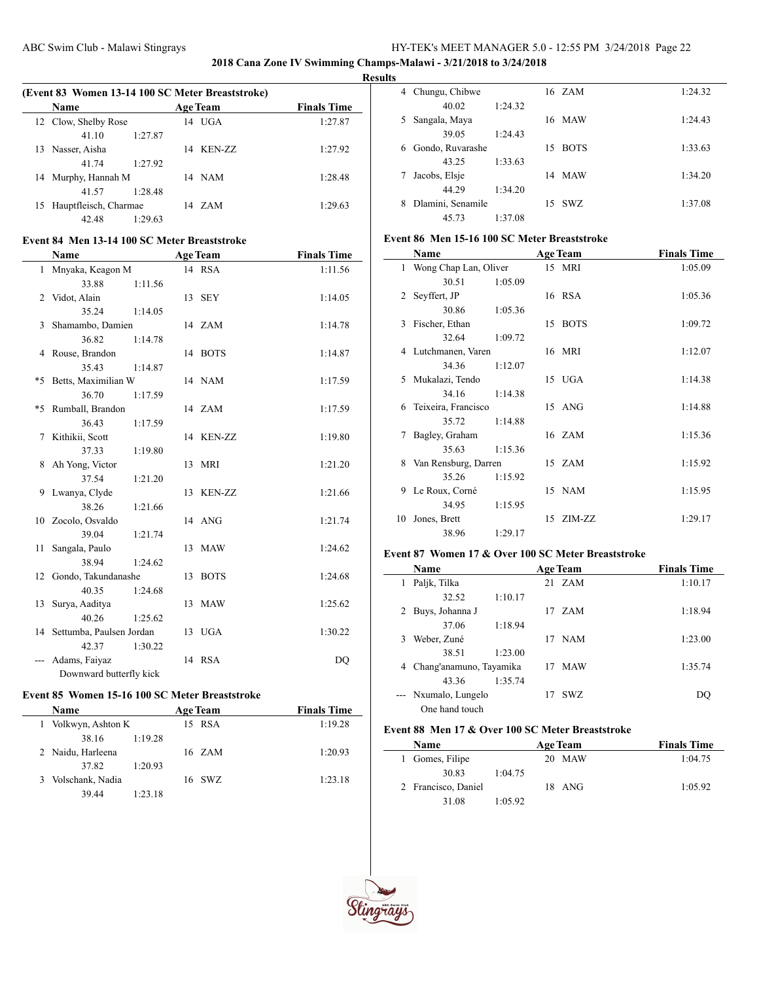**2018 Cana Zone IV Swimming Champs-Malawi - 3/21/2018 to 3/24/2018**

#### **Results**

|    | (Event 83 Women 13-14 100 SC Meter Breaststroke)<br><b>Name</b> |         | <b>Age Team</b> | <b>Finals Time</b> |
|----|-----------------------------------------------------------------|---------|-----------------|--------------------|
|    | 12 Clow, Shelby Rose                                            |         | $14$ UGA        | 1:27.87            |
|    | 41 10                                                           | 1:27.87 |                 |                    |
| 13 | Nasser, Aisha                                                   |         | 14 KEN-ZZ       | 1:27.92            |
|    | 41 74                                                           | 1:27.92 |                 |                    |
|    | 14 Murphy, Hannah M                                             |         | 14 NAM          | 1:28.48            |
|    | 41.57                                                           | 1:28.48 |                 |                    |
|    | 15 Hauptfleisch, Charmae                                        |         | 14 ZAM          | 1:29.63            |
|    | 42.48                                                           | 1.2963  |                 |                    |

### **Event 84 Men 13-14 100 SC Meter Breaststroke**

 $\overline{a}$ 

|                | Name                        |         |    | <b>Age Team</b> | <b>Finals Time</b> |
|----------------|-----------------------------|---------|----|-----------------|--------------------|
|                | 1 Mnyaka, Keagon M          |         |    | 14 RSA          | 1:11.56            |
|                | 33.88                       | 1:11.56 |    |                 |                    |
| $\overline{2}$ | Vidot, Alain                |         |    | 13 SEY          | 1:14.05            |
|                | 35.24                       | 1:14.05 |    |                 |                    |
| 3              | Shamambo, Damien            |         |    | 14 ZAM          | 1:14.78            |
|                | 36.82                       | 1:14.78 |    |                 |                    |
|                | 4 Rouse, Brandon            |         |    | 14 BOTS         | 1:14.87            |
|                | 35.43                       | 1:14.87 |    |                 |                    |
| *5             | Betts, Maximilian W         |         |    | 14 NAM          | 1:17.59            |
|                | 36.70                       | 1:17.59 |    |                 |                    |
|                | *5 Rumball, Brandon         |         |    | 14 ZAM          | 1:17.59            |
|                | 36.43                       | 1:17.59 |    |                 |                    |
|                | 7 Kithikii, Scott           |         |    | 14 KEN-ZZ       | 1:19.80            |
|                | 37.33                       | 1:19.80 |    |                 |                    |
| 8              | Ah Yong, Victor             |         |    | 13 MRI          | 1:21.20            |
|                | 37.54                       | 1:21.20 |    |                 |                    |
|                | 9 Lwanya, Clyde             |         |    | 13 KEN-ZZ       | 1:21.66            |
|                | 38.26                       | 1:21.66 |    |                 |                    |
|                | 10 Zocolo, Osvaldo          |         |    | 14 ANG          | 1:21.74            |
|                | 39.04                       | 1:21.74 |    |                 |                    |
| 11             | Sangala, Paulo              |         | 13 | <b>MAW</b>      | 1:24.62            |
|                | 38.94                       | 1:24.62 |    |                 |                    |
|                | 12 Gondo, Takundanashe      |         |    | 13 BOTS         | 1:24.68            |
|                | 40.35                       | 1:24.68 |    |                 |                    |
| 13             | Surya, Aaditya              |         | 13 | <b>MAW</b>      | 1:25.62            |
|                | 40.26                       | 1:25.62 |    |                 |                    |
|                | 14 Settumba, Paulsen Jordan |         |    | 13 UGA          | 1:30.22            |
|                | 42.37                       | 1:30.22 |    |                 |                    |
| ---            | Adams, Faiyaz               |         |    | 14 RSA          | DQ                 |
|                | Downward butterfly kick     |         |    |                 |                    |

# **Event 85 Women 15-16 100 SC Meter Breaststroke**

| <b>Name</b>           |                     |  | <b>Age Team</b> | <b>Finals Time</b> |
|-----------------------|---------------------|--|-----------------|--------------------|
|                       | 1 Volkwyn, Ashton K |  | 15 RSA          | 1:19.28            |
| 38.16                 | 1:19.28             |  |                 |                    |
| 2 Naidu, Harleena     |                     |  | 16 ZAM          | 1:20.93            |
| 37.82                 | 1:20.93             |  |                 |                    |
| Volschank, Nadia<br>3 |                     |  | 16 SWZ          | 1:23.18            |
| 39.44                 | 1:23.18             |  |                 |                    |
|                       |                     |  |                 |                    |

| 4 | Chungu, Chibwe    |         |    | 16 ZAM      | 1:24.32 |
|---|-------------------|---------|----|-------------|---------|
|   | 40.02             | 1:24.32 |    |             |         |
| 5 | Sangala, Maya     |         |    | 16 MAW      | 1:24.43 |
|   | 39.05             | 1:24.43 |    |             |         |
| 6 | Gondo, Ruvarashe  |         | 15 | <b>BOTS</b> | 1:33.63 |
|   | 43.25             | 1:33.63 |    |             |         |
|   | Jacobs, Elsje     |         | 14 | <b>MAW</b>  | 1:34.20 |
|   | 44.29             | 1:34.20 |    |             |         |
| 8 | Dlamini, Senamile |         |    | 15 SWZ      | 1:37.08 |
|   | 45.73             | 1:37.08 |    |             |         |

### **Event 86 Men 15-16 100 SC Meter Breaststroke**

|    | Name                    |         | <b>Age Team</b> | <b>Finals Time</b> |
|----|-------------------------|---------|-----------------|--------------------|
|    | 1 Wong Chap Lan, Oliver |         | 15 MRI          | 1:05.09            |
|    | 30.51                   | 1:05.09 |                 |                    |
| 2  | Seyffert, JP            |         | 16 RSA          | 1:05.36            |
|    | 30.86                   | 1:05.36 |                 |                    |
| 3  | Fischer, Ethan          |         | 15 BOTS         | 1:09.72            |
|    | 32.64                   | 1:09.72 |                 |                    |
|    | 4 Lutchmanen, Varen     |         | 16 MRI          | 1:12.07            |
|    | 34.36                   | 1:12.07 |                 |                    |
| 5. | Mukalazi, Tendo         |         | 15 UGA          | 1:14.38            |
|    | 34.16                   | 1:14.38 |                 |                    |
| 6  | Teixeira, Francisco     |         | 15 ANG          | 1:14.88            |
|    | 35.72                   | 1:14.88 |                 |                    |
| 7  | Bagley, Graham          |         | 16 ZAM          | 1:15.36            |
|    | 35.63                   | 1:15.36 |                 |                    |
| 8  | Van Rensburg, Darren    |         | 15 ZAM          | 1:15.92            |
|    | 35.26                   | 1:15.92 |                 |                    |
| 9  | Le Roux, Corné          |         | 15 NAM          | 1:15.95            |
|    | 34.95                   | 1:15.95 |                 |                    |
| 10 | Jones, Brett            |         | 15 ZIM-ZZ       | 1:29.17            |
|    | 38.96                   | 1:29.17 |                 |                    |

## **Event 87 Women 17 & Over 100 SC Meter Breaststroke**

|   | Name                    |         |    | <b>Age Team</b> | <b>Finals Time</b> |
|---|-------------------------|---------|----|-----------------|--------------------|
| 1 | Paljk, Tilka            |         |    | 21 ZAM          | 1:10.17            |
|   | 32.52                   | 1:10.17 |    |                 |                    |
|   | Buys, Johanna J         |         |    | 17 ZAM          | 1:18.94            |
|   | 37.06                   | 1:18.94 |    |                 |                    |
| 3 | Weber, Zuné             |         | 17 | <b>NAM</b>      | 1:23.00            |
|   | 38.51                   | 1:23.00 |    |                 |                    |
| 4 | Chang'anamuno, Tayamika |         | 17 | <b>MAW</b>      | 1:35.74            |
|   | 43.36                   | 1:35.74 |    |                 |                    |
|   | Nxumalo, Lungelo        |         | 17 | SWZ.            | DO                 |
|   | One hand touch          |         |    |                 |                    |

## **Event 88 Men 17 & Over 100 SC Meter Breaststroke**

| <b>Name</b>         |         | <b>Age Team</b> | <b>Finals Time</b> |
|---------------------|---------|-----------------|--------------------|
| 1 Gomes, Filipe     |         | MAW<br>20.      | 1:04.75            |
| 30.83               | 1:04.75 |                 |                    |
| 2 Francisco, Daniel |         | 18 ANG          | 1:05.92            |
| 31.08               | 1:05.92 |                 |                    |



 $\overline{\phantom{0}}$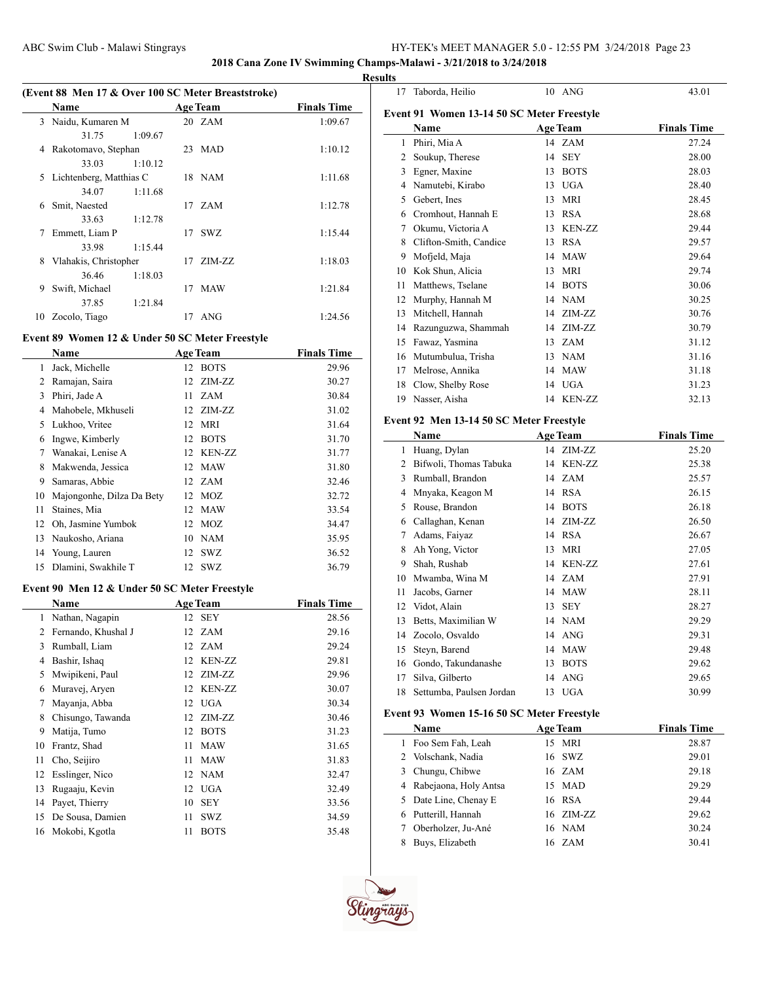# **2018 Cana Zone IV Swimming Champs-Malawi - 3/21/2018 to 3/24/2018**

|               |                                                    |         |    |                 |                    | <b>Results</b> |
|---------------|----------------------------------------------------|---------|----|-----------------|--------------------|----------------|
|               | (Event 88 Men 17 & Over 100 SC Meter Breaststroke) |         |    |                 |                    |                |
|               | Name                                               |         |    | <b>Age Team</b> | <b>Finals Time</b> | Ev             |
| $\mathcal{E}$ | Naidu, Kumaren M                                   |         |    | 20 ZAM          | 1:09.67            |                |
|               | 31.75                                              | 1:09.67 |    |                 |                    |                |
| 4             | Rakotomavo, Stephan                                |         |    | 23 MAD          | 1:10.12            |                |
|               | 33.03                                              | 1:10.12 |    |                 |                    |                |
| 5             | Lichtenberg, Matthias C                            |         |    | 18 NAM          | 1:11.68            |                |
|               | 34.07                                              | 1:11.68 |    |                 |                    |                |
| 6             | Smit, Naested                                      |         |    | 17 ZAM          | 1:12.78            |                |
|               | 33.63                                              | 1:12.78 |    |                 |                    |                |
| 7             | Emmett, Liam P                                     |         |    | 17 SWZ          | 1:15.44            |                |
|               | 33.98                                              | 1:15.44 |    |                 |                    |                |
| 8             | Vlahakis, Christopher                              |         | 17 | ZIM-ZZ          | 1:18.03            |                |
|               | 36.46                                              | 1:18.03 |    |                 |                    |                |
| 9             | Swift, Michael                                     |         | 17 | <b>MAW</b>      | 1:21.84            |                |
|               | 37.85                                              | 1:21.84 |    |                 |                    |                |
| 10            | Zocolo, Tiago                                      |         | 17 | ANG             | 1:24.56            |                |
|               |                                                    |         |    |                 |                    |                |

## **Event 89 Women 12 & Under 50 SC Meter Freestyle**

 $\overline{a}$ 

|    | Name                      | <b>Age Team</b> |             | <b>Finals Time</b> |
|----|---------------------------|-----------------|-------------|--------------------|
| 1  | Jack, Michelle            | 12              | <b>BOTS</b> | 29.96              |
| 2  | Ramajan, Saira            | 12              | ZIM-ZZ      | 30.27              |
| 3  | Phiri, Jade A             | 11              | <b>ZAM</b>  | 30.84              |
| 4  | Mahobele, Mkhuseli        | 12              | ZIM-ZZ      | 31.02              |
| 5  | Lukhoo, Vritee            | 12 MRI          |             | 31.64              |
| 6  | Ingwe, Kimberly           | 12              | <b>BOTS</b> | 31.70              |
| 7  | Wanakai, Lenise A         |                 | 12 KEN-ZZ   | 31.77              |
| 8  | Makwenda, Jessica         | 12 MAW          |             | 31.80              |
| 9  | Samaras, Abbie            | 12              | <b>ZAM</b>  | 32.46              |
| 10 | Majongonhe, Dilza Da Bety | 12              | MOZ         | 32.72              |
| 11 | Staines, Mia              | 12              | <b>MAW</b>  | 33.54              |
| 12 | Oh, Jasmine Yumbok        | 12              | MOZ         | 34.47              |
| 13 | Naukosho, Ariana          | 10 NAM          |             | 35.95              |
| 14 | Young, Lauren             | 12              | <b>SWZ</b>  | 36.52              |
| 15 | Dlamini, Swakhile T       | 12              | <b>SWZ</b>  | 36.79              |

#### **Event 90 Men 12 & Under 50 SC Meter Freestyle**

|    | Name                | <b>Age Team</b> |               | <b>Finals Time</b> |
|----|---------------------|-----------------|---------------|--------------------|
| 1  | Nathan, Nagapin     | 12              | <b>SEY</b>    | 28.56              |
| 2  | Fernando, Khushal J | 12              | <b>ZAM</b>    | 29.16              |
| 3  | Rumball, Liam       | 12              | <b>ZAM</b>    | 29.24              |
| 4  | Bashir, Ishaq       | 12              | <b>KEN-ZZ</b> | 29.81              |
| 5  | Mwipikeni, Paul     | 12              | ZIM-ZZ        | 29.96              |
| 6  | Muravej, Aryen      | 12              | <b>KEN-ZZ</b> | 30.07              |
| 7  | Mayanja, Abba       | 12              | <b>UGA</b>    | 30.34              |
| 8  | Chisungo, Tawanda   | 12              | ZIM-ZZ        | 30.46              |
| 9  | Matija, Tumo        | 12              | <b>BOTS</b>   | 31.23              |
| 10 | Frantz, Shad        | 11              | <b>MAW</b>    | 31.65              |
| 11 | Cho, Seijiro        | 11              | <b>MAW</b>    | 31.83              |
| 12 | Esslinger, Nico     | 12              | NAM           | 32.47              |
| 13 | Rugaaju, Kevin      | 12              | <b>UGA</b>    | 32.49              |
| 14 | Payet, Thierry      | 10              | <b>SEY</b>    | 33.56              |
| 15 | De Sousa, Damien    | 11              | SWZ           | 34.59              |
| 16 | Mokobi, Kgotla      | 11              | <b>BOTS</b>   | 35.48              |

| 17 | Taborda, Heilio                            |    | $10$ ANG        | 43.01              |
|----|--------------------------------------------|----|-----------------|--------------------|
|    | Event 91 Women 13-14 50 SC Meter Freestyle |    |                 |                    |
|    | Name                                       |    | <b>Age Team</b> | <b>Finals Time</b> |
| 1  | Phiri, Mia A                               | 14 | <b>ZAM</b>      | 27.24              |
| 2  | Soukup, Therese                            | 14 | <b>SEY</b>      | 28.00              |
| 3  | Egner, Maxine                              | 13 | <b>BOTS</b>     | 28.03              |
| 4  | Namutebi, Kirabo                           | 13 | <b>UGA</b>      | 28.40              |
| 5  | Gebert, Ines                               | 13 | <b>MRI</b>      | 28.45              |
| 6  | Cromhout, Hannah E                         | 13 | <b>RSA</b>      | 28.68              |
| 7  | Okumu, Victoria A                          | 13 | KEN-ZZ          | 29.44              |
| 8  | Clifton-Smith, Candice                     | 13 | <b>RSA</b>      | 29.57              |
| 9  | Mofjeld, Maja                              | 14 | <b>MAW</b>      | 29.64              |
| 10 | Kok Shun, Alicia                           | 13 | <b>MRI</b>      | 29.74              |
| 11 | Matthews, Tselane                          | 14 | <b>BOTS</b>     | 30.06              |
| 12 | Murphy, Hannah M                           | 14 | <b>NAM</b>      | 30.25              |
| 13 | Mitchell, Hannah                           | 14 | ZIM-ZZ          | 30.76              |
| 14 | Razunguzwa, Shammah                        | 14 | ZIM-ZZ          | 30.79              |
| 15 | Fawaz, Yasmina                             | 13 | ZAM             | 31.12              |
| 16 | Mutumbulua, Trisha                         | 13 | <b>NAM</b>      | 31.16              |
| 17 | Melrose, Annika                            | 14 | <b>MAW</b>      | 31.18              |
| 18 | Clow, Shelby Rose                          | 14 | <b>UGA</b>      | 31.23              |
| 19 | Nasser, Aisha                              | 14 | KEN-ZZ          | 32.13              |

### **Event 92 Men 13-14 50 SC Meter Freestyle**

|    | Name                     |    | <b>Age Team</b> | <b>Finals Time</b> |
|----|--------------------------|----|-----------------|--------------------|
| 1  | Huang, Dylan             |    | 14 ZIM-ZZ       | 25.20              |
| 2  | Bifwoli, Thomas Tabuka   | 14 | <b>KEN-ZZ</b>   | 25.38              |
| 3  | Rumball, Brandon         |    | 14 ZAM          | 25.57              |
| 4  | Mnyaka, Keagon M         |    | 14 RSA          | 26.15              |
| 5  | Rouse, Brandon           | 14 | <b>BOTS</b>     | 26.18              |
| 6  | Callaghan, Kenan         | 14 | ZIM-ZZ          | 26.50              |
| 7  | Adams, Faiyaz            | 14 | <b>RSA</b>      | 26.67              |
| 8  | Ah Yong, Victor          | 13 | <b>MRI</b>      | 27.05              |
| 9  | Shah, Rushab             | 14 | <b>KEN-ZZ</b>   | 27.61              |
| 10 | Mwamba, Wina M           | 14 | ZAM             | 27.91              |
| 11 | Jacobs, Garner           | 14 | <b>MAW</b>      | 28.11              |
| 12 | Vidot, Alain             | 13 | <b>SEY</b>      | 28.27              |
| 13 | Betts, Maximilian W      | 14 | <b>NAM</b>      | 29.29              |
| 14 | Zocolo, Osvaldo          | 14 | ANG             | 29.31              |
| 15 | Steyn, Barend            | 14 | <b>MAW</b>      | 29.48              |
| 16 | Gondo, Takundanashe      | 13 | <b>BOTS</b>     | 29.62              |
| 17 | Silva, Gilberto          | 14 | ANG             | 29.65              |
| 18 | Settumba, Paulsen Jordan | 13 | UGA             | 30.99              |

## **Event 93 Women 15-16 50 SC Meter Freestyle**

|                 | Name                    | <b>Age Team</b> | <b>Finals Time</b> |
|-----------------|-------------------------|-----------------|--------------------|
|                 | 1 Foo Sem Fah, Leah     | 15 MRI          | 28.87              |
|                 | 2 Volschank, Nadia      | 16 SWZ          | 29.01              |
|                 | 3 Chungu, Chibwe        | 16 ZAM          | 29.18              |
|                 | 4 Rabejaona, Holy Antsa | 15 MAD          | 29.29              |
|                 | 5 Date Line, Chenay E   | 16 RSA          | 29.44              |
|                 | 6 Putterill, Hannah     | 16 ZIM-ZZ       | 29.62              |
| $7\phantom{.0}$ | Oberholzer, Ju-Ané      | 16 NAM          | 30.24              |
| 8               | Buys, Elizabeth         | 16 ZAM          | 30.41              |

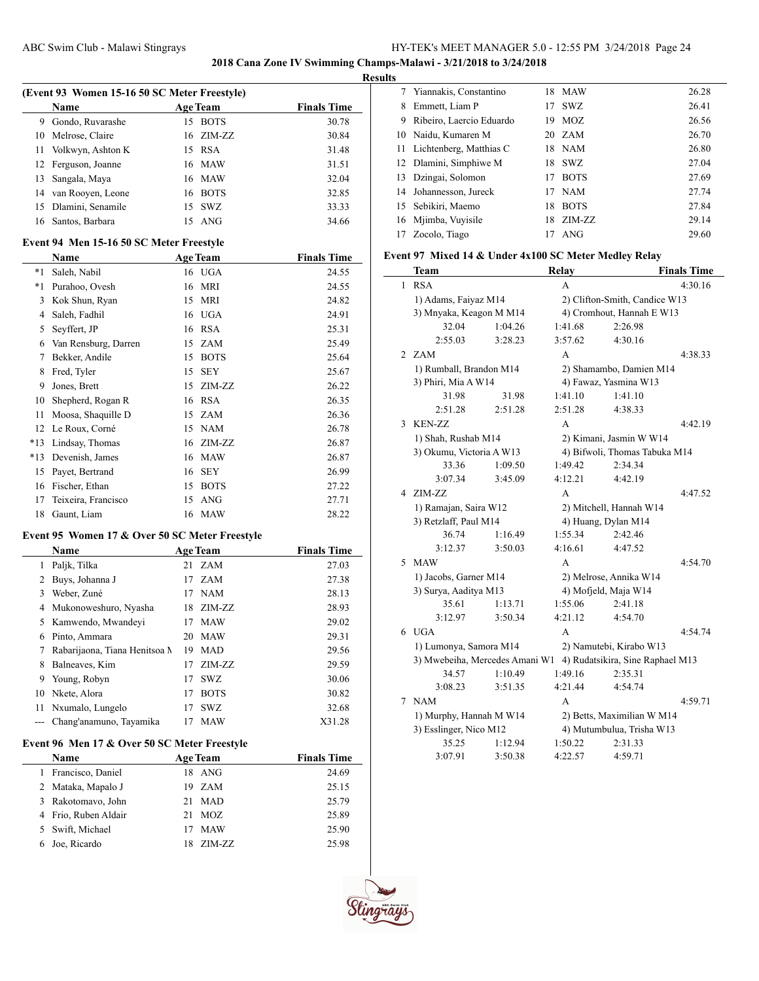**2018 Cana Zone IV Swimming Champs-Malawi - 3/21/2018 to 3/24/2018**

#### **Results**

|   | (Event 93 Women 15-16 50 SC Meter Freestyle) |    |                 |                    |  |  |  |
|---|----------------------------------------------|----|-----------------|--------------------|--|--|--|
|   | Name                                         |    | <b>Age Team</b> | <b>Finals Time</b> |  |  |  |
| 9 | Gondo, Ruvarashe                             | 15 | <b>BOTS</b>     | 30.78              |  |  |  |
|   | 10 Melrose, Claire                           |    | 16 ZIM-ZZ       | 30.84              |  |  |  |
|   | 11 Volkwyn, Ashton K                         |    | 15 RSA          | 31.48              |  |  |  |
|   | 12 Ferguson, Joanne                          |    | 16 MAW          | 31.51              |  |  |  |
|   | 13 Sangala, Maya                             |    | 16 MAW          | 32.04              |  |  |  |
|   | 14 van Rooyen, Leone                         |    | 16 BOTS         | 32.85              |  |  |  |
|   | 15 Dlamini, Senamile                         |    | 15 SWZ          | 33.33              |  |  |  |
|   | 16 Santos, Barbara                           |    | $15$ ANG        | 34.66              |  |  |  |

### **Event 94 Men 15-16 50 SC Meter Freestyle**

|       | Name                 |    | <b>Age Team</b> | <b>Finals Time</b> |
|-------|----------------------|----|-----------------|--------------------|
| $*1$  | Saleh, Nabil         |    | 16 UGA          | 24.55              |
| $*1$  | Purahoo, Ovesh       | 16 | <b>MRI</b>      | 24.55              |
| 3     | Kok Shun, Ryan       | 15 | <b>MRI</b>      | 24.82              |
| 4     | Saleh, Fadhil        |    | 16 UGA          | 24.91              |
| 5     | Seyffert, JP         | 16 | RSA             | 25.31              |
| 6     | Van Rensburg, Darren | 15 | ZAM             | 25.49              |
| 7     | Bekker, Andile       | 15 | <b>BOTS</b>     | 25.64              |
| 8     | Fred, Tyler          | 15 | <b>SEY</b>      | 25.67              |
| 9     | Jones, Brett         | 15 | ZIM-ZZ          | 26.22              |
| 10    | Shepherd, Rogan R    | 16 | RSA             | 26.35              |
| 11    | Moosa, Shaquille D   | 15 | ZAM             | 26.36              |
| 12    | Le Roux, Corné       | 15 | <b>NAM</b>      | 26.78              |
| $*13$ | Lindsay, Thomas      | 16 | ZIM-ZZ          | 26.87              |
| $*13$ | Devenish, James      | 16 | <b>MAW</b>      | 26.87              |
| 15    | Payet, Bertrand      | 16 | <b>SEY</b>      | 26.99              |
| 16    | Fischer, Ethan       | 15 | <b>BOTS</b>     | 27.22              |
| 17    | Teixeira, Francisco  | 15 | <b>ANG</b>      | 27.71              |
| 18    | Gaunt, Liam          |    | 16 MAW          | 28.22              |

### **Event 95 Women 17 & Over 50 SC Meter Freestyle**

|    | <b>Name</b>                   |    | <b>Age Team</b> | <b>Finals Time</b> |
|----|-------------------------------|----|-----------------|--------------------|
|    | Paljk, Tilka                  |    | 21 ZAM          | 27.03              |
| 2  | Buys, Johanna J               | 17 | <b>ZAM</b>      | 27.38              |
| 3  | Weber, Zuné                   | 17 | NAM             | 28.13              |
| 4  | Mukonoweshuro, Nyasha         | 18 | ZIM-ZZ          | 28.93              |
| 5. | Kamwendo, Mwandeyi            | 17 | <b>MAW</b>      | 29.02              |
| 6  | Pinto, Ammara                 | 20 | MAW             | 29.31              |
| 7  | Rabarijaona, Tiana Henitsoa M | 19 | <b>MAD</b>      | 29.56              |
| 8  | Balneaves, Kim                | 17 | $ZIM-ZZ$        | 29.59              |
| 9  | Young, Robyn                  | 17 | <b>SWZ</b>      | 30.06              |
| 10 | Nkete, Alora                  | 17 | <b>BOTS</b>     | 30.82              |
| 11 | Nxumalo, Lungelo              | 17 | <b>SWZ</b>      | 32.68              |
|    | Chang'anamuno, Tayamika       | 17 | <b>MAW</b>      | X31.28             |

# **Event 96 Men 17 & Over 50 SC Meter Freestyle**

|   | <b>Name</b>          |    | <b>Age Team</b> | <b>Finals Time</b> |
|---|----------------------|----|-----------------|--------------------|
|   | Francisco, Daniel    |    | 18 ANG          | 24.69              |
|   | 2 Mataka, Mapalo J   |    | 19 ZAM          | 25.15              |
| 3 | Rakotomavo, John     | 21 | <b>MAD</b>      | 25.79              |
|   | 4 Frio, Ruben Aldair | 21 | MOZ             | 25.89              |
|   | 5 Swift, Michael     | 17 | <b>MAW</b>      | 25.90              |
|   | Joe, Ricardo         |    | ZIM-ZZ          | 25.98              |

|                          | 18.                                                                                                                                        |             | 26.28                           |
|--------------------------|--------------------------------------------------------------------------------------------------------------------------------------------|-------------|---------------------------------|
| Emmett, Liam P           | 17                                                                                                                                         | SWZ.        | 26.41                           |
| Ribeiro, Laercio Eduardo | 19                                                                                                                                         | MOZ.        | 26.56                           |
| Naidu, Kumaren M         |                                                                                                                                            |             | 26.70                           |
|                          |                                                                                                                                            |             | 26.80                           |
|                          | 18.                                                                                                                                        |             | 27.04                           |
| Dzingai, Solomon         | 17                                                                                                                                         | <b>BOTS</b> | 27.69                           |
|                          | 17                                                                                                                                         | <b>NAM</b>  | 27.74                           |
| Sebikiri, Maemo          | 18                                                                                                                                         | <b>BOTS</b> | 27.84                           |
|                          | 18                                                                                                                                         | ZIM-ZZ      | 29.14                           |
| Zocolo, Tiago            | 17                                                                                                                                         | ANG         | 29.60                           |
|                          | 7 Yiannakis, Constantino<br>11 Lichtenberg, Matthias C<br>12 Dlamini, Simphiwe M<br>14 Johannesson, Jureck<br>15<br>Mjimba, Vuyisile<br>16 |             | MAW<br>20ZAM<br>18 NAM<br>- SWZ |

# **Event 97 Mixed 14 & Under 4x100 SC Meter Medley Relay**

|   | Team                           |         | Relay   |                                  | <b>Finals Time</b> |
|---|--------------------------------|---------|---------|----------------------------------|--------------------|
| 1 | <b>RSA</b>                     |         | A       |                                  | 4:30.16            |
|   | 1) Adams, Faiyaz M14           |         |         | 2) Clifton-Smith, Candice W13    |                    |
|   | 3) Mnyaka, Keagon M M14        |         |         | 4) Cromhout, Hannah E W13        |                    |
|   | 32.04                          | 1:04.26 | 1:41.68 | 2:26.98                          |                    |
|   | 2:55.03                        | 3:28.23 | 3:57.62 | 4:30.16                          |                    |
|   | 2 ZAM                          |         | A       |                                  | 4:38.33            |
|   | 1) Rumball, Brandon M14        |         |         | 2) Shamambo, Damien M14          |                    |
|   | 3) Phiri, Mia A W14            |         |         | 4) Fawaz, Yasmina W13            |                    |
|   | 31.98                          | 31.98   | 1:41.10 | 1:41.10                          |                    |
|   | 2:51.28                        | 2:51.28 | 2:51.28 | 4:38.33                          |                    |
| 3 | KEN-ZZ                         |         | A       |                                  | 4:42.19            |
|   | 1) Shah, Rushab M14            |         |         | 2) Kimani, Jasmin W W14          |                    |
|   | 3) Okumu, Victoria A W13       |         |         | 4) Bifwoli, Thomas Tabuka M14    |                    |
|   | 33.36                          | 1:09.50 | 1:49.42 | 2:34.34                          |                    |
|   | 3:07.34                        | 3:45.09 | 4:12.21 | 4:42.19                          |                    |
|   | 4 ZIM-ZZ                       |         | A       |                                  | 4:47.52            |
|   | 1) Ramajan, Saira W12          |         |         | 2) Mitchell, Hannah W14          |                    |
|   | 3) Retzlaff, Paul M14          |         |         | 4) Huang, Dylan M14              |                    |
|   | 36.74                          | 1:16.49 | 1:55.34 | 2:42.46                          |                    |
|   | 3:12.37                        | 3:50.03 | 4:16.61 | 4:47.52                          |                    |
| 5 | <b>MAW</b>                     |         | A       |                                  | 4:54.70            |
|   | 1) Jacobs, Garner M14          |         |         | 2) Melrose, Annika W14           |                    |
|   | 3) Surya, Aaditya M13          |         |         | 4) Mofjeld, Maja W14             |                    |
|   | 35.61                          | 1:13.71 | 1:55.06 | 2:41.18                          |                    |
|   | 3:12.97                        | 3:50.34 | 4:21.12 | 4:54.70                          |                    |
|   | $6$ UGA                        |         | A       |                                  | 4:54.74            |
|   | 1) Lumonya, Samora M14         |         |         | 2) Namutebi, Kirabo W13          |                    |
|   | 3) Mwebeiha, Mercedes Amani W1 |         |         | 4) Rudatsikira, Sine Raphael M13 |                    |
|   | 34.57                          | 1:10.49 | 1:49.16 | 2:35.31                          |                    |
|   | 3:08.23                        | 3:51.35 | 4:21.44 | 4:54.74                          |                    |
| 7 | <b>NAM</b>                     |         | A       |                                  | 4:59.71            |
|   | 1) Murphy, Hannah M W14        |         |         | 2) Betts, Maximilian W M14       |                    |
|   | 3) Esslinger, Nico M12         |         |         | 4) Mutumbulua, Trisha W13        |                    |
|   | 35.25                          | 1:12.94 | 1:50.22 | 2:31.33                          |                    |
|   | 3:07.91                        | 3:50.38 | 4:22.57 | 4:59.71                          |                    |

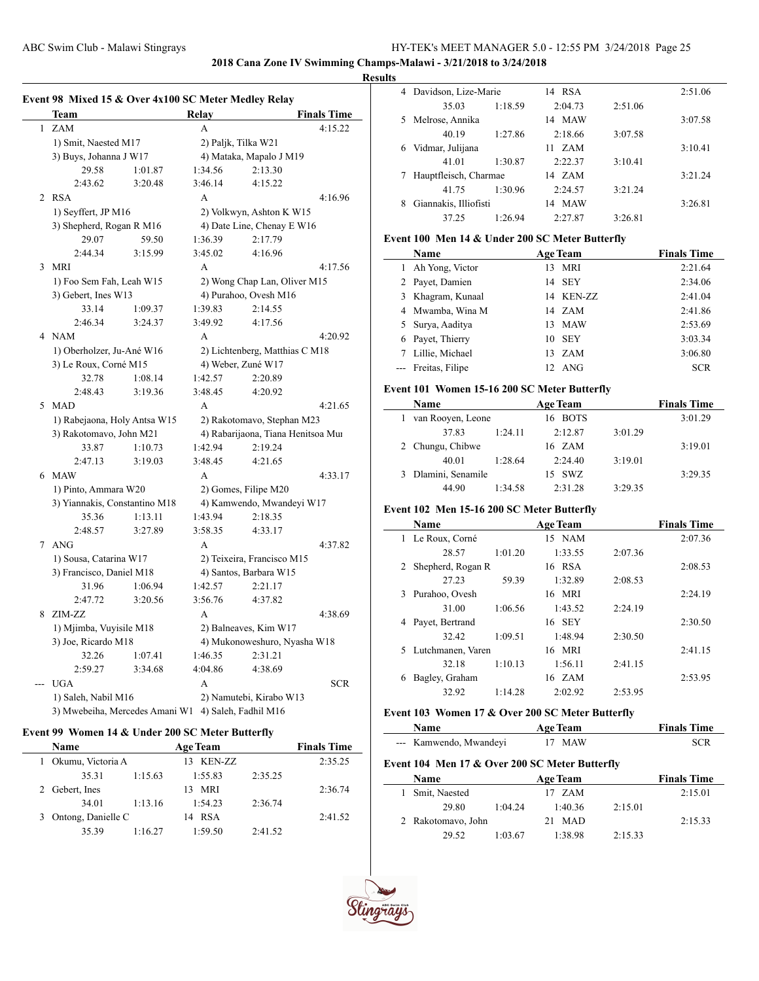**2018 Cana Zone IV Swimming Champs-Malawi - 3/21/2018 to 3/24/2018**

#### **Results**

|   | Team                                                |                              | Relay                      |                                    | <b>Finals Time</b> |
|---|-----------------------------------------------------|------------------------------|----------------------------|------------------------------------|--------------------|
| 1 | <b>ZAM</b>                                          |                              | A                          |                                    | 4:15.22            |
|   | 1) Smit, Naested M17                                |                              |                            | 2) Paljk, Tilka W21                |                    |
|   | 3) Buys, Johanna J W17                              |                              |                            | 4) Mataka, Mapalo J M19            |                    |
|   | 29.58                                               | 1:01.87                      | 1:34.56                    | 2:13.30                            |                    |
|   | 2:43.62                                             | 3:20.48                      | 3:46.14                    | 4:15.22                            |                    |
| 2 | <b>RSA</b>                                          |                              | A                          |                                    | 4:16.96            |
|   | 1) Seyffert, JP M16                                 |                              |                            | 2) Volkwyn, Ashton K W15           |                    |
|   | 3) Shepherd, Rogan R M16                            |                              |                            | 4) Date Line, Chenay E W16         |                    |
|   | 29.07                                               | 59.50                        | 1:36.39                    | 2:17.79                            |                    |
|   | 2:44.34                                             | 3:15.99                      | 3:45.02                    | 4:16.96                            |                    |
| 3 | <b>MRI</b>                                          |                              | A                          |                                    | 4:17.56            |
|   | 1) Foo Sem Fah, Leah W15                            |                              |                            | 2) Wong Chap Lan, Oliver M15       |                    |
|   | 3) Gebert, Ines W13                                 |                              |                            | 4) Purahoo, Ovesh M16              |                    |
|   | 33.14                                               | 1:09.37                      | 1:39.83                    | 2:14.55                            |                    |
|   | 2:46.34                                             | 3:24.37                      | 3:49.92                    | 4:17.56                            |                    |
|   | 4 NAM                                               |                              | A                          |                                    | 4:20.92            |
|   | 1) Oberholzer, Ju-Ané W16                           |                              |                            | 2) Lichtenberg, Matthias C M18     |                    |
|   | 3) Le Roux, Corné M15                               |                              |                            | 4) Weber, Zuné W17                 |                    |
|   | 32.78                                               | 1:08.14                      | 1:42.57                    | 2:20.89                            |                    |
|   | 2:48.43                                             | 3:19.36                      | 3:48.45                    | 4:20.92                            |                    |
|   | 5 MAD                                               |                              | A                          |                                    | 4:21.65            |
|   |                                                     | 1) Rabejaona, Holy Antsa W15 |                            | 2) Rakotomavo, Stephan M23         |                    |
|   | 3) Rakotomavo, John M21                             |                              |                            | 4) Rabarijaona, Tiana Henitsoa Mui |                    |
|   | 33.87                                               | 1:10.73                      | 1:42.94                    | 2:19.24                            |                    |
|   | 2:47.13                                             | 3:19.03                      | 3:48.45                    | 4:21.65                            |                    |
| 6 | <b>MAW</b>                                          |                              | $\overline{A}$             |                                    | 4:33.17            |
|   | 1) Pinto, Ammara W20                                |                              | 2) Gomes, Filipe M20       |                                    |                    |
|   | 3) Yiannakis, Constantino M18                       |                              | 4) Kamwendo, Mwandeyi W17  |                                    |                    |
|   | 35.36                                               | 1:13.11                      | 1:43.94                    | 2:18.35                            |                    |
|   | 2:48.57                                             | 3:27.89                      | 3:58.35                    | 4:33.17                            |                    |
|   | 7 ANG                                               |                              | A                          |                                    | 4:37.82            |
|   | 1) Sousa, Catarina W17                              |                              | 2) Teixeira, Francisco M15 |                                    |                    |
|   | 3) Francisco, Daniel M18                            |                              |                            | 4) Santos, Barbara W15             |                    |
|   | 31.96                                               | 1:06.94                      | 1:42.57                    | 2:21.17                            |                    |
|   | 2:47.72                                             | 3:20.56                      | 3:56.76                    | 4:37.82                            |                    |
| 8 | ZIM-ZZ                                              |                              | A                          |                                    | 4:38.69            |
|   | 1) Mjimba, Vuyisile M18                             |                              | 2) Balneaves, Kim W17      |                                    |                    |
|   | 3) Joe, Ricardo M18                                 |                              |                            | 4) Mukonoweshuro, Nyasha W18       |                    |
|   | 32.26                                               | 1:07.41                      | 1:46.35                    | 2:31.21                            |                    |
|   | 2:59.27                                             | 3:34.68                      | 4:04.86                    | 4:38.69                            |                    |
|   | <b>UGA</b>                                          |                              | A                          |                                    | <b>SCR</b>         |
|   | 1) Saleh, Nabil M16                                 |                              |                            | 2) Namutebi, Kirabo W13            |                    |
|   | 3) Mwebeiha, Mercedes Amani W1 4) Saleh, Fadhil M16 |                              |                            |                                    |                    |

### **Event 99 Women 14 & Under 200 SC Meter Butterfly**

| <b>Name</b>        |         | <b>Age Team</b> |         | <b>Finals Time</b> |
|--------------------|---------|-----------------|---------|--------------------|
| Okumu, Victoria A  |         | 13 KEN-ZZ       |         | 2:35.25            |
| 35.31              | 1:15.63 | 1:55.83         | 2:35.25 |                    |
| 2 Gebert, Ines     |         | MRI<br>13.      |         | 2:36.74            |
| 34.01              | 1:13.16 | 1:54.23         | 2:36.74 |                    |
| Ontong, Danielle C |         | 14 RSA          |         | 2:41.52            |
| 35.39              | 1:16.27 | 1:59.50         | 2:41.52 |                    |

| 4  | Davidson, Lize-Marie  |         | <b>RSA</b><br>14 |         | 2:51.06 |
|----|-----------------------|---------|------------------|---------|---------|
|    | 35.03                 | 1:18.59 | 2:04.73          | 2:51.06 |         |
| 5. | Melrose, Annika       |         | 14 MAW           |         | 3:07.58 |
|    | 40.19                 | 1:27.86 | 2:18.66          | 3:07.58 |         |
| 6  | Vidmar, Julijana      |         | ZAM<br>11        |         | 3:10.41 |
|    | 41.01                 | 1:30.87 | 2:22.37          | 3:10.41 |         |
|    | Hauptfleisch, Charmae |         | 14 ZAM           |         | 3:21.24 |
|    | 41 75                 | 1:30.96 | 2:24.57          | 3:21.24 |         |
| 8  | Giannakis, Illiofisti |         | MAW<br>14        |         | 3:26.81 |
|    | 37.25                 | 1:26.94 | 2:27.87          | 3:26.81 |         |

### **Event 100 Men 14 & Under 200 SC Meter Butterfly**

| Name                |    | <b>Age Team</b>  | <b>Finals Time</b> |
|---------------------|----|------------------|--------------------|
| 1 Ah Yong, Victor   | 13 | MRI              | 2:21.64            |
| 2 Payet, Damien     |    | 14 SEY           | 2:34.06            |
| 3 Khagram, Kunaal   |    | 14 KEN-ZZ        | 2:41.04            |
| 4 Mwamba, Wina M    |    | 14 ZAM           | 2:41.86            |
| 5 Surya, Aaditya    | 13 | MAW              | 2:53.69            |
| 6 Payet, Thierry    |    | 10 SEY           | 3:03.34            |
| Lillie, Michael     |    | $13 \text{ ZAM}$ | 3:06.80            |
| --- Freitas, Filipe |    | 12 ANG           | <b>SCR</b>         |

## **Event 101 Women 15-16 200 SC Meter Butterfly**

| Name                |         | <b>Age Team</b> |         | <b>Finals Time</b> |
|---------------------|---------|-----------------|---------|--------------------|
| van Rooyen, Leone   |         | 16 BOTS         |         | 3:01.29            |
| 37.83               | 1:24.11 | 2:12.87         | 3:01.29 |                    |
| 2 Chungu, Chibwe    |         | 16 ZAM          |         | 3:19.01            |
| 40.01               | 1:28.64 | 2:24.40         | 3:19.01 |                    |
| 3 Dlamini, Senamile |         | 15 SWZ          |         | 3:29.35            |
| 44.90               | 1:34.58 | 2:31.28         | 3:29.35 |                    |

# **Event 102 Men 15-16 200 SC Meter Butterfly**

|   | <b>Name</b>         |         | <b>Age Team</b> |         | <b>Finals Time</b> |
|---|---------------------|---------|-----------------|---------|--------------------|
|   | 1 Le Roux, Corné    |         | 15 NAM          |         | 2:07.36            |
|   | 28.57               | 1:01.20 | 1:33.55         | 2:07.36 |                    |
|   | 2 Shepherd, Rogan R |         | 16 RSA          |         | 2:08.53            |
|   | 27.23               | 59.39   | 1:32.89         | 2:08.53 |                    |
| 3 | Purahoo, Ovesh      |         | 16 MRI          |         | 2:24.19            |
|   | 31.00               | 1:06.56 | 1:43.52         | 2:24.19 |                    |
| 4 | Payet, Bertrand     |         | 16 SEY          |         | 2:30.50            |
|   | 32.42               | 1:09.51 | 1:48.94         | 2:30.50 |                    |
|   | 5 Lutchmanen, Varen |         | 16 MRI          |         | 2:41.15            |
|   | 32.18               | 1:10.13 | 1:56.11         | 2:41.15 |                    |
| 6 | Bagley, Graham      |         | 16 ZAM          |         | 2:53.95            |
|   | 32.92               | 1:14.28 | 2:02.92         | 2:53.95 |                    |
|   |                     |         |                 |         |                    |

## **Event 103 Women 17 & Over 200 SC Meter Butterfly**

| <b>Name</b>            | <b>Age Team</b> | <b>Finals Time</b> |
|------------------------|-----------------|--------------------|
| --- Kamwendo, Mwandeyi | 17 MAW          | SCR                |

# **Event 104 Men 17 & Over 200 SC Meter Butterfly**

| Name               |         | <b>Age Team</b> |         | <b>Finals Time</b> |
|--------------------|---------|-----------------|---------|--------------------|
| 1 Smit, Naested    |         | 17 ZAM          |         | 2:15.01            |
| 29.80              | 1:04.24 | 1:40.36         | 2:15.01 |                    |
| 2 Rakotomavo, John |         | 21 MAD          |         | 2:15.33            |
| 29.52              | 1:03.67 | 1:38.98         | 2:15.33 |                    |

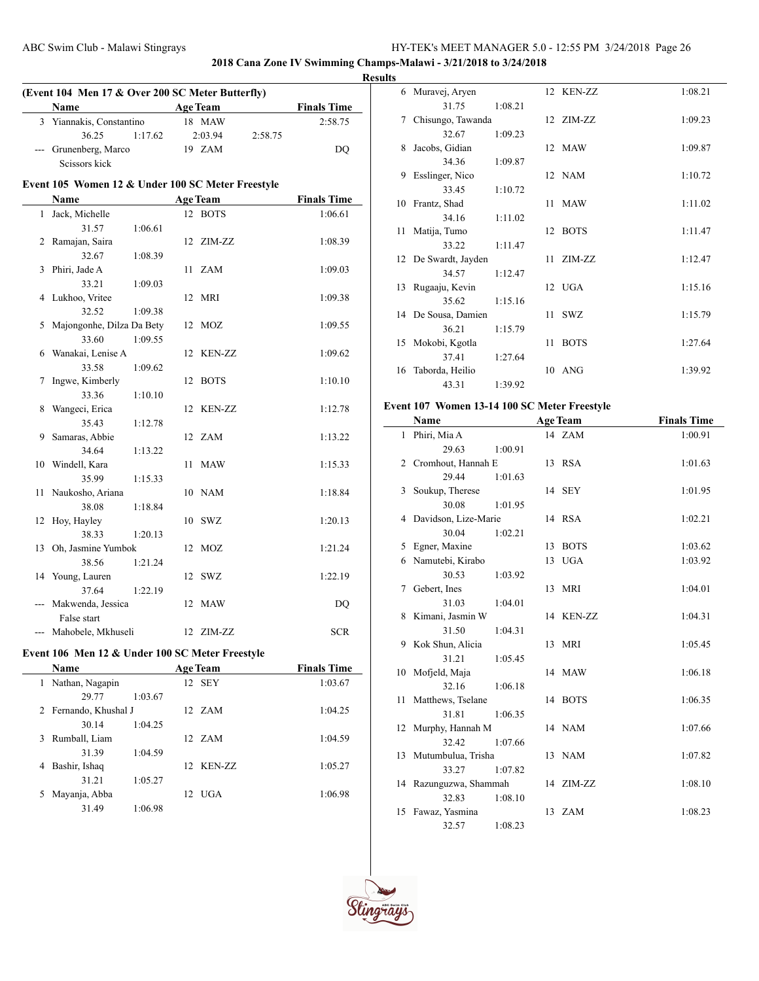**2018 Cana Zone IV Swimming Champs-Malawi - 3/21/2018 to 3/24/2018**

|              | (Event 104 Men 17 & Over 200 SC Meter Butterfly)  |                 |         |                    |
|--------------|---------------------------------------------------|-----------------|---------|--------------------|
|              | Name                                              | <b>Age Team</b> |         | <b>Finals Time</b> |
|              | 3 Yiannakis, Constantino                          | 18 MAW          |         | 2:58.75            |
|              | 36.25<br>1:17.62                                  | 2:03.94         | 2:58.75 |                    |
| $---$        | Grunenberg, Marco<br>Scissors kick                | 19 ZAM          |         | DQ                 |
|              | Event 105 Women 12 & Under 100 SC Meter Freestyle |                 |         |                    |
|              | Name                                              | <b>Age Team</b> |         | <b>Finals Time</b> |
| $\mathbf{1}$ | Jack, Michelle                                    | 12 BOTS         |         | 1:06.61            |
|              | 31.57<br>1:06.61                                  |                 |         |                    |
|              | 2 Ramajan, Saira                                  | 12 ZIM-ZZ       |         | 1:08.39            |
|              | 32.67<br>1:08.39                                  |                 |         |                    |
| 3            | Phiri, Jade A                                     | 11 ZAM          |         | 1:09.03            |
|              | 33.21<br>1:09.03                                  |                 |         |                    |
| 4            | Lukhoo, Vritee                                    | 12 MRI          |         | 1:09.38            |
|              | 32.52<br>1:09.38                                  |                 |         |                    |
| 5            | Majongonhe, Dilza Da Bety                         | 12 MOZ          |         | 1:09.55            |
|              | 33.60<br>1:09.55                                  |                 |         |                    |
| 6            | Wanakai, Lenise A                                 | 12 KEN-ZZ       |         | 1:09.62            |
|              | 33.58<br>1:09.62                                  |                 |         |                    |
| 7            | Ingwe, Kimberly                                   | 12 BOTS         |         | 1:10.10            |
|              | 33.36<br>1:10.10                                  |                 |         |                    |
| 8            | Wangeci, Erica                                    | 12 KEN-ZZ       |         | 1:12.78            |
|              | 35.43<br>1:12.78                                  |                 |         |                    |
| 9            | Samaras, Abbie                                    | 12 ZAM          |         | 1:13.22            |
|              | 34.64<br>1:13.22                                  |                 |         |                    |
|              | 10 Windell, Kara                                  | 11 MAW          |         | 1:15.33            |
|              | 35.99<br>1:15.33                                  |                 |         |                    |
|              | 11 Naukosho, Ariana                               | 10 NAM          |         | 1:18.84            |
|              | 38.08<br>1:18.84                                  |                 |         |                    |
|              | 12 Hoy, Hayley                                    | 10 SWZ          |         | 1:20.13            |
|              | 38.33<br>1:20.13                                  |                 |         |                    |
| 13           | Oh, Jasmine Yumbok                                | 12 MOZ          |         | 1:21.24            |
|              | 38.56<br>1:21.24                                  |                 |         |                    |
|              | 14 Young, Lauren                                  | 12 SWZ          |         | 1:22.19            |
|              | 37.64<br>1:22.19                                  |                 |         |                    |
|              | Makwenda, Jessica                                 | 12 MAW          |         | DQ                 |
|              | False start                                       |                 |         |                    |
|              | --- Mahobele, Mkhuseli                            | 12 ZIM-ZZ       |         | <b>SCR</b>         |
|              |                                                   |                 |         |                    |
|              | Event 106 Men 12 & Under 100 SC Meter Freestyle   |                 |         |                    |
|              | Name                                              | <b>Age Team</b> |         | <b>Finals Time</b> |
|              | 1 Nathan, Nagapin                                 | 12 SEY          |         | 1:03.67            |
|              | 29.77<br>1:03.67                                  |                 |         |                    |
| 2            | Fernando, Khushal J                               | 12 ZAM          |         | 1:04.25            |
|              | 30.14<br>1:04.25                                  |                 |         |                    |
| 3            | Rumball, Liam                                     | 12 ZAM          |         | 1:04.59            |
|              | 31.39<br>1:04.59                                  |                 |         |                    |
| 4            | Bashir, Ishaq                                     | 12 KEN-ZZ       |         | 1:05.27            |
|              | 31.21<br>1:05.27                                  |                 |         |                    |
|              | 5 Mayanja, Abba                                   | 12 UGA          |         | 1:06.98            |

31.49 1:06.98

| 6  | Muravej, Aryen       |         |      | 12 KEN-ZZ   | 1:08.21 |
|----|----------------------|---------|------|-------------|---------|
|    | 31.75                | 1:08.21 |      |             |         |
| 7  | Chisungo, Tawanda    |         |      | 12 ZIM-ZZ   | 1:09.23 |
|    | 32.67                | 1:09.23 |      |             |         |
| 8  | Jacobs, Gidian       |         |      | 12 MAW      | 1:09.87 |
|    | 34.36                | 1:09.87 |      |             |         |
| 9  | Esslinger, Nico      |         |      | 12 NAM      | 1:10.72 |
|    | 33.45                | 1:10.72 |      |             |         |
| 10 | Frantz, Shad         |         | 11 - | <b>MAW</b>  | 1:11.02 |
|    | 34.16                | 1:11.02 |      |             |         |
| 11 | Matija, Tumo         |         |      | 12 BOTS     | 1:11.47 |
|    | 33.22                | 1:11.47 |      |             |         |
|    | 12 De Swardt, Jayden |         |      | 11 ZIM-ZZ   | 1:12.47 |
|    | 34.57                | 1:12.47 |      |             |         |
| 13 | Rugaaju, Kevin       |         |      | 12 UGA      | 1:15.16 |
|    | 35.62                | 1:15.16 |      |             |         |
|    | 14 De Sousa, Damien  |         | 11   | <b>SWZ</b>  | 1:15.79 |
|    | 36.21                | 1:15.79 |      |             |         |
| 15 | Mokobi, Kgotla       |         | 11   | <b>BOTS</b> | 1:27.64 |
|    | 37.41                | 1:27.64 |      |             |         |
| 16 | Taborda, Heilio      |         | 10   | <b>ANG</b>  | 1:39.92 |
|    | 43.31                | 1:39.92 |      |             |         |

# **Event 107 Women 13-14 100 SC Meter Freestyle**

|    | Name                   |         |    | <b>Age Team</b> | <b>Finals Time</b> |
|----|------------------------|---------|----|-----------------|--------------------|
|    | 1 Phiri, Mia A         |         |    | 14 ZAM          | 1:00.91            |
|    | 29.63                  | 1:00.91 |    |                 |                    |
|    | 2 Cromhout, Hannah E   |         |    | 13 RSA          | 1:01.63            |
|    | 29.44                  | 1:01.63 |    |                 |                    |
| 3  | Soukup, Therese        |         |    | 14 SEY          | 1:01.95            |
|    | 30.08                  | 1:01.95 |    |                 |                    |
| 4  | Davidson, Lize-Marie   |         |    | 14 RSA          | 1:02.21            |
|    | 30.04                  | 1:02.21 |    |                 |                    |
| 5  | Egner, Maxine          |         |    | 13 BOTS         | 1:03.62            |
| 6  | Namutebi, Kirabo       |         | 13 | <b>UGA</b>      | 1:03.92            |
|    | 30.53                  | 1:03.92 |    |                 |                    |
|    | 7 Gebert, Ines         |         |    | 13 MRI          | 1:04.01            |
|    | 31.03                  | 1:04.01 |    |                 |                    |
| 8  | Kimani, Jasmin W       |         |    | 14 KEN-ZZ       | 1:04.31            |
|    | 31.50                  | 1:04.31 |    |                 |                    |
|    | 9 Kok Shun, Alicia     |         |    | 13 MRI          | 1:05.45            |
|    | 31.21                  | 1:05.45 |    |                 |                    |
| 10 | Mofjeld, Maja          |         |    | 14 MAW          | 1:06.18            |
|    | 32.16                  | 1:06.18 |    |                 |                    |
|    | 11 Matthews, Tselane   |         |    | 14 BOTS         | 1:06.35            |
|    | 31.81                  | 1:06.35 |    |                 |                    |
| 12 | Murphy, Hannah M       |         |    | 14 NAM          | 1:07.66            |
|    | 32.42                  | 1:07.66 |    |                 |                    |
|    | 13 Mutumbulua, Trisha  |         |    | 13 NAM          | 1:07.82            |
|    | 33.27                  | 1:07.82 |    |                 |                    |
|    | 14 Razunguzwa, Shammah |         |    | 14 ZIM-ZZ       | 1:08.10            |
|    | 32.83                  | 1:08.10 |    |                 |                    |
| 15 | Fawaz, Yasmina         |         |    | 13 ZAM          | 1:08.23            |
|    | 32.57                  | 1:08.23 |    |                 |                    |

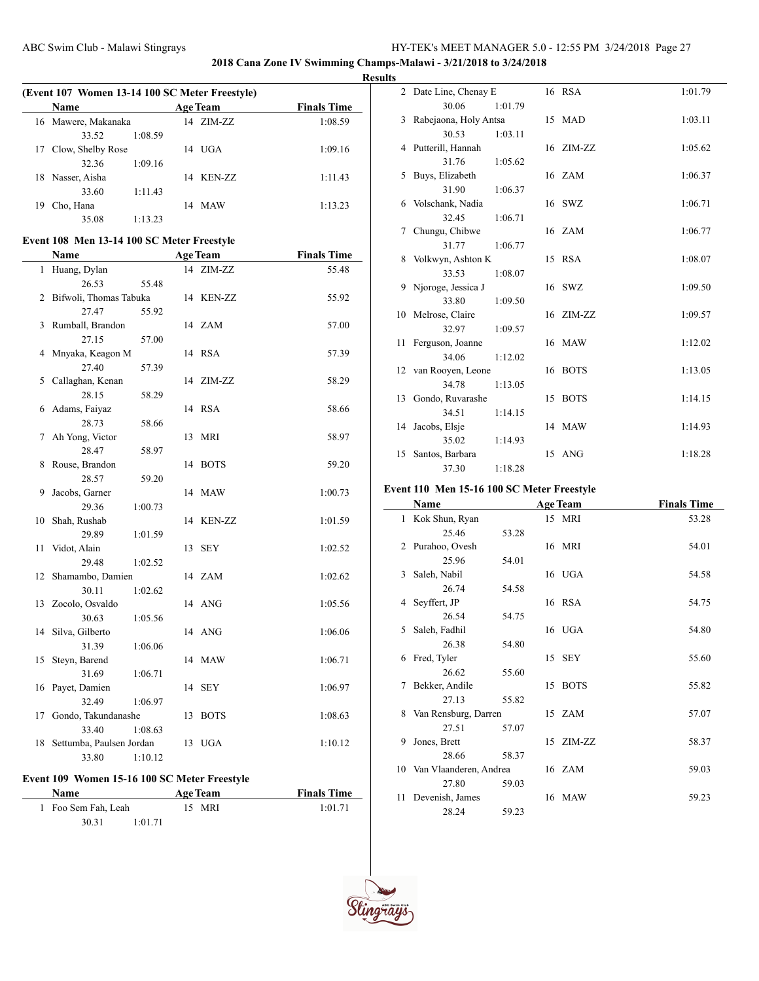**2018 Cana Zone IV Swimming Champs-Malawi - 3/21/2018 to 3/24/2018**

#### **Results**

| (Event 107 Women 13-14 100 SC Meter Freestyle) |                      |         |    |                 |                    |
|------------------------------------------------|----------------------|---------|----|-----------------|--------------------|
|                                                | Name                 |         |    | <b>Age Team</b> | <b>Finals Time</b> |
|                                                | 16 Mawere, Makanaka  |         |    | $14$ $ZIM-ZZ$   | 1:08.59            |
|                                                | 33.52                | 1:08.59 |    |                 |                    |
|                                                | 17 Clow, Shelby Rose |         |    | $14$ UGA        | 1:09.16            |
|                                                | 32.36                | 1:09.16 |    |                 |                    |
| 18                                             | Nasser, Aisha        |         | 14 | KEN-ZZ          | 1:11.43            |
|                                                | 33.60                | 1:11.43 |    |                 |                    |
| 19                                             | Cho, Hana            |         | 14 | <b>MAW</b>      | 1:13.23            |
|                                                | 35.08                | 1:13.23 |    |                 |                    |

### **Event 108 Men 13-14 100 SC Meter Freestyle**

|    | Name                     | <b>Age Team</b>   | <b>Finals Time</b> |
|----|--------------------------|-------------------|--------------------|
| 1  | Huang, Dylan             | 14 ZIM-ZZ         | 55.48              |
|    | 26.53<br>55.48           |                   |                    |
| 2  | Bifwoli, Thomas Tabuka   | 14 KEN-ZZ         | 55.92              |
|    | 27.47<br>55.92           |                   |                    |
| 3  | Rumball, Brandon         | 14 ZAM            | 57.00              |
|    | 27.15<br>57.00           |                   |                    |
| 4  | Mnyaka, Keagon M         | 14 RSA            | 57.39              |
|    | 27.40<br>57.39           |                   |                    |
| 5  | Callaghan, Kenan         | 14 ZIM-ZZ         | 58.29              |
|    | 28.15<br>58.29           |                   |                    |
| 6  | Adams, Faiyaz            | 14 RSA            | 58.66              |
|    | 28.73<br>58.66           |                   |                    |
| 7  | Ah Yong, Victor          | 13 MRI            | 58.97              |
|    | 28.47<br>58.97           |                   |                    |
| 8  | Rouse, Brandon           | 14 BOTS           | 59.20              |
|    | 28.57<br>59.20           |                   |                    |
| 9  | Jacobs, Garner           | 14 MAW            | 1:00.73            |
|    | 29.36<br>1:00.73         |                   |                    |
| 10 | Shah, Rushab             | 14 KEN-ZZ         | 1:01.59            |
|    | 29.89<br>1:01.59         |                   |                    |
| 11 | Vidot, Alain             | 13 SEY            | 1:02.52            |
|    | 29.48<br>1:02.52         |                   |                    |
| 12 | Shamambo, Damien         | 14 ZAM            | 1:02.62            |
|    | 30.11<br>1:02.62         |                   |                    |
| 13 | Zocolo, Osvaldo          | 14 ANG            | 1:05.56            |
|    | 30.63<br>1:05.56         |                   |                    |
| 14 | Silva, Gilberto          | 14 ANG            | 1:06.06            |
| 15 | 31.39<br>1:06.06         |                   | 1:06.71            |
|    | Steyn, Barend<br>31.69   | 14 MAW            |                    |
| 16 | 1:06.71<br>Payet, Damien | 14 SEY            | 1:06.97            |
|    | 32.49<br>1:06.97         |                   |                    |
| 17 | Gondo, Takundanashe      | <b>BOTS</b><br>13 | 1:08.63            |
|    | 33.40<br>1:08.63         |                   |                    |
| 18 | Settumba, Paulsen Jordan | 13 UGA            | 1:10.12            |
|    | 33.80<br>1:10.12         |                   |                    |
|    |                          |                   |                    |

# **Event 109 Women 15-16 100 SC Meter Freestyle**

| <b>Name</b>         | <b>Age Team</b> | <b>Finals Time</b> |  |
|---------------------|-----------------|--------------------|--|
| 1 Foo Sem Fah, Leah | 15 MRI          | 1:01.71            |  |

30.31 1:01.71

|    | 2 Date Line, Chenay E   |         | 16 RSA    | 1:01.79 |
|----|-------------------------|---------|-----------|---------|
|    | 30.06                   | 1:01.79 |           |         |
|    | 3 Rabejaona, Holy Antsa |         | 15 MAD    | 1:03.11 |
|    | 30.53                   | 1:03.11 |           |         |
|    | 4 Putterill, Hannah     |         | 16 ZIM-ZZ | 1:05.62 |
|    | 31.76                   | 1:05.62 |           |         |
| 5. | Buys, Elizabeth         |         | 16 ZAM    | 1:06.37 |
|    | 31.90                   | 1:06.37 |           |         |
|    | 6 Volschank, Nadia      |         | 16 SWZ    | 1:06.71 |
|    | 32.45                   | 1:06.71 |           |         |
| 7  | Chungu, Chibwe          |         | 16 ZAM    | 1:06.77 |
|    | 31.77                   | 1:06.77 |           |         |
| 8  | Volkwyn, Ashton K       |         | 15 RSA    | 1:08.07 |
|    | 33.53                   | 1:08.07 |           |         |
| 9  | Njoroge, Jessica J      |         | 16 SWZ    | 1:09.50 |
|    | 33.80                   | 1:09.50 |           |         |
|    | 10 Melrose, Claire      |         | 16 ZIM-ZZ | 1:09.57 |
|    | 32.97                   | 1:09.57 |           |         |
|    | 11 Ferguson, Joanne     |         | 16 MAW    | 1:12.02 |
|    | 34.06                   | 1:12.02 |           |         |
|    | 12 van Rooyen, Leone    |         | 16 BOTS   | 1:13.05 |
|    | 34.78                   | 1:13.05 |           |         |
|    | 13 Gondo, Ruvarashe     |         | 15 BOTS   | 1:14.15 |
|    | 34.51                   | 1:14.15 |           |         |
| 14 | Jacobs, Elsje           |         | 14 MAW    | 1:14.93 |
|    | 35.02                   | 1:14.93 |           |         |
| 15 | Santos, Barbara         |         | 15 ANG    | 1:18.28 |
|    | 37.30                   | 1:18.28 |           |         |

# **Event 110 Men 15-16 100 SC Meter Freestyle**

|    | Name                      |       |    | <b>Age Team</b> | <b>Finals Time</b> |
|----|---------------------------|-------|----|-----------------|--------------------|
| 1  | Kok Shun, Ryan            |       |    | 15 MRI          | 53.28              |
|    | 25.46                     | 53.28 |    |                 |                    |
| 2  | Purahoo, Ovesh            |       |    | 16 MRI          | 54.01              |
|    | 25.96                     | 54.01 |    |                 |                    |
| 3  | Saleh, Nabil              |       |    | 16 UGA          | 54.58              |
|    | 26.74                     | 54.58 |    |                 |                    |
| 4  | Seyffert, JP              |       |    | 16 RSA          | 54.75              |
|    | 26.54                     | 54.75 |    |                 |                    |
| 5. | Saleh, Fadhil             |       |    | 16 UGA          | 54.80              |
|    | 26.38                     | 54.80 |    |                 |                    |
| 6  | Fred, Tyler               |       |    | 15 SEY          | 55.60              |
|    | 26.62                     | 55.60 |    |                 |                    |
| 7  | Bekker, Andile            |       | 15 | <b>BOTS</b>     | 55.82              |
|    | 27.13                     | 55.82 |    |                 |                    |
| 8  | Van Rensburg, Darren      |       |    | 15 ZAM          | 57.07              |
|    | 27.51                     | 57.07 |    |                 |                    |
| 9  | Jones, Brett              |       |    | 15 ZIM-ZZ       | 58.37              |
|    | 28.66                     | 58.37 |    |                 |                    |
|    | 10 Van Vlaanderen, Andrea |       |    | 16 ZAM          | 59.03              |
|    | 27.80                     | 59.03 |    |                 |                    |
| 11 | Devenish, James           |       |    | 16 MAW          | 59.23              |
|    | 28.24                     | 59.23 |    |                 |                    |



 $\overline{\phantom{a}}$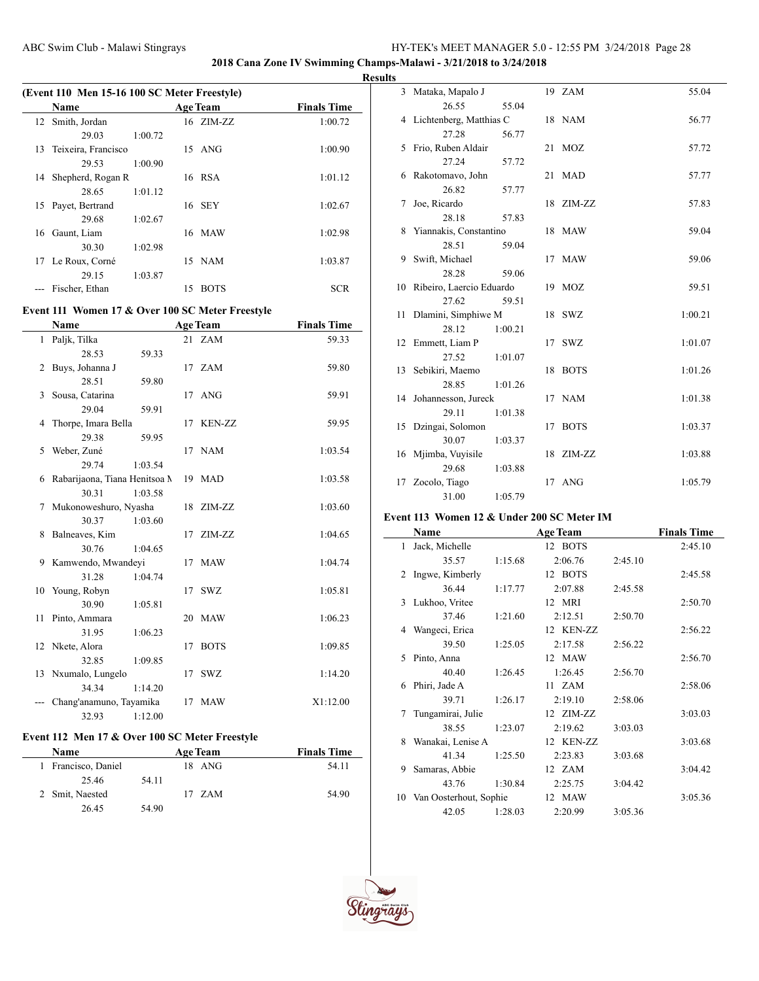**2018 Cana Zone IV Swimming Champs-Malawi - 3/21/2018 to 3/24/2018**

# **Results**

| (Event 110 Men 15-16 100 SC Meter Freestyle) |                        |         |    |                 |                    |
|----------------------------------------------|------------------------|---------|----|-----------------|--------------------|
|                                              | Name                   |         |    | <b>Age Team</b> | <b>Finals Time</b> |
|                                              | 12 Smith, Jordan       |         |    | 16 ZIM-ZZ       | 1:00.72            |
|                                              | 29.03                  | 1:00.72 |    |                 |                    |
|                                              | 13 Teixeira, Francisco |         |    | $15$ ANG        | 1:00.90            |
|                                              | 29.53                  | 1:00.90 |    |                 |                    |
| 14                                           | Shepherd, Rogan R      |         |    | 16 RSA          | 1:01.12            |
|                                              | 28.65                  | 1:01.12 |    |                 |                    |
| 15                                           | Payet, Bertrand        |         |    | 16 SEY          | 1:02.67            |
|                                              | 29.68                  | 1:02.67 |    |                 |                    |
| 16                                           | Gaunt, Liam            |         |    | 16 MAW          | 1:02.98            |
|                                              | 30.30                  | 1:02.98 |    |                 |                    |
|                                              | 17 Le Roux, Corné      |         |    | 15 NAM          | 1:03.87            |
|                                              | 29.15                  | 1:03.87 |    |                 |                    |
|                                              | Fischer, Ethan         |         | 15 | <b>BOTS</b>     | SCR                |

## **Event 111 Women 17 & Over 100 SC Meter Freestyle**

 $\overline{a}$ 

|    | Name                          |       | <b>Age Team</b> | <b>Finals Time</b> |
|----|-------------------------------|-------|-----------------|--------------------|
|    | 1 Paljk, Tilka                |       | 21 ZAM          | 59.33              |
|    | 28.53                         | 59.33 |                 |                    |
|    | 2 Buys, Johanna J             |       | 17 ZAM          | 59.80              |
|    | 28.51                         | 59.80 |                 |                    |
| 3  | Sousa, Catarina               |       | 17 ANG          | 59.91              |
|    | 29.04                         | 59.91 |                 |                    |
| 4  | Thorpe, Imara Bella           |       | 17 KEN-ZZ       | 59.95              |
|    | 29.38                         | 59.95 |                 |                    |
| 5  | Weber, Zuné                   |       | 17 NAM          | 1:03.54            |
|    | 29.74<br>1:03.54              |       |                 |                    |
| 6  | Rabarijaona, Tiana Henitsoa M |       | 19 MAD          | 1:03.58            |
|    | 30.31<br>1:03.58              |       |                 |                    |
| 7  | Mukonoweshuro, Nyasha         |       | 18 ZIM-ZZ       | 1:03.60            |
|    | 30.37<br>1:03.60              |       |                 |                    |
| 8  | Balneaves, Kim                | 17    | ZIM-ZZ          | 1:04.65            |
|    | 30.76<br>1:04.65              |       |                 |                    |
| 9  | Kamwendo, Mwandeyi            |       | 17 MAW          | 1:04.74            |
|    | 31.28<br>1:04.74              |       |                 |                    |
|    | 10 Young, Robyn               |       | 17 SWZ          | 1:05.81            |
|    | 30.90<br>1:05.81              |       |                 |                    |
| 11 | Pinto, Ammara                 |       | 20 MAW          | 1:06.23            |
|    | 31.95<br>1:06.23              |       |                 |                    |
|    | 12 Nkete, Alora               | 17    | <b>BOTS</b>     | 1:09.85            |
|    | 32.85<br>1:09.85              |       |                 |                    |
|    | 13 Nxumalo, Lungelo           |       | 17 SWZ          | 1:14.20            |
|    | 34.34<br>1:14.20              |       |                 |                    |
|    | Chang'anamuno, Tayamika       |       | 17 MAW          | X1:12.00           |
|    | 32.93<br>1:12.00              |       |                 |                    |

# **Event 112 Men 17 & Over 100 SC Meter Freestyle**

| Name                |       | <b>Age Team</b> | <b>Finals Time</b> |
|---------------------|-------|-----------------|--------------------|
| 1 Francisco, Daniel |       | 18 ANG          | 54.11              |
| 25.46               | 54.11 |                 |                    |
| 2 Smit, Naested     |       | 17 ZAM          | 54.90              |
| 26.45               | 54.90 |                 |                    |

|    | 3 Mataka, Mapalo J        |         | 19 ZAM    | 55.04   |
|----|---------------------------|---------|-----------|---------|
|    | 26.55                     | 55.04   |           |         |
|    | 4 Lichtenberg, Matthias C |         | 18 NAM    | 56.77   |
|    | 27.28                     | 56.77   |           |         |
| 5  | Frio, Ruben Aldair        |         | 21 MOZ    | 57.72   |
|    | 27.24                     | 57.72   |           |         |
| 6  | Rakotomavo, John          |         | 21 MAD    | 57.77   |
|    | 26.82                     | 57.77   |           |         |
| 7  | Joe, Ricardo              |         | 18 ZIM-ZZ | 57.83   |
|    | 28.18                     | 57.83   |           |         |
| 8  | Yiannakis, Constantino    |         | 18 MAW    | 59.04   |
|    | 28.51                     | 59.04   |           |         |
|    | 9 Swift, Michael          |         | 17 MAW    | 59.06   |
|    | 28.28                     | 59.06   |           |         |
| 10 | Ribeiro, Laercio Eduardo  |         | 19 MOZ    | 59.51   |
|    | 27.62                     | 59.51   |           |         |
| 11 | Dlamini, Simphiwe M       |         | 18 SWZ    | 1:00.21 |
|    | 28.12                     | 1:00.21 |           |         |
|    | 12 Emmett, Liam P         |         | 17 SWZ    | 1:01.07 |
|    | 27.52                     | 1:01.07 |           |         |
| 13 | Sebikiri, Maemo           |         | 18 BOTS   | 1:01.26 |
|    | 28.85                     | 1:01.26 |           |         |
|    | 14 Johannesson, Jureck    |         | 17 NAM    | 1:01.38 |
|    | 29.11                     | 1:01.38 |           |         |
| 15 | Dzingai, Solomon          |         | 17 BOTS   | 1:03.37 |
|    | 30.07                     | 1:03.37 |           |         |
|    | 16 Mjimba, Vuyisile       |         | 18 ZIM-ZZ | 1:03.88 |
|    | 29.68                     | 1:03.88 |           |         |
| 17 | Zocolo, Tiago             |         | 17 ANG    | 1:05.79 |
|    | 31.00                     | 1:05.79 |           |         |

# **Event 113 Women 12 & Under 200 SC Meter IM**

|    | Name                   |         | <b>Age Team</b> |         | <b>Finals Time</b> |
|----|------------------------|---------|-----------------|---------|--------------------|
| 1  | Jack, Michelle         |         | 12 BOTS         |         | 2:45.10            |
|    | 35.57                  | 1:15.68 | 2:06.76         | 2:45.10 |                    |
| 2  | Ingwe, Kimberly        |         | 12 BOTS         |         | 2:45.58            |
|    | 36.44                  | 1:17.77 | 2:07.88         | 2:45.58 |                    |
| 3  | Lukhoo, Vritee         |         | 12 MRI          |         | 2:50.70            |
|    | 37.46                  | 1:21.60 | 2:12.51         | 2:50.70 |                    |
| 4  | Wangeci, Erica         |         | 12 KEN-ZZ       |         | 2:56.22            |
|    | 39.50                  | 1:25.05 | 2:17.58         | 2:56.22 |                    |
| 5  | Pinto, Anna            |         | 12 MAW          |         | 2:56.70            |
|    | 40.40                  | 1:26.45 | 1:26.45         | 2:56.70 |                    |
| 6  | Phiri, Jade A          |         | 11 ZAM          |         | 2:58.06            |
|    | 39.71                  | 1:26.17 | 2:19.10         | 2:58.06 |                    |
| 7  | Tungamirai, Julie      |         | 12 ZIM-ZZ       |         | 3:03.03            |
|    | 38.55                  | 1:23.07 | 2:19.62         | 3:03.03 |                    |
| 8  | Wanakai, Lenise A      |         | 12 KEN-ZZ       |         | 3:03.68            |
|    | 41.34                  | 1:25.50 | 2:23.83         | 3:03.68 |                    |
| 9  | Samaras, Abbie         |         | 12 ZAM          |         | 3:04.42            |
|    | 43.76                  | 1:30.84 | 2:25.75         | 3:04.42 |                    |
| 10 | Van Oosterhout, Sophie |         | 12 MAW          |         | 3:05.36            |
|    | 42.05                  | 1:28.03 | 2:20.99         | 3:05.36 |                    |



 $\sim$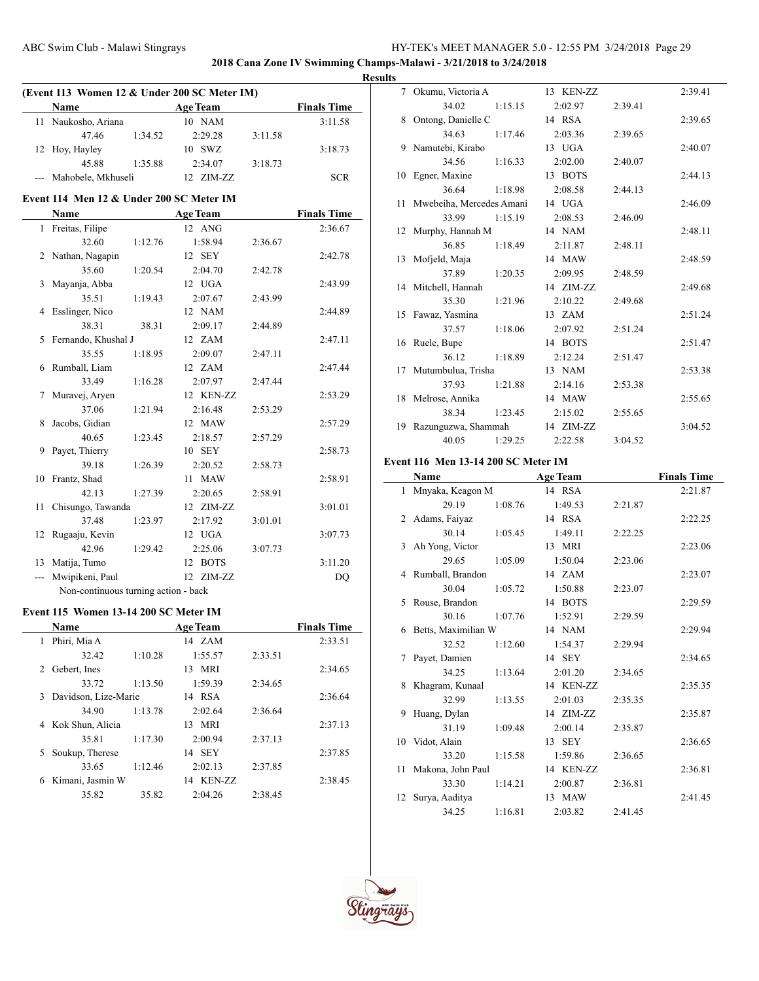**2018 Cana Zone IV Swimming Champs-Malawi - 3/21/2018 to 3/24/2018**

### **Results**

| (Event 113 Women 12 & Under 200 SC Meter IM) |                                          |         |                 |         |                    |  |
|----------------------------------------------|------------------------------------------|---------|-----------------|---------|--------------------|--|
|                                              | <b>Name</b>                              |         | <b>Age Team</b> |         | <b>Finals Time</b> |  |
| 11                                           | Naukosho, Ariana                         |         | 10 NAM          |         | 3:11.58            |  |
|                                              | 47.46                                    | 1:34.52 | 2:29.28         | 3:11.58 |                    |  |
| 12                                           | Hoy, Hayley                              |         | 10 SWZ          |         | 3:18.73            |  |
|                                              | 45.88                                    | 1:35.88 | 2:34.07         | 3:18.73 |                    |  |
|                                              | Mahobele, Mkhuseli                       |         | 12 ZIM-ZZ       |         | <b>SCR</b>         |  |
|                                              | Event 114 Men 12 & Under 200 SC Meter IM |         |                 |         |                    |  |
|                                              | Name                                     |         | <b>Age Team</b> |         | <b>Finals Time</b> |  |
| 1                                            | Freitas, Filipe                          |         | 12 ANG          |         | 2:36.67            |  |
|                                              | 32.60                                    | 1:12.76 | 1:58.94         | 2:36.67 |                    |  |
| 2                                            | Nathan, Nagapin                          |         | 12 SEY          |         | 2:42.78            |  |
|                                              | 35.60                                    | 1:20.54 | 2:04.70         | 2:42.78 |                    |  |
| 3                                            | Mayanja, Abba                            |         | 12 UGA          |         | 2:43.99            |  |
|                                              | 35.51                                    | 1:19.43 | 2:07.67         | 2:43.99 |                    |  |
| 4                                            | Esslinger, Nico                          |         | 12 NAM          |         | 2:44.89            |  |
|                                              | 38.31                                    | 38.31   | 2:09.17         | 2:44.89 |                    |  |
| 5                                            | Fernando, Khushal J                      |         | 12 ZAM          |         | 2:47.11            |  |
|                                              | 35.55                                    | 1:18.95 | 2:09.07         | 2:47.11 |                    |  |
| 6                                            | Rumball, Liam                            |         | 12 ZAM          |         | 2:47.44            |  |
|                                              | 33.49                                    | 1:16.28 | 2:07.97         | 2:47.44 |                    |  |
| 7                                            | Muravej, Aryen                           |         | 12 KEN-ZZ       |         | 2:53.29            |  |
|                                              | 37.06                                    | 1:21.94 | 2:16.48         | 2:53.29 |                    |  |
| 8                                            | Jacobs, Gidian                           |         | 12 MAW          |         | 2:57.29            |  |
|                                              | 40.65                                    | 1:23.45 | 2:18.57         | 2:57.29 |                    |  |
| 9                                            | Payet, Thierry                           |         | 10 SEY          |         | 2:58.73            |  |
|                                              | 39.18                                    | 1:26.39 | 2:20.52         | 2:58.73 |                    |  |
| 10                                           | Frantz, Shad                             |         | 11 MAW          |         | 2:58.91            |  |
|                                              | 42.13                                    | 1:27.39 | 2:20.65         | 2:58.91 |                    |  |
| 11                                           | Chisungo, Tawanda                        |         | 12 ZIM-ZZ       |         | 3:01.01            |  |
|                                              | 37.48                                    | 1:23.97 | 2:17.92         | 3:01.01 |                    |  |
| 12                                           | Rugaaju, Kevin                           |         | 12 UGA          |         | 3:07.73            |  |
|                                              | 42.96                                    | 1:29.42 | 2:25.06         | 3:07.73 |                    |  |
|                                              | 13 Matija, Tumo                          |         | 12 BOTS         |         | 3:11.20            |  |
| ---                                          | Mwipikeni, Paul                          |         | 12 ZIM-ZZ       |         | DQ                 |  |
|                                              | Non-continuous turning action - back     |         |                 |         |                    |  |
|                                              | Event 115 Women 13-14 200 SC Meter IM    |         |                 |         |                    |  |
|                                              | Name                                     |         | <b>Age Team</b> |         | <b>Finals Time</b> |  |
|                                              | 1 Phiri, Mia A                           |         | 14 ZAM          |         | 2:33.51            |  |
|                                              | 32.42                                    | 1:10.28 | 1:55.57         | 2:33.51 |                    |  |
| 2                                            | Gebert, Ines                             |         | 13 MRI          |         | 2:34.65            |  |
|                                              | 33.72                                    | 1:13.50 | 1:59.39         | 2:34.65 |                    |  |
| 3                                            | Davidson, Lize-Marie                     |         | 14 RSA          |         | 2:36.64            |  |
|                                              | 34.90                                    | 1:13.78 | 2:02.64         | 2:36.64 |                    |  |
| 4                                            | Kok Shun, Alicia                         |         | 13 MRI          |         | 2:37.13            |  |
|                                              | 35.81                                    | 1:17.30 | 2:00.94         | 2:37.13 |                    |  |
| 5                                            | Soukup, Therese                          |         | 14 SEY          |         | 2:37.85            |  |

33.65 1:12.46 2:02.13 2:37.85 6 Kimani, Jasmin W 14 KEN-ZZ 2:38.45 35.82 35.82 2:04.26 2:38.45

| 7 <sup>7</sup><br>Okumu, Victoria A | 13 KEN-ZZ                                                                                                                                                                                      |         | 2:39.41 |
|-------------------------------------|------------------------------------------------------------------------------------------------------------------------------------------------------------------------------------------------|---------|---------|
| 34.02                               | 2:02.97                                                                                                                                                                                        | 2:39.41 |         |
| Ontong, Danielle C                  | 14 RSA                                                                                                                                                                                         |         | 2:39.65 |
| 34.63                               | 2:03.36                                                                                                                                                                                        | 2:39.65 |         |
| Namutebi, Kirabo                    | 13 UGA                                                                                                                                                                                         |         | 2:40.07 |
| 34.56                               | 2:02.00                                                                                                                                                                                        | 2:40.07 |         |
| Egner, Maxine                       | 13 BOTS                                                                                                                                                                                        |         | 2:44.13 |
| 36.64                               | 2:08.58                                                                                                                                                                                        | 2:44.13 |         |
|                                     | 14 UGA                                                                                                                                                                                         |         | 2:46.09 |
| 33.99                               | 2:08.53                                                                                                                                                                                        | 2:46.09 |         |
| Murphy, Hannah M                    | 14 NAM                                                                                                                                                                                         |         | 2:48.11 |
| 36.85                               | 2:11.87                                                                                                                                                                                        | 2:48.11 |         |
| Mofjeld, Maja                       | 14 MAW                                                                                                                                                                                         |         | 2:48.59 |
| 37.89                               | 2:09.95                                                                                                                                                                                        | 2:48.59 |         |
| 14 Mitchell, Hannah                 | 14 ZIM-ZZ                                                                                                                                                                                      |         | 2:49.68 |
| 35.30                               | 2:10.22                                                                                                                                                                                        | 2:49.68 |         |
| Fawaz, Yasmina                      | 13 ZAM                                                                                                                                                                                         |         | 2:51.24 |
| 37.57                               | 2:07.92                                                                                                                                                                                        | 2:51.24 |         |
| Ruele, Bupe                         | 14 BOTS                                                                                                                                                                                        |         | 2:51.47 |
| 36.12                               | 2:12.24                                                                                                                                                                                        | 2:51.47 |         |
| Mutumbulua, Trisha<br>17            | 13 NAM                                                                                                                                                                                         |         | 2:53.38 |
| 37.93                               | 2:14.16                                                                                                                                                                                        | 2:53.38 |         |
| Melrose, Annika                     | 14 MAW                                                                                                                                                                                         |         | 2:55.65 |
| 38.34                               | 2:15.02                                                                                                                                                                                        | 2:55.65 |         |
|                                     | 14 ZIM-ZZ                                                                                                                                                                                      |         | 3:04.52 |
| 40.05                               | 2:22.58                                                                                                                                                                                        | 3:04.52 |         |
|                                     | 1:15.15<br>1:17.46<br>1:16.33<br>1:18.98<br>Mwebeiha, Mercedes Amani<br>1:15.19<br>1:18.49<br>1:20.35<br>1:21.96<br>1:18.06<br>1:18.89<br>1:21.88<br>1:23.45<br>Razunguzwa, Shammah<br>1:29.25 |         |         |

### **Event 116 Men 13-14 200 SC Meter IM**

|      | Name                |         | <b>Age Team</b> |         | <b>Finals Time</b> |
|------|---------------------|---------|-----------------|---------|--------------------|
|      | 1 Mnyaka, Keagon M  |         | 14 RSA          |         | 2:21.87            |
|      | 29.19               | 1:08.76 | 1:49.53         | 2:21.87 |                    |
|      | 2 Adams, Faiyaz     |         | 14 RSA          |         | 2:22.25            |
|      | 30.14               | 1:05.45 | 1:49.11         | 2:22.25 |                    |
|      | 3 Ah Yong, Victor   |         | 13 MRI          |         | 2:23.06            |
|      | 29.65               | 1:05.09 | 1:50.04         | 2:23.06 |                    |
|      | 4 Rumball, Brandon  |         | 14 ZAM          |         | 2:23.07            |
|      | 30.04               | 1:05.72 | 1:50.88         | 2:23.07 |                    |
|      | 5 Rouse, Brandon    |         | 14 BOTS         |         | 2:29.59            |
|      | 30.16               | 1:07.76 | 1:52.91         | 2:29.59 |                    |
| 6    | Betts, Maximilian W |         | 14 NAM          |         | 2:29.94            |
|      | 32.52               | 1:12.60 | 1:54.37         | 2:29.94 |                    |
| 7    | Payet, Damien       |         | 14 SEY          |         | 2:34.65            |
|      | 34.25               | 1:13.64 | 2:01.20         | 2:34.65 |                    |
| 8    | Khagram, Kunaal     |         | 14 KEN-ZZ       |         | 2:35.35            |
|      | 32.99               | 1:13.55 | 2:01.03         | 2:35.35 |                    |
| 9    | Huang, Dylan        |         | 14 ZIM-ZZ       |         | 2:35.87            |
|      | 31.19               | 1:09.48 | 2:00.14         | 2:35.87 |                    |
|      | 10 Vidot, Alain     |         | 13 SEY          |         | 2:36.65            |
|      | 33.20               | 1:15.58 | 1:59.86         | 2:36.65 |                    |
| 11 - | Makona, John Paul   |         | 14 KEN-ZZ       |         | 2:36.81            |
|      | 33.30               | 1:14.21 | 2:00.87         | 2:36.81 |                    |
| 12   | Surya, Aaditya      |         | 13 MAW          |         | 2:41.45            |
|      | 34.25               | 1:16.81 | 2:03.82         | 2:41.45 |                    |

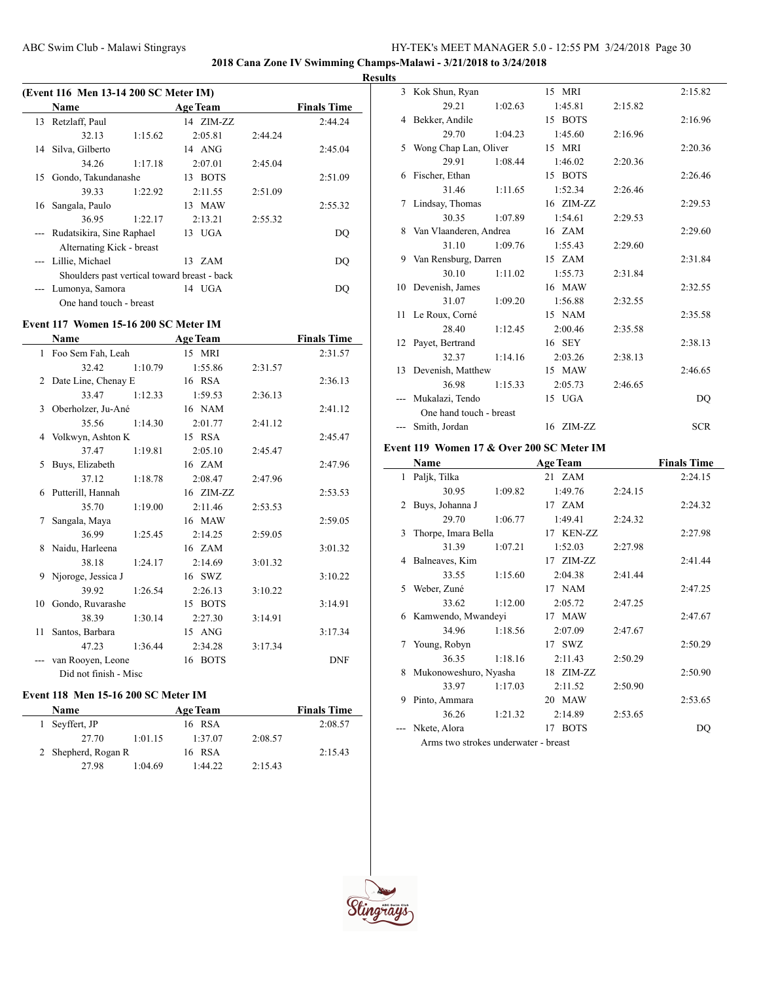**2018 Cana Zone IV Swimming Champs-Malawi - 3/21/2018 to 3/24/2018**

#### **Results**

|    | (Event 116 Men 13-14 200 SC Meter IM)        |         |                 |         |                    |
|----|----------------------------------------------|---------|-----------------|---------|--------------------|
|    | <b>Name</b>                                  |         | <b>Age Team</b> |         | <b>Finals Time</b> |
| 13 | Retzlaff, Paul                               |         | 14 ZIM-ZZ       |         | 2:44.24            |
|    | 32.13                                        | 1:15.62 | 2:05.81         | 2:44.24 |                    |
| 14 | Silva, Gilberto                              |         | 14 ANG          |         | 2:45.04            |
|    | 34.26                                        | 1:17.18 | 2:07.01         | 2:45.04 |                    |
| 15 | Gondo, Takundanashe                          |         | 13 BOTS         |         | 2:51.09            |
|    | 39.33                                        | 1:22.92 | 2:11.55         | 2:51.09 |                    |
| 16 | Sangala, Paulo                               |         | 13 MAW          |         | 2:55.32            |
|    | 36.95                                        | 1:22.17 | 2:13.21         | 2:55.32 |                    |
|    | --- Rudatsikira, Sine Raphael                |         | 13 UGA          |         | DO                 |
|    | Alternating Kick - breast                    |         |                 |         |                    |
|    | --- Lillie, Michael                          |         | 13 ZAM          |         | DO                 |
|    | Shoulders past vertical toward breast - back |         |                 |         |                    |
|    | --- Lumonya, Samora                          |         | 14 UGA          |         | DO                 |
|    | One hand touch - breast                      |         |                 |         |                    |

### **Event 117 Women 15-16 200 SC Meter IM**

|    | <b>Name</b>           |         | <b>Age Team</b> |         | <b>Finals Time</b> |
|----|-----------------------|---------|-----------------|---------|--------------------|
|    | 1 Foo Sem Fah, Leah   |         | 15 MRI          |         | 2:31.57            |
|    | 32.42                 | 1:10.79 | 1:55.86         | 2:31.57 |                    |
|    | 2 Date Line, Chenay E |         | 16 RSA          |         | 2:36.13            |
|    | 33.47                 | 1:12.33 | 1:59.53         | 2:36.13 |                    |
| 3  | Oberholzer, Ju-Ané    |         | 16 NAM          |         | 2:41.12            |
|    | 35.56                 | 1:14.30 | 2:01.77         | 2:41.12 |                    |
|    | 4 Volkwyn, Ashton K   |         | 15 RSA          |         | 2:45.47            |
|    | 37.47                 | 1:19.81 | 2:05.10         | 2:45.47 |                    |
| 5. | Buys, Elizabeth       |         | 16 ZAM          |         | 2:47.96            |
|    | 37.12                 | 1:18.78 | 2:08.47         | 2:47.96 |                    |
|    | 6 Putterill, Hannah   |         | 16 ZIM-ZZ       |         | 2:53.53            |
|    | 35.70                 | 1:19.00 | 2:11.46         | 2:53.53 |                    |
| 7  | Sangala, Maya         |         | 16 MAW          |         | 2:59.05            |
|    | 36.99                 | 1:25.45 | 2:14.25         | 2:59.05 |                    |
|    | 8 Naidu, Harleena     |         | 16 ZAM          |         | 3:01.32            |
|    | 38.18                 | 1:24.17 | 2:14.69         | 3:01.32 |                    |
| 9. | Njoroge, Jessica J    |         | 16 SWZ          |         | 3:10.22            |
|    | 39.92                 | 1:26.54 | 2:26.13         | 3:10.22 |                    |
| 10 | Gondo, Ruvarashe      |         | 15 BOTS         |         | 3:14.91            |
|    | 38.39                 | 1:30.14 | 2:27.30         | 3:14.91 |                    |
| 11 | Santos, Barbara       |         | 15 ANG          |         | 3:17.34            |
|    | 47.23                 | 1:36.44 | 2:34.28         | 3:17.34 |                    |
|    | van Rooyen, Leone     |         | 16 BOTS         |         | <b>DNF</b>         |
|    | Did not finish - Misc |         |                 |         |                    |

# **Event 118 Men 15-16 200 SC Meter IM**

| Name                |         | <b>Age Team</b> |         | <b>Finals Time</b> |
|---------------------|---------|-----------------|---------|--------------------|
| 1 Seyffert, JP      |         | 16 RSA          |         | 2:08.57            |
| 27.70               | 1:01.15 | 1:37.07         | 2:08.57 |                    |
| 2 Shepherd, Rogan R |         | 16 RSA          |         | 2:15.43            |
| 27.98               | 1:04.69 | 1.4422          | 2:15.43 |                    |

|    | 3 Kok Shun, Ryan        |         | 15 MRI    |         | 2:15.82    |
|----|-------------------------|---------|-----------|---------|------------|
|    | 29.21                   | 1:02.63 | 1:45.81   | 2:15.82 |            |
|    | 4 Bekker, Andile        |         | 15 BOTS   |         | 2:16.96    |
|    | 29.70                   | 1:04.23 | 1:45.60   | 2:16.96 |            |
| 5  | Wong Chap Lan, Oliver   |         | 15 MRI    |         | 2:20.36    |
|    | 29.91                   | 1:08.44 | 1:46.02   | 2:20.36 |            |
| 6  | Fischer, Ethan          |         | 15 BOTS   |         | 2:26.46    |
|    | 31.46                   | 1:11.65 | 1:52.34   | 2:26.46 |            |
| 7  | Lindsay, Thomas         |         | 16 ZIM-ZZ |         | 2:29.53    |
|    | 30.35                   | 1:07.89 | 1:54.61   | 2:29.53 |            |
| 8  | Van Vlaanderen, Andrea  |         | 16 ZAM    |         | 2:29.60    |
|    | 31.10                   | 1:09.76 | 1:55.43   | 2:29.60 |            |
| 9  | Van Rensburg, Darren    |         | 15 ZAM    |         | 2:31.84    |
|    | 30.10                   | 1:11.02 | 1:55.73   | 2:31.84 |            |
|    | 10 Devenish, James      |         | 16 MAW    |         | 2:32.55    |
|    | 31.07                   | 1:09.20 | 1:56.88   | 2:32.55 |            |
|    | 11 Le Roux, Corné       |         | 15 NAM    |         | 2:35.58    |
|    | 28.40                   | 1:12.45 | 2:00.46   | 2:35.58 |            |
|    | 12 Payet, Bertrand      |         | 16 SEY    |         | 2:38.13    |
|    | 32.37                   | 1:14.16 | 2:03.26   | 2:38.13 |            |
| 13 | Devenish, Matthew       |         | 15 MAW    |         | 2:46.65    |
|    | 36.98                   | 1:15.33 | 2:05.73   | 2:46.65 |            |
|    | Mukalazi, Tendo         |         | 15 UGA    |         | DQ         |
|    | One hand touch - breast |         |           |         |            |
|    | --- Smith, Jordan       |         | 16 ZIM-ZZ |         | <b>SCR</b> |

### **Event 119 Women 17 & Over 200 SC Meter IM**

|              | Name                                 |         | <b>Age Team</b> |         | <b>Finals Time</b> |
|--------------|--------------------------------------|---------|-----------------|---------|--------------------|
| $\mathbf{1}$ | Paljk, Tilka                         |         | 21 ZAM          |         | 2:24.15            |
|              | 30.95                                | 1:09.82 | 1:49.76         | 2:24.15 |                    |
| 2            | Buys, Johanna J                      |         | 17 ZAM          |         | 2:24.32            |
|              | 29.70                                | 1:06.77 | 1:49.41         | 2:24.32 |                    |
| 3            | Thorpe, Imara Bella                  |         | 17 KEN-ZZ       |         | 2:27.98            |
|              | 31.39                                | 1:07.21 | 1:52.03         | 2:27.98 |                    |
| 4            | Balneaves, Kim                       |         | 17 ZIM-ZZ       |         | 2:41.44            |
|              | 33.55                                | 1:15.60 | 2:04.38         | 2:41.44 |                    |
| 5            | Weber, Zuné                          |         | 17 NAM          |         | 2:47.25            |
|              | 33.62                                | 1:12.00 | 2:05.72         | 2:47.25 |                    |
| 6            | Kamwendo, Mwandeyi                   |         | 17 MAW          |         | 2:47.67            |
|              | 34.96                                | 1:18.56 | 2:07.09         | 2:47.67 |                    |
| 7            | Young, Robyn                         |         | 17 SWZ          |         | 2:50.29            |
|              | 36.35                                | 1:18.16 | 2:11.43         | 2:50.29 |                    |
| 8            | Mukonoweshuro, Nyasha                |         | 18 ZIM-ZZ       |         | 2:50.90            |
|              | 33.97                                | 1:17.03 | 2:11.52         | 2:50.90 |                    |
| 9            | Pinto, Ammara                        |         | 20 MAW          |         | 2:53.65            |
|              | 36.26                                | 1:21.32 | 2:14.89         | 2:53.65 |                    |
|              | Nkete, Alora                         |         | 17 BOTS         |         | DQ                 |
|              | Arms two strokes underwater - breast |         |                 |         |                    |

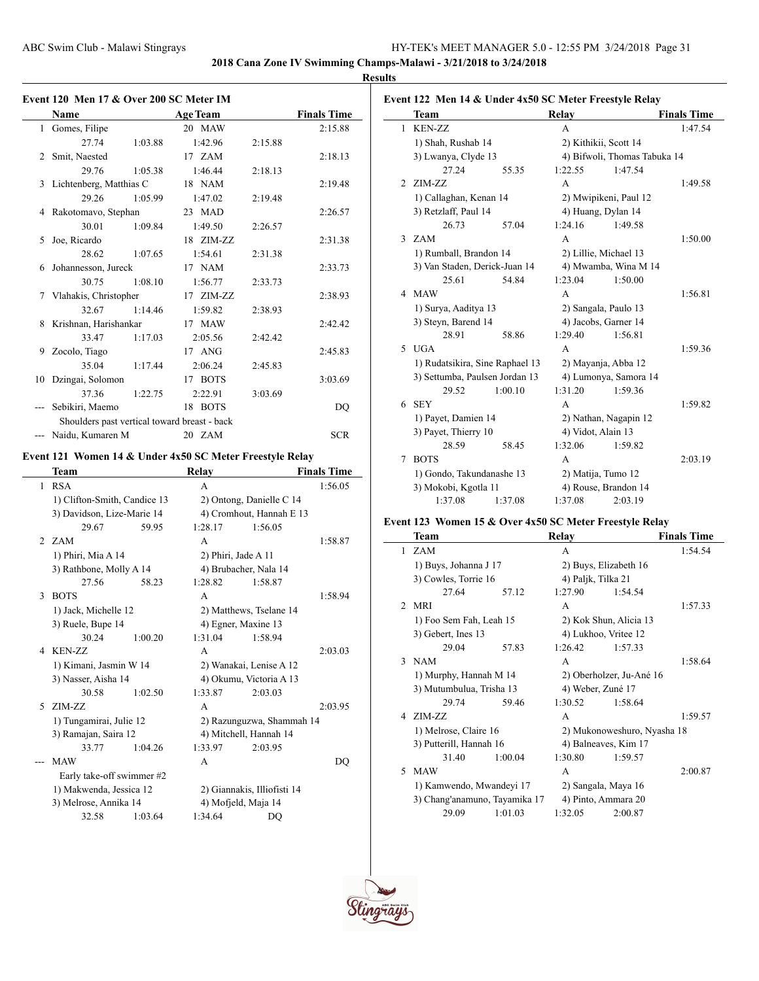**2018 Cana Zone IV Swimming Champs-Malawi - 3/21/2018 to 3/24/2018**

### **Results**

|              | Event 120 Men 17 & Over 200 SC Meter IM                  |                                                     |                 |                                  |                    |
|--------------|----------------------------------------------------------|-----------------------------------------------------|-----------------|----------------------------------|--------------------|
|              | Name                                                     | <u> 1999 - Jan James Barnett, politik politik (</u> | <b>Age Team</b> |                                  | <b>Finals Time</b> |
| $\mathbf{1}$ | Gomes, Filipe                                            |                                                     | 20 MAW          |                                  | 2:15.88            |
|              | 27.74                                                    | 1:03.88                                             | 1:42.96         | 2:15.88                          |                    |
| 2            | Smit, Naested                                            |                                                     | 17 ZAM          |                                  | 2:18.13            |
|              | 29.76                                                    | 1:05.38                                             | 1:46.44         | 2:18.13                          |                    |
| 3            | Lichtenberg, Matthias C                                  |                                                     | 18 NAM          |                                  | 2:19.48            |
|              | 29.26                                                    | 1:05.99                                             | 1:47.02         | 2:19.48                          |                    |
|              | 4 Rakotomavo, Stephan                                    |                                                     | 23 MAD          |                                  | 2:26.57            |
|              | 30.01                                                    | 1:09.84                                             | 1:49.50         | 2:26.57                          |                    |
| 5            | Joe, Ricardo                                             |                                                     | 18 ZIM-ZZ       |                                  | 2:31.38            |
|              | 28.62                                                    | 1:07.65                                             | 1:54.61         | 2:31.38                          |                    |
| 6            | Johannesson, Jureck                                      |                                                     | 17 NAM          |                                  | 2:33.73            |
|              | 30.75                                                    | 1:08.10                                             | 1:56.77         | 2:33.73                          |                    |
| 7            | Vlahakis, Christopher                                    |                                                     | 17 ZIM-ZZ       |                                  | 2:38.93            |
|              | 32.67                                                    | 1:14.46                                             | 1:59.82         | 2:38.93                          |                    |
| 8            | Krishnan, Harishankar                                    |                                                     | 17 MAW          |                                  | 2:42.42            |
|              | 33.47                                                    | 1:17.03                                             | 2:05.56         | 2:42.42                          |                    |
| 9            | Zocolo, Tiago                                            |                                                     | 17 ANG          |                                  | 2:45.83            |
|              | 35.04                                                    | 1:17.44                                             | 2:06.24         | 2:45.83                          |                    |
| 10           | Dzingai, Solomon                                         |                                                     | 17 BOTS         |                                  | 3:03.69            |
|              | 37.36                                                    | 1:22.75                                             | 2:22.91         | 3:03.69                          |                    |
|              | Sebikiri, Maemo                                          |                                                     | 18 BOTS         |                                  | DQ                 |
|              | Shoulders past vertical toward breast - back             |                                                     |                 |                                  |                    |
|              | --- Naidu, Kumaren M                                     |                                                     | 20 ZAM          |                                  | <b>SCR</b>         |
|              | Event 121 Women 14 & Under 4x50 SC Meter Freestyle Relay |                                                     |                 |                                  |                    |
|              | <b>Team</b>                                              |                                                     | <b>Relay</b>    |                                  | <b>Finals Time</b> |
|              | 1 RSA                                                    |                                                     | A               |                                  | 1:56.05            |
|              | 1) Clifton-Smith, Candice 13                             |                                                     |                 | 2) Ontong, Danielle C 14         |                    |
|              | $2)$ Dovidson, Liza Moria 14                             |                                                     |                 | $\bigwedge$ Crombout Houngh E 12 |                    |

|    | 1) Clifton-Smith, Candice 13                  |         | 2) Ontong, Danielle C 14    |                           |         |  |
|----|-----------------------------------------------|---------|-----------------------------|---------------------------|---------|--|
|    | 3) Davidson, Lize-Marie 14                    |         | 4) Cromhout, Hannah E 13    |                           |         |  |
|    | 29.67                                         | 59.95   | 1:28.17                     | 1:56.05                   |         |  |
|    | 2 ZAM                                         |         | A                           |                           | 1:58.87 |  |
|    | 1) Phiri, Mia A 14                            |         |                             | 2) Phiri, Jade A 11       |         |  |
|    | 3) Rathbone, Molly A 14                       |         | 4) Brubacher, Nala 14       |                           |         |  |
|    | 27.56                                         | 58.23   | 1:28.82                     | 1:58.87                   |         |  |
| 3  | <b>BOTS</b>                                   |         | A                           |                           | 1:58.94 |  |
|    | 1) Jack, Michelle 12                          |         | 2) Matthews, Tselane 14     |                           |         |  |
|    | 3) Ruele, Bupe 14                             |         | 4) Egner, Maxine 13         |                           |         |  |
|    | 30.24                                         | 1:00.20 | 1:31.04                     | 1:58.94                   |         |  |
|    | 4 KEN-ZZ                                      |         | A                           |                           | 2:03.03 |  |
|    | 1) Kimani, Jasmin W 14<br>3) Nasser, Aisha 14 |         | 2) Wanakai, Lenise A 12     |                           |         |  |
|    |                                               |         | 4) Okumu, Victoria A 13     |                           |         |  |
|    | 30.58                                         | 1:02.50 | 1:33.87                     | 2:03.03                   |         |  |
| 5. | ZIM-ZZ                                        |         | A                           |                           | 2:03.95 |  |
|    | 1) Tungamirai, Julie 12                       |         |                             | 2) Razunguzwa, Shammah 14 |         |  |
|    | 3) Ramajan, Saira 12                          |         | 4) Mitchell, Hannah 14      |                           |         |  |
|    | 33.77                                         | 1:04.26 | 1:33.97                     | 2:03.95                   |         |  |
|    | <b>MAW</b>                                    |         | A                           |                           | DO      |  |
|    | Early take-off swimmer #2                     |         |                             |                           |         |  |
|    | 1) Makwenda, Jessica 12                       |         | 2) Giannakis, Illiofisti 14 |                           |         |  |
|    | 3) Melrose, Annika 14                         |         | 4) Mofjeld, Maja 14         |                           |         |  |
|    | 32.58                                         | 1:03.64 | 1:34.64                     | DQ                        |         |  |

|              | Event 122 Men 14 & Under 4x50 SC Meter Freestyle Relay<br>Team |         | Relay              |                              | <b>Finals Time</b> |
|--------------|----------------------------------------------------------------|---------|--------------------|------------------------------|--------------------|
| $\mathbf{1}$ | <b>KEN-ZZ</b>                                                  |         | A                  |                              | 1:47.54            |
|              |                                                                |         |                    |                              |                    |
|              | 1) Shah, Rushab 14                                             |         |                    | 2) Kithikii, Scott 14        |                    |
|              | 3) Lwanya, Clyde 13                                            |         |                    | 4) Bifwoli, Thomas Tabuka 14 |                    |
|              | 27.24                                                          | 55.35   | 1:22.55            | 1:47.54                      |                    |
| 2            | ZIM-ZZ                                                         |         | A                  |                              | 1:49.58            |
|              | 1) Callaghan, Kenan 14                                         |         |                    | 2) Mwipikeni, Paul 12        |                    |
|              | 3) Retzlaff, Paul 14                                           |         |                    | 4) Huang, Dylan 14           |                    |
|              | 26.73                                                          | 57.04   | 1:24.16            | 1:49.58                      |                    |
| 3            | <b>ZAM</b>                                                     |         | A                  |                              | 1:50.00            |
|              | 1) Rumball, Brandon 14                                         |         |                    | 2) Lillie, Michael 13        |                    |
|              | 3) Van Staden, Derick-Juan 14                                  |         |                    | 4) Mwamba, Wina M 14         |                    |
|              | 25.61                                                          | 54.84   | 1:23.04            | 1:50.00                      |                    |
| 4            | <b>MAW</b>                                                     |         | A                  |                              | 1:56.81            |
|              | 1) Surya, Aaditya 13                                           |         |                    | 2) Sangala, Paulo 13         |                    |
|              | 3) Steyn, Barend 14                                            |         |                    | 4) Jacobs, Garner 14         |                    |
|              | 28.91                                                          | 58.86   | 1:29.40            | 1:56.81                      |                    |
| 5.           | <b>UGA</b>                                                     |         | A                  |                              | 1:59.36            |
|              | 1) Rudatsikira, Sine Raphael 13                                |         |                    | 2) Mayanja, Abba 12          |                    |
|              | 3) Settumba, Paulsen Jordan 13                                 |         |                    | 4) Lumonya, Samora 14        |                    |
|              | 29.52                                                          | 1:00.10 | 1:31.20            | 1:59.36                      |                    |
| 6            | <b>SEY</b>                                                     |         | A                  |                              | 1:59.82            |
|              | 1) Payet, Damien 14                                            |         |                    | 2) Nathan, Nagapin 12        |                    |
|              | 3) Payet, Thierry 10                                           |         | 4) Vidot, Alain 13 |                              |                    |
|              | 28.59                                                          | 58.45   | 1:32.06            | 1:59.82                      |                    |
| 7            | <b>BOTS</b>                                                    |         | A                  |                              | 2:03.19            |
|              | 1) Gondo, Takundanashe 13                                      |         |                    | 2) Matija, Tumo 12           |                    |
|              | 3) Mokobi, Kgotla 11                                           |         |                    | 4) Rouse, Brandon 14         |                    |
|              | 1:37.08                                                        | 1:37.08 | 1:37.08            | 2:03.19                      |                    |

# **Event 123 Women 15 & Over 4x50 SC Meter Freestyle Relay**

|               | Team                          |                       | Relav                    |                             | <b>Finals Time</b> |
|---------------|-------------------------------|-----------------------|--------------------------|-----------------------------|--------------------|
| 1             | <b>ZAM</b>                    |                       | A                        |                             | 1:54.54            |
|               | 1) Buys, Johanna J 17         | 2) Buys, Elizabeth 16 |                          |                             |                    |
|               | 3) Cowles, Torrie 16          |                       | 4) Paljk, Tilka 21       |                             |                    |
|               | 27.64                         | 57.12                 | 1:27.90                  | 1:54.54                     |                    |
| $\mathcal{D}$ | <b>MRI</b>                    |                       | $\mathsf{A}$             |                             | 1:57.33            |
|               | 1) Foo Sem Fah, Leah 15       |                       |                          | 2) Kok Shun, Alicia 13      |                    |
|               | 3) Gebert, Ines 13            |                       | 4) Lukhoo, Vritee 12     |                             |                    |
|               | 29.04                         | 57.83                 | 1:26.42                  | 1:57.33                     |                    |
| 3             | <b>NAM</b>                    |                       | $\mathsf{A}$             |                             | 1:58.64            |
|               | 1) Murphy, Hannah M 14        |                       | 2) Oberholzer, Ju-Ané 16 |                             |                    |
|               | 3) Mutumbulua, Trisha 13      | 4) Weber, Zuné 17     |                          |                             |                    |
|               | 29.74                         | 59.46                 | 1:30.52                  | 1:58.64                     |                    |
| 4             | ZIM-ZZ                        |                       | A                        |                             | 1:59.57            |
|               | 1) Melrose, Claire 16         |                       |                          | 2) Mukonoweshuro, Nyasha 18 |                    |
|               | 3) Putterill, Hannah 16       |                       | 4) Balneaves, Kim 17     |                             |                    |
|               | 31.40                         | 1:00.04               | 1:30.80                  | 1:59.57                     |                    |
| 5.            | <b>MAW</b>                    |                       | A                        |                             | 2:00.87            |
|               | 1) Kamwendo, Mwandeyi 17      |                       | 2) Sangala, Maya 16      |                             |                    |
|               | 3) Chang'anamuno, Tayamika 17 | 4) Pinto, Ammara 20   |                          |                             |                    |
|               | 29.09                         | 1:01.03               | 1:32.05                  | 2:00.87                     |                    |